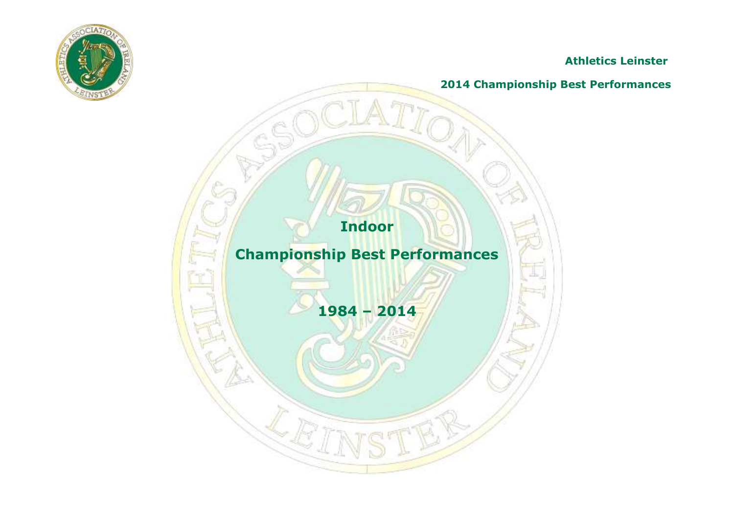

**Athletics Leinster**

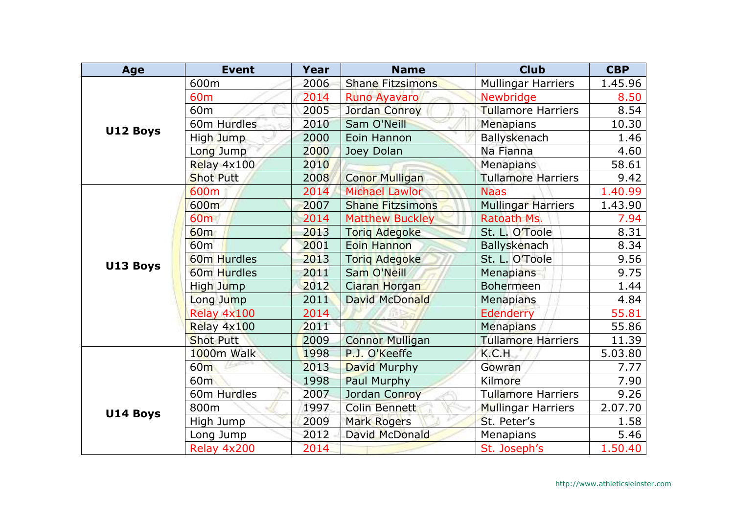| Age      | <b>Event</b>            | Year | <b>Name</b>             | <b>Club</b>               | <b>CBP</b> |
|----------|-------------------------|------|-------------------------|---------------------------|------------|
|          | 600m                    | 2006 | <b>Shane Fitzsimons</b> | <b>Mullingar Harriers</b> | 1.45.96    |
|          | 60 <sub>m</sub>         | 2014 | Runo Ayavaro            | <b>Newbridge</b>          | 8.50       |
|          | 60 <sub>m</sub>         | 2005 | Jordan Conroy           | <b>Tullamore Harriers</b> | 8.54       |
| U12 Boys | 60m Hurdles             | 2010 | Sam O'Neill             | Menapians                 | 10.30      |
|          | High Jump               | 2000 | Eoin Hannon             | Ballyskenach              | 1.46       |
|          | Long Jump               | 2000 | Joey Dolan              | Na Fianna                 | 4.60       |
|          | Relay 4x100             | 2010 |                         | Menapians                 | 58.61      |
|          | <b>Shot Putt</b>        | 2008 | <b>Conor Mulligan</b>   | <b>Tullamore Harriers</b> | 9.42       |
|          | 600m                    | 2014 | <b>Michael Lawlor</b>   | <b>Naas</b>               | 1.40.99    |
|          | 600m                    | 2007 | <b>Shane Fitzsimons</b> | <b>Mullingar Harriers</b> | 1.43.90    |
|          | 60 <sub>m</sub>         | 2014 | <b>Matthew Buckley</b>  | Ratoath Ms.               | 7.94       |
|          | 60 <sub>m</sub>         | 2013 | <b>Torig Adegoke</b>    | St. L. O'Toole            | 8.31       |
|          | 60 <sub>m</sub>         | 2001 | <b>Eoin Hannon</b>      | <b>Ballyskenach</b>       | 8.34       |
| U13 Boys | 60 <sub>m</sub> Hurdles | 2013 | <b>Torig Adegoke</b>    | St. L. O'Toole            | 9.56       |
|          | 60m Hurdles             | 2011 | Sam O'Neill             | <b>Menapians</b>          | 9.75       |
|          | High Jump               | 2012 | Ciaran Horgan           | Bohermeen                 | 1.44       |
|          | Long Jump               | 2011 | David McDonald          | <b>Menapians</b>          | 4.84       |
|          | Relay 4x100             | 2014 |                         | Edenderry                 | 55.81      |
|          | Relay 4x100             | 2011 |                         | <b>Menapians</b>          | 55.86      |
|          | <b>Shot Putt</b>        | 2009 | <b>Connor Mulligan</b>  | <b>Tullamore Harriers</b> | 11.39      |
|          | 1000m Walk              | 1998 | P.J. O'Keeffe           | K.C.H                     | 5.03.80    |
|          | 60 <sub>m</sub>         | 2013 | David Murphy            | Gowran                    | 7.77       |
|          | 60 <sub>m</sub>         | 1998 | Paul Murphy             | Kilmore                   | 7.90       |
|          | 60m Hurdles             | 2007 | Jordan Conroy           | <b>Tullamore Harriers</b> | 9.26       |
| U14 Boys | 800m                    | 1997 | <b>Colin Bennett</b>    | <b>Mullingar Harriers</b> | 2.07.70    |
|          | High Jump               | 2009 | <b>Mark Rogers</b>      | St. Peter's               | 1.58       |
|          | Long Jump               | 2012 | David McDonald          | Menapians                 | 5.46       |
|          | Relay 4x200             | 2014 |                         | St. Joseph's              | 1.50.40    |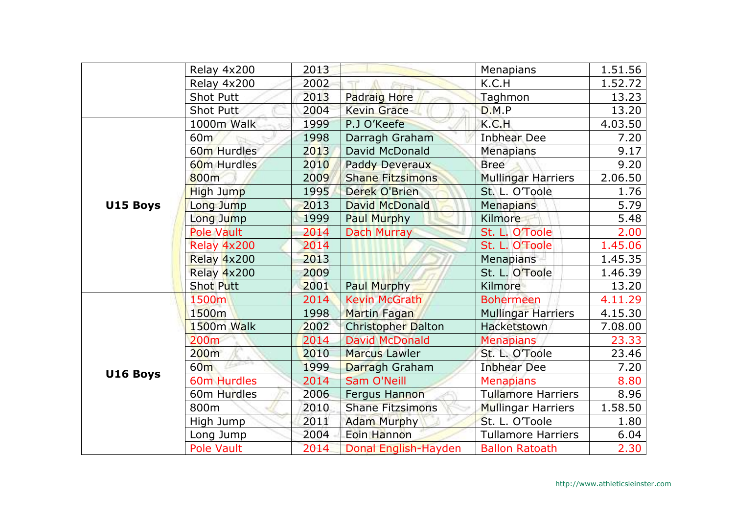|          | Relay 4x200             | 2013 |                           | Menapians                 | 1.51.56 |
|----------|-------------------------|------|---------------------------|---------------------------|---------|
|          | Relay 4x200             | 2002 |                           | K.C.H                     | 1.52.72 |
|          | <b>Shot Putt</b>        | 2013 | <b>Padraig Hore</b>       | Taghmon                   | 13.23   |
|          | Shot Putt               | 2004 | <b>Kevin Grace</b>        | D.M.P                     | 13.20   |
|          | 1000m Walk              | 1999 | P.J O'Keefe               | K.C.H                     | 4.03.50 |
|          | 60m                     | 1998 | Darragh Graham            | <b>Inbhear Dee</b>        | 7.20    |
|          | 60m Hurdles             | 2013 | David McDonald            | <b>Menapians</b>          | 9.17    |
|          | 60 <sub>m</sub> Hurdles | 2010 | <b>Paddy Deveraux</b>     | <b>Bree</b>               | 9.20    |
|          | 800m                    | 2009 | <b>Shane Fitzsimons</b>   | <b>Mullingar Harriers</b> | 2.06.50 |
|          | High Jump               | 1995 | Derek O'Brien             | St. L. O'Toole            | 1.76    |
| U15 Boys | Long Jump               | 2013 | <b>David McDonald</b>     | <b>Menapians</b>          | 5.79    |
|          | Long Jump               | 1999 | <b>Paul Murphy</b>        | Kilmore                   | 5.48    |
|          | Pole Vault              | 2014 | Dach Murray               | St. L. O'Toole            | 2.00    |
|          | Relay 4x200             | 2014 |                           | St. L. O'Toole            | 1.45.06 |
|          | Relay 4x200             | 2013 |                           | <b>Menapians</b>          | 1.45.35 |
|          | Relay 4x200             | 2009 |                           | St. L. O'Toole            | 1.46.39 |
|          | <b>Shot Putt</b>        | 2001 | Paul Murphy               | Kilmore                   | 13.20   |
|          | 1500m                   | 2014 | <b>Kevin McGrath</b>      | <b>Bohermeen</b>          | 4.11.29 |
| U16 Boys | 1500m                   | 1998 | <b>Martin Fagan</b>       | <b>Mullingar Harriers</b> | 4.15.30 |
|          | 1500m Walk              | 2002 | <b>Christopher Dalton</b> | Hacketstown               | 7.08.00 |
|          | 200 <sub>m</sub>        | 2014 | <b>David McDonald</b>     | <b>Menapians</b>          | 23.33   |
|          | 200m                    | 2010 | <b>Marcus Lawler</b>      | St. L. O'Toole            | 23.46   |
|          | 60 <sub>m</sub>         | 1999 | Darragh Graham            | <b>Inbhear Dee</b>        | 7.20    |
|          | <b>60m Hurdles</b>      | 2014 | <b>Sam O'Neill</b>        | <b>Menapians</b>          | 8.80    |
|          | 60m Hurdles             | 2006 | <b>Fergus Hannon</b>      | <b>Tullamore Harriers</b> | 8.96    |
|          | 800m                    | 2010 | <b>Shane Fitzsimons</b>   | <b>Mullingar Harriers</b> | 1.58.50 |
|          | High Jump               | 2011 | <b>Adam Murphy</b>        | St. L. O'Toole            | 1.80    |
|          | Long Jump               | 2004 | Eoin Hannon               | <b>Tullamore Harriers</b> | 6.04    |
|          | Pole Vault              | 2014 | Donal English-Hayden      | <b>Ballon Ratoath</b>     | 2.30    |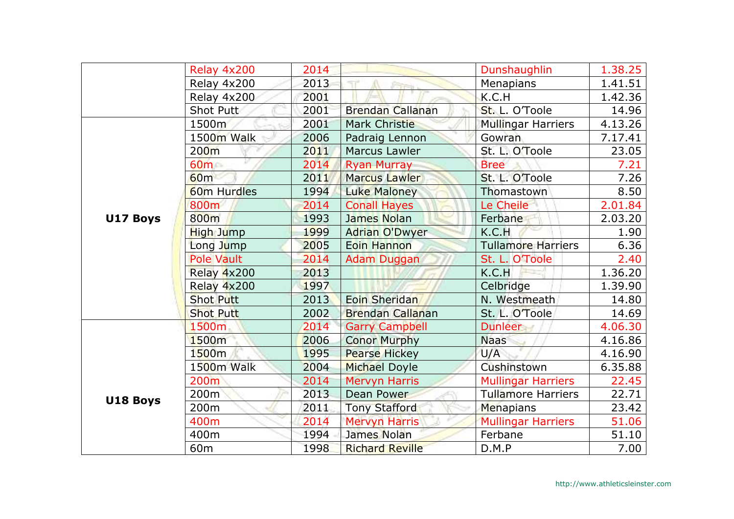|          | Relay 4x200       | 2014 |                         | Dunshaughlin              | 1.38.25 |
|----------|-------------------|------|-------------------------|---------------------------|---------|
|          | Relay 4x200       | 2013 |                         | Menapians                 | 1.41.51 |
|          | Relay 4x200       | 2001 |                         | K.C.H                     | 1.42.36 |
|          | Shot Putt         | 2001 | <b>Brendan Callanan</b> | St. L. O'Toole            | 14.96   |
|          | 1500m             | 2001 | <b>Mark Christie</b>    | <b>Mullingar Harriers</b> | 4.13.26 |
|          | 1500m Walk        | 2006 | Padraig Lennon          | Gowran                    | 7.17.41 |
|          | 200 <sub>m</sub>  | 2011 | Marcus Lawler           | St. L. O'Toole            | 23.05   |
|          | 60m               | 2014 | <b>Ryan Murray</b>      | <b>Bree</b>               | 7.21    |
|          | 60 <sub>m</sub>   | 2011 | <b>Marcus Lawler</b>    | St. L. O'Toole            | 7.26    |
|          | 60m Hurdles       | 1994 | Luke Maloney            | Thomastown                | 8.50    |
|          | 800m              | 2014 | <b>Conall Hayes</b>     | Le Cheile                 | 2.01.84 |
| U17 Boys | 800m              | 1993 | James Nolan             | Ferbane                   | 2.03.20 |
|          | High Jump         | 1999 | <b>Adrian O'Dwyer</b>   | K.C.H                     | 1.90    |
|          | Long Jump         | 2005 | <b>Eoin Hannon</b>      | <b>Tullamore Harriers</b> | 6.36    |
|          | <b>Pole Vault</b> | 2014 | <b>Adam Duggan</b>      | St. L. O'Toole            | 2.40    |
|          | Relay 4x200       | 2013 |                         | K.C.H                     | 1.36.20 |
|          | Relay 4x200       | 1997 |                         | Celbridge                 | 1.39.90 |
|          | <b>Shot Putt</b>  | 2013 | Eoin Sheridan           | N. Westmeath              | 14.80   |
|          | <b>Shot Putt</b>  | 2002 | <b>Brendan Callanan</b> | St. L. O'Toole            | 14.69   |
|          | 1500m             | 2014 | <b>Garry Campbell</b>   | Dunleer                   | 4.06.30 |
|          | 1500m             | 2006 | <b>Conor Murphy</b>     | <b>Naas</b>               | 4.16.86 |
|          | 1500m             | 1995 | <b>Pearse Hickey</b>    | U/A                       | 4.16.90 |
|          | 1500m Walk        | 2004 | <b>Michael Doyle</b>    | Cushinstown               | 6.35.88 |
|          | 200m              | 2014 | <b>Mervyn Harris</b>    | <b>Mullingar Harriers</b> | 22.45   |
| U18 Boys | 200 <sub>m</sub>  | 2013 | Dean Power              | <b>Tullamore Harriers</b> | 22.71   |
|          | 200m              | 2011 | <b>Tony Stafford</b>    | Menapians                 | 23.42   |
|          | 400m              | 2014 | <b>Mervyn Harris</b>    | <b>Mullingar Harriers</b> | 51.06   |
|          | 400m              | 1994 | James Nolan             | Ferbane                   | 51.10   |
|          | 60 <sub>m</sub>   | 1998 | <b>Richard Reville</b>  | D.M.P                     | 7.00    |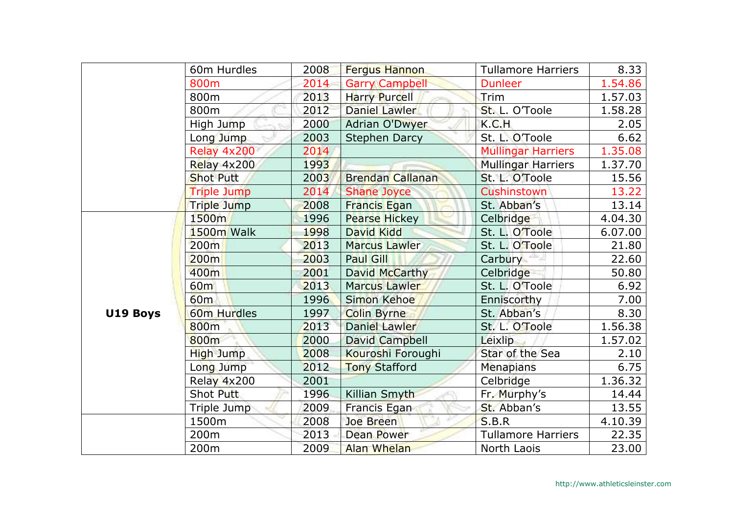|          | 60m Hurdles        | 2008 | <b>Fergus Hannon</b>    | <b>Tullamore Harriers</b> | 8.33    |
|----------|--------------------|------|-------------------------|---------------------------|---------|
|          | 800m               | 2014 | <b>Garry Campbell</b>   | <b>Dunleer</b>            | 1.54.86 |
|          | 800m               | 2013 | <b>Harry Purcell</b>    | Trim                      | 1.57.03 |
|          | 800m               | 2012 | Daniel Lawler           | St. L. O'Toole            | 1.58.28 |
|          | High Jump          | 2000 | <b>Adrian O'Dwyer</b>   | K.C.H                     | 2.05    |
|          | Long Jump          | 2003 | <b>Stephen Darcy</b>    | St. L. O'Toole            | 6.62    |
|          | Relay 4x200        | 2014 |                         | <b>Mullingar Harriers</b> | 1.35.08 |
|          | Relay 4x200        | 1993 |                         | <b>Mullingar Harriers</b> | 1.37.70 |
|          | <b>Shot Putt</b>   | 2003 | <b>Brendan Callanan</b> | St. L. O'Toole            | 15.56   |
|          | <b>Triple Jump</b> | 2014 | <b>Shane Joyce</b>      | Cushinstown               | 13.22   |
|          | Triple Jump        | 2008 | <b>Francis Egan</b>     | St. Abban's               | 13.14   |
|          | 1500m              | 1996 | <b>Pearse Hickey</b>    | Celbridge                 | 4.04.30 |
|          | 1500m Walk         | 1998 | David Kidd              | St. L. O'Toole            | 6.07.00 |
|          | 200m               | 2013 | <b>Marcus Lawler</b>    | St. L. O'Toole            | 21.80   |
|          | 200m               | 2003 | <b>Paul Gill</b>        | Carbury –                 | 22.60   |
|          | 400m               | 2001 | David McCarthy          | Celbridge                 | 50.80   |
|          | 60m                | 2013 | Marcus Lawler           | St. L. O'Toole            | 6.92    |
|          | 60 <sub>m</sub>    | 1996 | <b>Simon Kehoe</b>      | Enniscorthy               | 7.00    |
| U19 Boys | 60m Hurdles        | 1997 | <b>Colin Byrne</b>      | St. Abban's               | 8.30    |
|          | 800 <sub>m</sub>   | 2013 | Daniel Lawler           | St. L. O'Toole            | 1.56.38 |
|          | 800m               | 2000 | David Campbell          | Leixlip                   | 1.57.02 |
|          | High Jump          | 2008 | Kouroshi Foroughi       | Star of the Sea           | 2.10    |
|          | Long Jump          | 2012 | <b>Tony Stafford</b>    | <b>Menapians</b>          | 6.75    |
|          | Relay 4x200        | 2001 |                         | Celbridge                 | 1.36.32 |
|          | Shot Putt          | 1996 | Killian Smyth           | Fr. Murphy's              | 14.44   |
|          | Triple Jump        | 2009 | Francis Egan            | St. Abban's               | 13.55   |
|          | 1500m              | 2008 | Joe Breen               | S.B.R                     | 4.10.39 |
|          | 200m               | 2013 | Dean Power              | <b>Tullamore Harriers</b> | 22.35   |
|          | 200m               | 2009 | <b>Alan Whelan</b>      | North Laois               | 23.00   |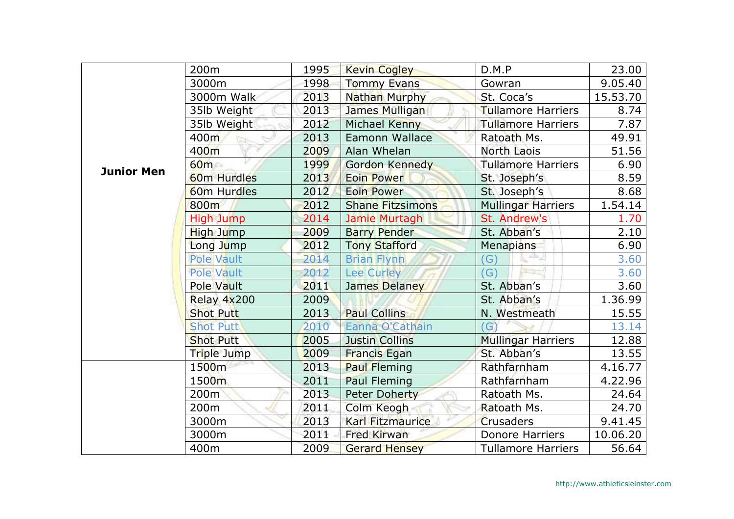|                   | 200 <sub>m</sub>        | 1995 | <b>Kevin Cogley</b>     | D.M.P                     | 23.00    |
|-------------------|-------------------------|------|-------------------------|---------------------------|----------|
|                   | 3000m                   | 1998 | <b>Tommy Evans</b>      | Gowran                    | 9.05.40  |
|                   | 3000m Walk              | 2013 | Nathan Murphy           | St. Coca's                | 15.53.70 |
|                   | 35lb Weight             | 2013 | James Mulligan          | <b>Tullamore Harriers</b> | 8.74     |
|                   | 35lb Weight             | 2012 | Michael Kenny           | <b>Tullamore Harriers</b> | 7.87     |
|                   | 400m                    | 2013 | Eamonn Wallace          | Ratoath Ms.               | 49.91    |
|                   | 400m                    | 2009 | Alan Whelan             | North Laois               | 51.56    |
| <b>Junior Men</b> | 60m                     | 1999 | Gordon Kennedy          | <b>Tullamore Harriers</b> | 6.90     |
|                   | 60 <sub>m</sub> Hurdles | 2013 | <b>Eoin Power</b>       | St. Joseph's              | 8.59     |
|                   | <b>60m Hurdles</b>      | 2012 | <b>Eoin Power</b>       | St. Joseph's              | 8.68     |
|                   | 800m                    | 2012 | <b>Shane Fitzsimons</b> | <b>Mullingar Harriers</b> | 1.54.14  |
|                   | <b>High Jump</b>        | 2014 | Jamie Murtagh           | St. Andrew's              | 1.70     |
|                   | High Jump               | 2009 | <b>Barry Pender</b>     | St. Abban's               | 2.10     |
|                   | Long Jump               | 2012 | <b>Tony Stafford</b>    | Menapians                 | 6.90     |
|                   | <b>Pole Vault</b>       | 2014 | <b>Brian Flynn</b>      | allar.<br>$\mathcal{G}$   | 3.60     |
|                   | Pole Vault              | 2012 | <b>Lee Curley</b>       | $\Gamma$                  | 3.60     |
|                   | <b>Pole Vault</b>       | 2011 | James Delaney           | St. Abban's               | 3.60     |
|                   | Relay 4x200             | 2009 |                         | St. Abban's               | 1.36.99  |
|                   | <b>Shot Putt</b>        | 2013 | <b>Paul Collins</b>     | N. Westmeath              | 15.55    |
|                   | <b>Shot Putt</b>        | 2010 | Eanna O'Cathain         | (G)                       | 13.14    |
|                   | <b>Shot Putt</b>        | 2005 | <b>Justin Collins</b>   | <b>Mullingar Harriers</b> | 12.88    |
|                   | Triple Jump             | 2009 | <b>Francis Egan</b>     | St. Abban's               | 13.55    |
|                   | 1500m                   | 2013 | <b>Paul Fleming</b>     | Rathfarnham               | 4.16.77  |
|                   | 1500m                   | 2011 | Paul Fleming            | Rathfarnham               | 4.22.96  |
|                   | 200 <sub>m</sub>        | 2013 | <b>Peter Doherty</b>    | Ratoath Ms.               | 24.64    |
|                   | 200 <sub>m</sub>        | 2011 | Colm Keogh              | Ratoath Ms.               | 24.70    |
|                   | 3000m                   | 2013 | <b>Karl Fitzmaurice</b> | <b>Crusaders</b>          | 9.41.45  |
|                   | 3000m                   | 2011 | <b>Fred Kirwan</b>      | <b>Donore Harriers</b>    | 10.06.20 |
|                   | 400m                    | 2009 | <b>Gerard Hensey</b>    | <b>Tullamore Harriers</b> | 56.64    |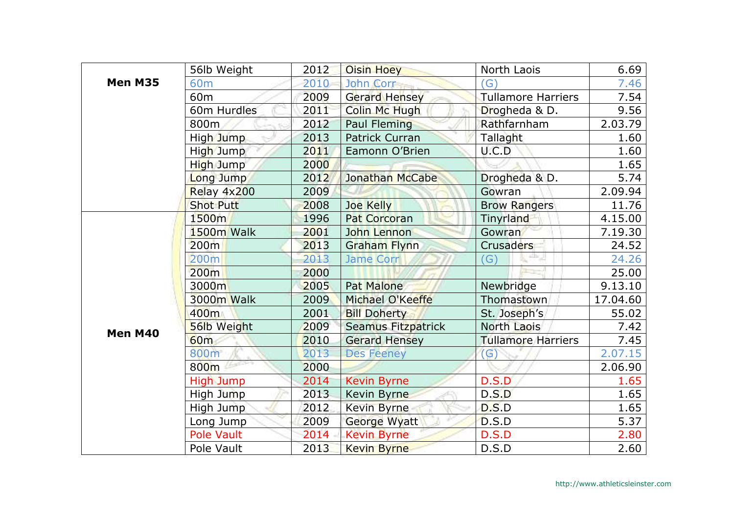|         | 56lb Weight      | 2012 | <b>Oisin Hoey</b>         | North Laois               | 6.69     |
|---------|------------------|------|---------------------------|---------------------------|----------|
| Men M35 | 60 <sub>m</sub>  | 2010 | John Corr                 | $\mathcal{G}$             | 7.46     |
|         | 60 <sub>m</sub>  | 2009 | <b>Gerard Hensey</b>      | <b>Tullamore Harriers</b> | 7.54     |
|         | 60m Hurdles      | 2011 | <b>Colin Mc Hugh</b>      | Drogheda & D.             | 9.56     |
|         | 800m             | 2012 | <b>Paul Fleming</b>       | Rathfarnham               | 2.03.79  |
|         | High Jump        | 2013 | <b>Patrick Curran</b>     | Tallaght                  | 1.60     |
|         | High Jump        | 2011 | Eamonn O'Brien            | U.C.D                     | 1.60     |
|         | High Jump        | 2000 |                           |                           | 1.65     |
|         | Long Jump        | 2012 | <b>Jonathan McCabe</b>    | Drogheda & D.             | 5.74     |
|         | Relay 4x200      | 2009 |                           | Gowran                    | 2.09.94  |
|         | <b>Shot Putt</b> | 2008 | <b>Joe Kelly</b>          | <b>Brow Rangers</b>       | 11.76    |
|         | 1500m            | 1996 | <b>Pat Corcoran</b>       | Tinyrland                 | 4.15.00  |
|         | 1500m Walk       | 2001 | John Lennon               | Gowran                    | 7.19.30  |
|         | 200m             | 2013 | <b>Graham Flynn</b>       | <b>Crusaders</b>          | 24.52    |
|         | 200 <sub>m</sub> | 2013 | Jame Corr                 | atte J<br>$\mathcal{G}$   | 24.26    |
|         | 200m             | 2000 |                           |                           | 25.00    |
|         | 3000m            | 2005 | <b>Pat Malone</b>         | Newbridge                 | 9.13.10  |
|         | 3000m Walk       | 2009 | Michael O'Keeffe          | Thomastown                | 17.04.60 |
|         | 400m             | 2001 | <b>Bill Doherty</b>       | St. Joseph's              | 55.02    |
| Men M40 | 56lb Weight      | 2009 | <b>Seamus Fitzpatrick</b> | North Laois               | 7.42     |
|         | <b>60m</b>       | 2010 | <b>Gerard Hensey</b>      | <b>Tullamore Harriers</b> | 7.45     |
|         | 800m             | 2013 | <b>Des Feeney</b>         | $\mathsf{(G)}$            | 2.07.15  |
|         | 800m             | 2000 |                           |                           | 2.06.90  |
|         | <b>High Jump</b> | 2014 | <b>Kevin Byrne</b>        | D.S.D                     | 1.65     |
|         | High Jump        | 2013 | Kevin Byrne               | D.S.D                     | 1.65     |
|         | High Jump        | 2012 | <b>Kevin Byrne</b>        | D.S.D                     | 1.65     |
|         | Long Jump        | 2009 | <b>George Wyatt</b>       | D.S.D                     | 5.37     |
|         | Pole Vault       | 2014 | <b>Kevin Byrne</b>        | D.S.D                     | 2.80     |
|         | Pole Vault       | 2013 | <b>Kevin Byrne</b>        | D.S.D                     | 2.60     |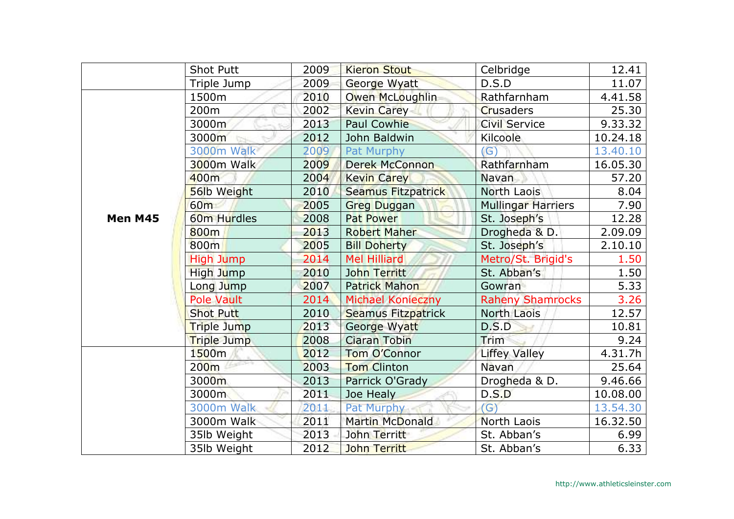|         | <b>Shot Putt</b>   | 2009 | <b>Kieron Stout</b>       | Celbridge                 | 12.41    |
|---------|--------------------|------|---------------------------|---------------------------|----------|
|         | Triple Jump        | 2009 | George Wyatt              | D.S.D                     | 11.07    |
|         | 1500m              | 2010 | Owen McLoughlin           | Rathfarnham               | 4.41.58  |
|         | 200m               | 2002 | <b>Kevin Carey</b>        | <b>Crusaders</b>          | 25.30    |
|         | 3000m              | 2013 | <b>Paul Cowhie</b>        | <b>Civil Service</b>      | 9.33.32  |
|         | 3000m              | 2012 | John Baldwin              | <b>Kilcoole</b>           | 10.24.18 |
|         | 3000m Walk         | 2009 | Pat Murphy                | (G)                       | 13.40.10 |
|         | 3000m Walk         | 2009 | <b>Derek McConnon</b>     | Rathfarnham               | 16.05.30 |
|         | 400m               | 2004 | <b>Kevin Carey</b>        | Navan                     | 57.20    |
|         | 56lb Weight        | 2010 | <b>Seamus Fitzpatrick</b> | North Laois               | 8.04     |
|         | 60 <sub>m</sub>    | 2005 | <b>Greg Duggan</b>        | <b>Mullingar Harriers</b> | 7.90     |
| Men M45 | 60m Hurdles        | 2008 | <b>Pat Power</b>          | St. Joseph's              | 12.28    |
|         | 800m               | 2013 | <b>Robert Maher</b>       | Drogheda & D.             | 2.09.09  |
|         | 800m               | 2005 | <b>Bill Doherty</b>       | St. Joseph's              | 2.10.10  |
|         | <b>High Jump</b>   | 2014 | <b>Mel Hilliard</b>       | Metro/St. Brigid's        | 1.50     |
|         | High Jump          | 2010 | John Territt              | St. Abban's               | 1.50     |
|         | Long Jump          | 2007 | <b>Patrick Mahon</b>      | Gowran                    | 5.33     |
|         | <b>Pole Vault</b>  | 2014 | <b>Michael Konieczny</b>  | <b>Raheny Shamrocks</b>   | 3.26     |
|         | <b>Shot Putt</b>   | 2010 | Seamus Fitzpatrick        | North Laois               | 12.57    |
|         | Triple Jump        | 2013 | George Wyatt              | D.S.D                     | 10.81    |
|         | <b>Triple Jump</b> | 2008 | <b>Ciaran Tobin</b>       | Trim                      | 9.24     |
|         | 1500m              | 2012 | Tom O'Connor              | <b>Liffey Valley</b>      | 4.31.7h  |
|         | 200 <sub>m</sub>   | 2003 | <b>Tom Clinton</b>        | Navan                     | 25.64    |
|         | 3000m              | 2013 | Parrick O'Grady           | Drogheda & D.             | 9.46.66  |
|         | 3000m              | 2011 | Joe Healy                 | D.S.D                     | 10.08.00 |
|         | <b>3000m Walk</b>  | 2011 | Pat Murphy                | (G)                       | 13.54.30 |
|         | 3000m Walk         | 2011 | <b>Martin McDonald</b>    | North Laois               | 16.32.50 |
|         | 35lb Weight        | 2013 | John Territt              | St. Abban's               | 6.99     |
|         | 35lb Weight        | 2012 | John Territt              | St. Abban's               | 6.33     |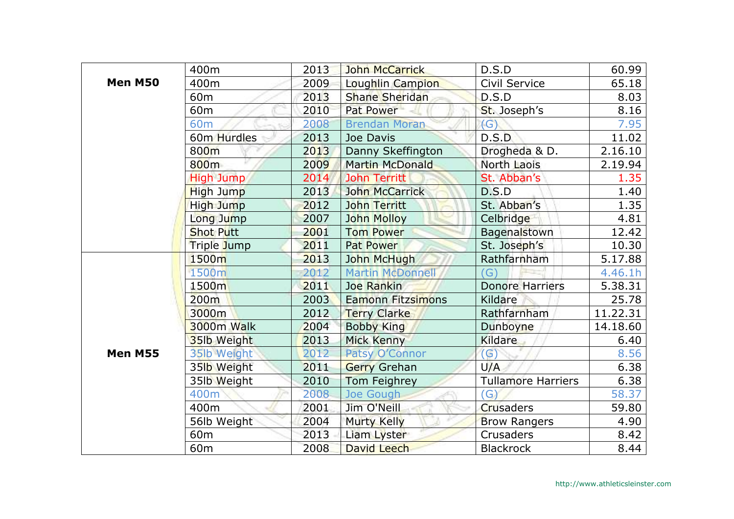|                | 400m                    | 2013 | <b>John McCarrick</b>    | D.S.D                     | 60.99    |
|----------------|-------------------------|------|--------------------------|---------------------------|----------|
| <b>Men M50</b> | 400m                    | 2009 | Loughlin Campion         | Civil Service             | 65.18    |
|                | 60 <sub>m</sub>         | 2013 | Shane Sheridan           | D.S.D                     | 8.03     |
|                | 60 <sub>m</sub>         | 2010 | Pat Power                | St. Joseph's              | 8.16     |
|                | 60 <sub>m</sub>         | 2008 | <b>Brendan Moran</b>     | (G)                       | 7.95     |
|                | 60m Hurdles             | 2013 | Joe Davis                | D.S.D                     | 11.02    |
|                | 800m                    | 2013 | Danny Skeffington        | Drogheda & D.             | 2.16.10  |
|                | 800m                    | 2009 | <b>Martin McDonald</b>   | North Laois               | 2.19.94  |
|                | <b>High Jump</b>        | 2014 | <b>John Territt</b>      | St. Abban's               | 1.35     |
|                | High Jump               | 2013 | <b>John McCarrick</b>    | D.S.D                     | 1.40     |
|                | High Jump               | 2012 | <b>John Territt</b>      | St. Abban's               | 1.35     |
|                | Long Jump               | 2007 | <b>John Molloy</b>       | Celbridge                 | 4.81     |
|                | <b>Shot Putt</b>        | 2001 | <b>Tom Power</b>         | Bagenalstown              | 12.42    |
|                | Triple Jump             | 2011 | Pat Power                | St. Joseph's              | 10.30    |
|                | 1500m                   | 2013 | John McHugh              | Rathfarnham               | 5.17.88  |
|                | 1500m                   | 2012 | <b>Martin McDonnell</b>  | G)                        | 4.46.1h  |
|                | 1500m                   | 2011 | Joe Rankin               | <b>Donore Harriers</b>    | 5.38.31  |
|                | 200 <sub>m</sub>        | 2003 | <b>Eamonn Fitzsimons</b> | Kildare                   | 25.78    |
|                | 3000m                   | 2012 | <b>Terry Clarke</b>      | Rathfarnham               | 11.22.31 |
|                | 3000m Walk              | 2004 | <b>Bobby King</b>        | Dunboyne                  | 14.18.60 |
|                | 35lb Weight             | 2013 | <b>Mick Kenny</b>        | <b>Kildare</b>            | 6.40     |
| <b>Men M55</b> | 35lb Weight             | 2012 | Patsy O'Connor           | $\mathcal{G}$             | 8.56     |
|                | 35 <sup>Ib</sup> Weight | 2011 | <b>Gerry Grehan</b>      | U/A                       | 6.38     |
|                | 35lb Weight             | 2010 | Tom Feighrey             | <b>Tullamore Harriers</b> | 6.38     |
|                | 400m                    | 2008 | Joe Gough                | $\mathcal{G}$             | 58.37    |
|                | 400m                    | 2001 | Jim O'Neill              | <b>Crusaders</b>          | 59.80    |
|                | 56lb Weight             | 2004 | <b>Murty Kelly</b>       | <b>Brow Rangers</b>       | 4.90     |
|                | 60 <sub>m</sub>         | 2013 | Liam Lyster              | Crusaders                 | 8.42     |
|                | 60 <sub>m</sub>         | 2008 | David Leech              | <b>Blackrock</b>          | 8.44     |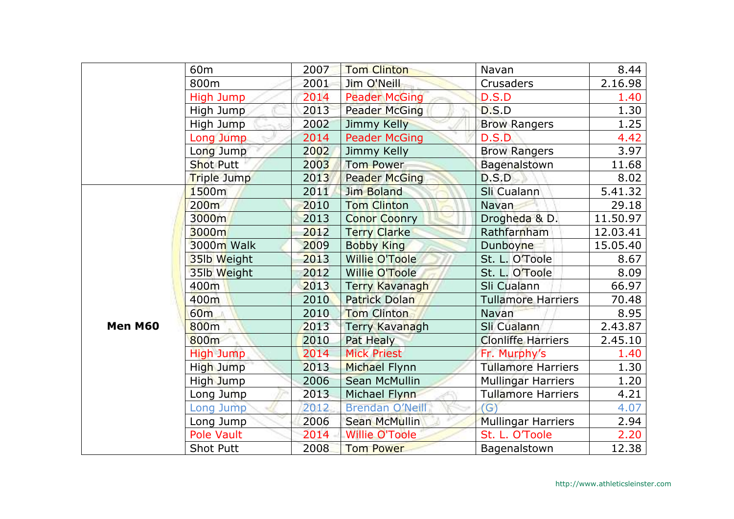|         | 60 <sub>m</sub>  | 2007 | <b>Tom Clinton</b>     | Navan                     | 8.44     |
|---------|------------------|------|------------------------|---------------------------|----------|
|         | 800m             | 2001 | Jim O'Neill            | Crusaders                 | 2.16.98  |
|         | High Jump        | 2014 | <b>Peader McGing</b>   | D.S.D                     | 1.40     |
|         | High Jump        | 2013 | <b>Peader McGing</b>   | D.S.D                     | 1.30     |
|         | High Jump        | 2002 | Jimmy Kelly            | <b>Brow Rangers</b>       | 1.25     |
|         | Long Jump        | 2014 | <b>Peader McGing</b>   | D.S.D                     | 4.42     |
|         | Long Jump        | 2002 | Jimmy Kelly            | <b>Brow Rangers</b>       | 3.97     |
|         | <b>Shot Putt</b> | 2003 | <b>Tom Power</b>       | Bagenalstown              | 11.68    |
|         | Triple Jump      | 2013 | <b>Peader McGing</b>   | D.S.D                     | 8.02     |
|         | 1500m            | 2011 | Jim Boland             | Sli Cualann               | 5.41.32  |
|         | 200 <sub>m</sub> | 2010 | <b>Tom Clinton</b>     | Navan                     | 29.18    |
|         | 3000m            | 2013 | <b>Conor Coonry</b>    | Drogheda & D.             | 11.50.97 |
|         | 3000m            | 2012 | <b>Terry Clarke</b>    | Rathfarnham               | 12.03.41 |
|         | 3000m Walk       | 2009 | <b>Bobby King</b>      | Dunboyne                  | 15.05.40 |
|         | 35lb Weight      | 2013 | <b>Willie O'Toole</b>  | St. L. O'Toole            | 8.67     |
|         | 35lb Weight      | 2012 | <b>Willie O'Toole</b>  | St. L. O'Toole            | 8.09     |
|         | 400m             | 2013 | <b>Terry Kavanagh</b>  | Sli Cualann               | 66.97    |
|         | 400m             | 2010 | <b>Patrick Dolan</b>   | <b>Tullamore Harriers</b> | 70.48    |
|         | 60m              | 2010 | <b>Tom Clinton</b>     | Navan                     | 8.95     |
| Men M60 | 800m             | 2013 | <b>Terry Kavanagh</b>  | Sli Cualann               | 2.43.87  |
|         | 800m             | 2010 | Pat Healy              | <b>Clonliffe Harriers</b> | 2.45.10  |
|         | <b>High Jump</b> | 2014 | <b>Mick Priest</b>     | Fr. Murphy's              | 1.40     |
|         | High Jump        | 2013 | Michael Flynn          | <b>Tullamore Harriers</b> | 1.30     |
|         | High Jump        | 2006 | <b>Sean McMullin</b>   | <b>Mullingar Harriers</b> | 1.20     |
|         | Long Jump        | 2013 | Michael Flynn          | <b>Tullamore Harriers</b> | 4.21     |
|         | Long Jump        | 2012 | <b>Brendan O'Neill</b> | (G)                       | 4.07     |
|         | Long Jump        | 2006 | <b>Sean McMullin</b>   | <b>Mullingar Harriers</b> | 2.94     |
|         | Pole Vault       | 2014 | <b>Willie O'Toole</b>  | St. L. O'Toole            | 2.20     |
|         | <b>Shot Putt</b> | 2008 | <b>Tom Power</b>       | Bagenalstown              | 12.38    |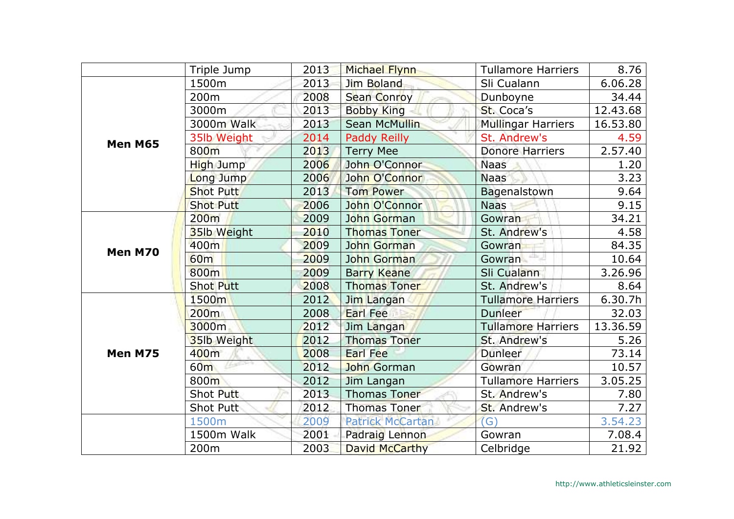|         | Triple Jump      | 2013 | <b>Michael Flynn</b>    | <b>Tullamore Harriers</b> | 8.76     |
|---------|------------------|------|-------------------------|---------------------------|----------|
|         | 1500m            | 2013 | Jim Boland              | Sli Cualann               | 6.06.28  |
|         | 200m             | 2008 | <b>Sean Conroy</b>      | Dunboyne                  | 34.44    |
|         | 3000m            | 2013 | <b>Bobby King</b>       | St. Coca's                | 12.43.68 |
|         | 3000m Walk       | 2013 | <b>Sean McMullin</b>    | <b>Mullingar Harriers</b> | 16.53.80 |
| Men M65 | 35lb Weight      | 2014 | Paddy Reilly            | St. Andrew's              | 4.59     |
|         | 800 <sub>m</sub> | 2013 | <b>Terry Mee</b>        | <b>Donore Harriers</b>    | 2.57.40  |
|         | High Jump        | 2006 | John O'Connor           | <b>Naas</b>               | 1.20     |
|         | Long Jump        | 2006 | John O'Connor           | <b>Naas</b>               | 3.23     |
|         | <b>Shot Putt</b> | 2013 | <b>Tom Power</b>        | Bagenalstown              | 9.64     |
|         | <b>Shot Putt</b> | 2006 | John O'Connor           | <b>Naas</b>               | 9.15     |
|         | 200m             | 2009 | John Gorman             | Gowran                    | 34.21    |
|         | 35lb Weight      | 2010 | <b>Thomas Toner</b>     | St. Andrew's              | 4.58     |
| Men M70 | 400m             | 2009 | <b>John Gorman</b>      | Gowran                    | 84.35    |
|         | <b>60m</b>       | 2009 | John Gorman             | Gowran                    | 10.64    |
|         | 800m             | 2009 | <b>Barry Keane</b>      | Sli Cualann               | 3.26.96  |
|         | <b>Shot Putt</b> | 2008 | <b>Thomas Toner</b>     | St. Andrew's              | 8.64     |
|         | 1500m            | 2012 | Jim Langan              | <b>Tullamore Harriers</b> | 6.30.7h  |
|         | 200 <sub>m</sub> | 2008 | <b>Earl Fee</b>         | Dunleer                   | 32.03    |
|         | 3000m            | 2012 | Jim Langan              | <b>Tullamore Harriers</b> | 13.36.59 |
|         | 35lb Weight      | 2012 | <b>Thomas Toner</b>     | St. Andrew's              | 5.26     |
| Men M75 | 400m             | 2008 | <b>Earl Fee</b>         | Dunleer                   | 73.14    |
|         | 60 <sub>m</sub>  | 2012 | John Gorman             | Gowran                    | 10.57    |
|         | 800m             | 2012 | Jim Langan              | <b>Tullamore Harriers</b> | 3.05.25  |
|         | Shot Putt        | 2013 | <b>Thomas Toner</b>     | St. Andrew's              | 7.80     |
|         | Shot Putt        | 2012 | <b>Thomas Toner</b>     | St. Andrew's              | 7.27     |
|         | 1500m            | 2009 | <b>Patrick McCartan</b> | (G)                       | 3.54.23  |
|         | 1500m Walk       | 2001 | Padraig Lennon          | Gowran                    | 7.08.4   |
|         | 200m             | 2003 | <b>David McCarthy</b>   | Celbridge                 | 21.92    |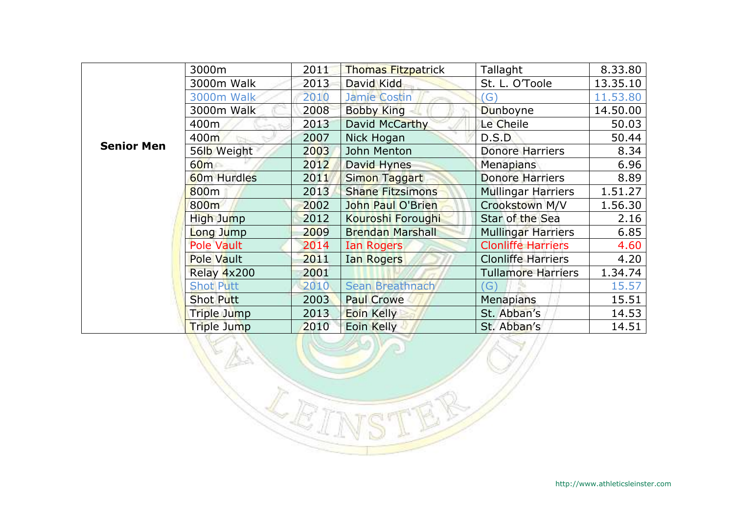|                   | 3000m              | 2011 | <b>Thomas Fitzpatrick</b> | Tallaght                  | 8.33.80  |
|-------------------|--------------------|------|---------------------------|---------------------------|----------|
|                   | 3000m Walk         | 2013 | David Kidd                | St. L. O'Toole            | 13.35.10 |
|                   | <b>3000m Walk</b>  | 2010 | Jamie Costin              | $\left( G\right)$         | 11.53.80 |
|                   | 3000m Walk         | 2008 | <b>Bobby King</b>         | Dunboyne                  | 14.50.00 |
|                   | 400m               | 2013 | David McCarthy            | Le Cheile                 | 50.03    |
|                   | 400m               | 2007 | Nick Hogan                | D.S.D                     | 50.44    |
| <b>Senior Men</b> | 56lb Weight        | 2003 | John Menton               | <b>Donore Harriers</b>    | 8.34     |
|                   | 60m                | 2012 | David Hynes               | Menapians                 | 6.96     |
|                   | <b>60m Hurdles</b> | 2011 | Simon Taggart             | <b>Donore Harriers</b>    | 8.89     |
|                   | 800 <sub>m</sub>   | 2013 | <b>Shane Fitzsimons</b>   | <b>Mullingar Harriers</b> | 1.51.27  |
|                   | 800m               | 2002 | John Paul O'Brien         | Crookstown M/V            | 1.56.30  |
|                   | High Jump          | 2012 | Kouroshi Foroughi         | Star of the Sea           | 2.16     |
|                   | Long Jump          | 2009 | <b>Brendan Marshall</b>   | <b>Mullingar Harriers</b> | 6.85     |
|                   | <b>Pole Vault</b>  | 2014 | Ian Rogers                | <b>Clonliffe Harriers</b> | 4.60     |
|                   | <b>Pole Vault</b>  | 2011 | <b>Ian Rogers</b>         | <b>Clonliffe Harriers</b> | 4.20     |
|                   | Relay 4x200        | 2001 |                           | Tullamore Harriers        | 1.34.74  |
|                   | <b>Shot Putt</b>   | 2010 | Sean Breathnach           | G)                        | 15.57    |
|                   | <b>Shot Putt</b>   | 2003 | <b>Paul Crowe</b>         | <b>Menapians</b>          | 15.51    |
|                   | Triple Jump        | 2013 | Eoin Kelly                | St. Abban's               | 14.53    |
|                   | Triple Jump        | 2010 | Eoin Kelly                | St. Abban's               | 14.51    |

 $\mathbb{Z}$ 

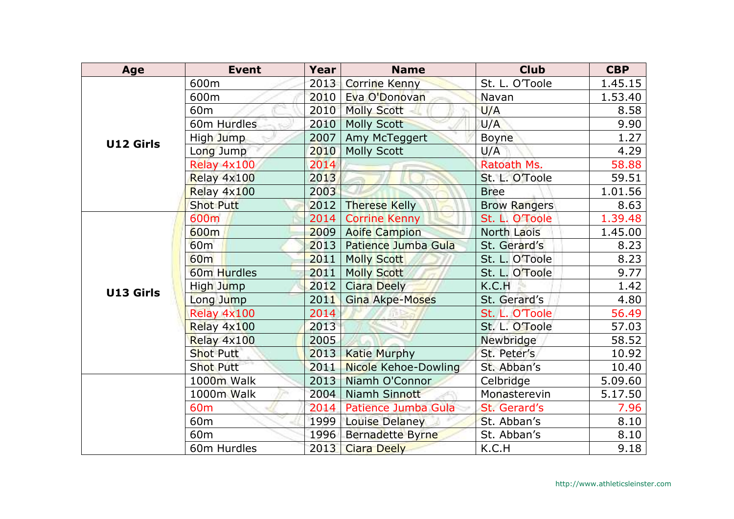| Age       | <b>Event</b>     | Year | <b>Name</b>            | <b>Club</b>         | <b>CBP</b> |
|-----------|------------------|------|------------------------|---------------------|------------|
|           | 600m             | 2013 | <b>Corrine Kenny</b>   | St. L. O'Toole      | 1.45.15    |
|           | 600m             | 2010 | Eva O'Donovan          | Navan               | 1.53.40    |
|           | 60 <sub>m</sub>  | 2010 | <b>Molly Scott</b>     | U/A                 | 8.58       |
|           | 60m Hurdles      | 2010 | <b>Molly Scott</b>     | U/A                 | 9.90       |
| U12 Girls | High Jump        | 2007 | Amy McTeggert          | <b>Boyne</b>        | 1.27       |
|           | Long Jump        | 2010 | <b>Molly Scott</b>     | U/A                 | 4.29       |
|           | Relay 4x100      | 2014 |                        | Ratoath Ms.         | 58.88      |
|           | Relay 4x100      | 2013 |                        | St. L. O'Toole      | 59.51      |
|           | Relay 4x100      | 2003 |                        | <b>Bree</b>         | 1.01.56    |
|           | <b>Shot Putt</b> | 2012 | <b>Therese Kelly</b>   | <b>Brow Rangers</b> | 8.63       |
|           | 600m             | 2014 | <b>Corrine Kenny</b>   | St. L. O'Toole      | 1.39.48    |
|           | 600m             | 2009 | <b>Aoife Campion</b>   | North Laois         | 1.45.00    |
|           | <b>60m</b>       | 2013 | Patience Jumba Gula    | St. Gerard's        | 8.23       |
|           | 60 <sub>m</sub>  | 2011 | <b>Molly Scott</b>     | St. L. O'Toole      | 8.23       |
|           | 60m Hurdles      | 2011 | <b>Molly Scott</b>     | St. L. O'Toole      | 9.77       |
| U13 Girls | High Jump        | 2012 | <b>Ciara Deely</b>     | K.C.H               | 1.42       |
|           | Long Jump        | 2011 | <b>Gina Akpe-Moses</b> | St. Gerard's        | 4.80       |
|           | Relay 4x100      | 2014 |                        | St. L. O'Toole      | 56.49      |
|           | Relay 4x100      | 2013 |                        | St. L. O'Toole      | 57.03      |
|           | Relay 4x100      | 2005 |                        | Newbridge           | 58.52      |
|           | <b>Shot Putt</b> | 2013 | <b>Katie Murphy</b>    | St. Peter's         | 10.92      |
|           | <b>Shot Putt</b> | 2011 | Nicole Kehoe-Dowling   | St. Abban's         | 10.40      |
|           | 1000m Walk       | 2013 | Niamh O'Connor         | Celbridge           | 5.09.60    |
|           | 1000m Walk       | 2004 | Niamh Sinnott          | Monasterevin        | 5.17.50    |
|           | 60 <sub>m</sub>  | 2014 | Patience Jumba Gula    | St. Gerard's        | 7.96       |
|           | 60 <sub>m</sub>  | 1999 | Louise Delaney         | St. Abban's         | 8.10       |
|           | 60 <sub>m</sub>  | 1996 | Bernadette Byrne       | St. Abban's         | 8.10       |
|           | 60m Hurdles      | 2013 | <b>Ciara Deely</b>     | K.C.H               | 9.18       |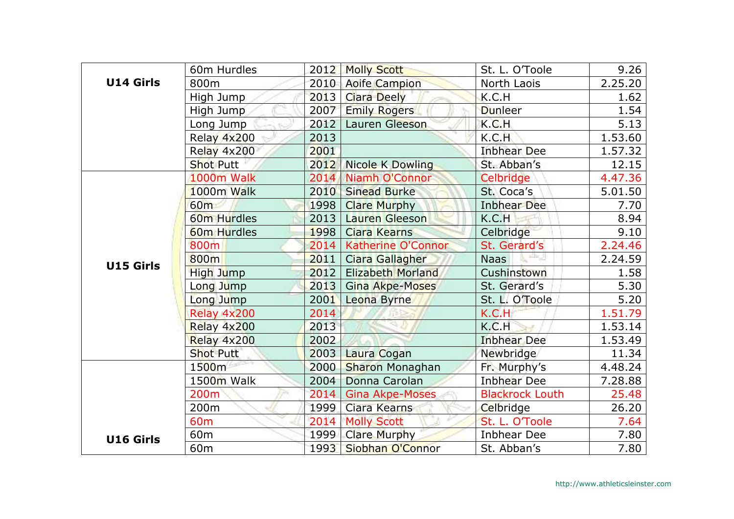|                  | 60m Hurdles      | 2012 | <b>Molly Scott</b>       | St. L. O'Toole         | 9.26    |
|------------------|------------------|------|--------------------------|------------------------|---------|
| <b>U14 Girls</b> | 800m             | 2010 | <b>Aoife Campion</b>     | North Laois            | 2.25.20 |
|                  | High Jump        | 2013 | <b>Ciara Deely</b>       | K.C.H                  | 1.62    |
|                  | High Jump        | 2007 | <b>Emily Rogers</b>      | <b>Dunleer</b>         | 1.54    |
|                  | Long Jump        | 2012 | Lauren Gleeson           | K.C.H                  | 5.13    |
|                  | Relay 4x200      | 2013 |                          | K.C.H                  | 1.53.60 |
|                  | Relay 4x200      | 2001 |                          | <b>Inbhear Dee</b>     | 1.57.32 |
|                  | <b>Shot Putt</b> | 2012 | Nicole K Dowling         | St. Abban's            | 12.15   |
|                  | 1000m Walk       | 2014 | Niamh O'Connor           | Celbridge              | 4.47.36 |
|                  | 1000m Walk       | 2010 | <b>Sinead Burke</b>      | St. Coca's             | 5.01.50 |
|                  | 60 <sub>m</sub>  | 1998 | <b>Clare Murphy</b>      | <b>Inbhear Dee</b>     | 7.70    |
|                  | 60m Hurdles      | 2013 | <b>Lauren Gleeson</b>    | K.C.H                  | 8.94    |
|                  | 60m Hurdles      | 1998 | <b>Ciara Kearns</b>      | Celbridge              | 9.10    |
|                  | 800m             | 2014 | Katherine O'Connor       | St. Gerard's           | 2.24.46 |
| <b>U15 Girls</b> | 800m             | 2011 | Ciara Gallagher          | <b>Naas</b>            | 2.24.59 |
|                  | High Jump        | 2012 | <b>Elizabeth Morland</b> | Cushinstown            | 1.58    |
|                  | Long Jump        | 2013 | <b>Gina Akpe-Moses</b>   | St. Gerard's           | 5.30    |
|                  | Long Jump        | 2001 | Leona Byrne              | St. L. O'Toole         | 5.20    |
|                  | Relay 4x200      | 2014 |                          | K.C.H                  | 1.51.79 |
|                  | Relay 4x200      | 2013 |                          | K.C.H                  | 1.53.14 |
|                  | Relay 4x200      | 2002 |                          | <b>Inbhear Dee</b>     | 1.53.49 |
|                  | <b>Shot Putt</b> | 2003 | Laura Cogan              | Newbridge              | 11.34   |
|                  | 1500m            | 2000 | <b>Sharon Monaghan</b>   | Fr. Murphy's           | 4.48.24 |
|                  | 1500m Walk       | 2004 | Donna Carolan            | <b>Inbhear Dee</b>     | 7.28.88 |
|                  | 200m             | 2014 | <b>Gina Akpe-Moses</b>   | <b>Blackrock Louth</b> | 25.48   |
|                  | 200m             | 1999 | Ciara Kearns             | Celbridge              | 26.20   |
|                  | 60 <sub>m</sub>  | 2014 | <b>Molly Scott</b>       | St. L. O'Toole         | 7.64    |
| <b>U16 Girls</b> | 60 <sub>m</sub>  | 1999 | <b>Clare Murphy</b>      | <b>Inbhear Dee</b>     | 7.80    |
|                  | 60 <sub>m</sub>  | 1993 | Siobhan O'Connor         | St. Abban's            | 7.80    |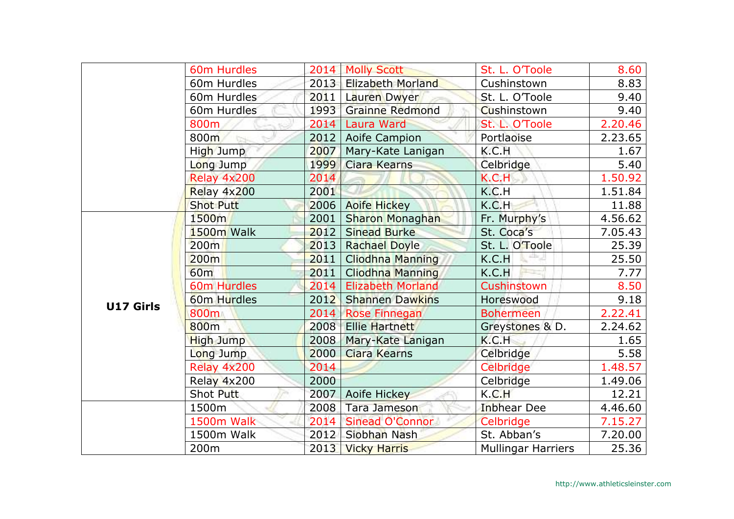|                  | 60m Hurdles        |      | 2014   Molly Scott       | St. L. O'Toole            | 8.60    |
|------------------|--------------------|------|--------------------------|---------------------------|---------|
|                  | 60m Hurdles        | 2013 | <b>Elizabeth Morland</b> | Cushinstown               | 8.83    |
|                  | 60m Hurdles        | 2011 |                          | St. L. O'Toole            | 9.40    |
|                  |                    |      | Lauren Dwyer             |                           |         |
|                  | 60m Hurdles        | 1993 | <b>Grainne Redmond</b>   | Cushinstown               | 9.40    |
|                  | 800m               | 2014 | <b>Laura Ward</b>        | St. L. O'Toole            | 2.20.46 |
|                  | 800m               | 2012 | Aoife Campion            | Portlaoise                | 2.23.65 |
|                  | High Jump          | 2007 | Mary-Kate Lanigan        | K.C.H                     | 1.67    |
|                  | Long Jump          | 1999 | <b>Ciara Kearns</b>      | Celbridge                 | 5.40    |
|                  | Relay 4x200        | 2014 |                          | K.C.H                     | 1.50.92 |
|                  | Relay 4x200        | 2001 |                          | K.C.H                     | 1.51.84 |
|                  | <b>Shot Putt</b>   | 2006 | <b>Aoife Hickey</b>      | K.C.H                     | 11.88   |
|                  | 1500m              | 2001 | Sharon Monaghan          | Fr. Murphy's              | 4.56.62 |
|                  | 1500m Walk         | 2012 | <b>Sinead Burke</b>      | St. Coca's                | 7.05.43 |
|                  | 200m               | 2013 | <b>Rachael Doyle</b>     | St. L. O'Toole            | 25.39   |
|                  | 200m               | 2011 | <b>Cliodhna Manning</b>  | 些。<br>K.C.H               | 25.50   |
|                  | 60 <sub>m</sub>    | 2011 | <b>Cliodhna Manning</b>  | K.C.H                     | 7.77    |
|                  | <b>60m Hurdles</b> | 2014 | <b>Elizabeth Morland</b> | Cushinstown               | 8.50    |
| <b>U17 Girls</b> | 60m Hurdles        | 2012 | <b>Shannen Dawkins</b>   | Horeswood                 | 9.18    |
|                  | 800m               | 2014 | <b>Rose Finnegan</b>     | <b>Bohermeen</b>          | 2.22.41 |
|                  | 800 <sub>m</sub>   | 2008 | <b>Ellie Hartnett</b>    | Greystones & D.           | 2.24.62 |
|                  | <b>High Jump</b>   | 2008 | Mary-Kate Lanigan        | K.C.H                     | 1.65    |
|                  | Long Jump          | 2000 | <b>Ciara Kearns</b>      | Celbridge                 | 5.58    |
|                  | Relay 4x200        | 2014 |                          | Celbridge                 | 1.48.57 |
|                  | Relay 4x200        | 2000 |                          | Celbridge                 | 1.49.06 |
|                  | Shot Putt          | 2007 | Aoife Hickey             | K.C.H                     | 12.21   |
|                  | 1500m              | 2008 | Tara Jameson             | <b>Inbhear Dee</b>        | 4.46.60 |
|                  | 1500m Walk         | 2014 | Sinead O'Connor          | Celbridge                 | 7.15.27 |
|                  | 1500m Walk         | 2012 | Siobhan Nash             | St. Abban's               | 7.20.00 |
|                  | 200m               | 2013 | <b>Vicky Harris</b>      | <b>Mullingar Harriers</b> | 25.36   |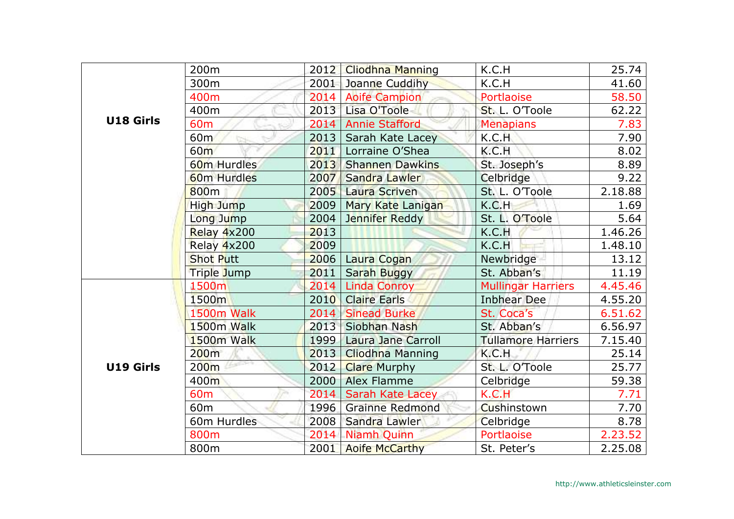|           | 200m                    | 2012 | <b>Cliodhna Manning</b>   | K.C.H                     | 25.74   |
|-----------|-------------------------|------|---------------------------|---------------------------|---------|
|           | 300m                    | 2001 | Joanne Cuddihy            | K.C.H                     | 41.60   |
|           | 400m                    | 2014 | <b>Aoife Campion</b>      | Portlaoise                | 58.50   |
|           | 400m                    | 2013 | Lisa O'Toole              | St. L. O'Toole            | 62.22   |
| U18 Girls | 60 <sub>m</sub>         | 2014 | <b>Annie Stafford</b>     | <b>Menapians</b>          | 7.83    |
|           | 60 <sub>m</sub>         | 2013 | Sarah Kate Lacey          | K.C.H                     | 7.90    |
|           | 60 <sub>m</sub>         | 2011 | Lorraine O'Shea           | K.C.H                     | 8.02    |
|           | 60 <sub>m</sub> Hurdles | 2013 | <b>Shannen Dawkins</b>    | St. Joseph's              | 8.89    |
|           | 60 <sub>m</sub> Hurdles | 2007 | Sandra Lawler             | Celbridge                 | 9.22    |
|           | 800 <sub>m</sub>        | 2005 | Laura Scriven             | St. L. O'Toole            | 2.18.88 |
|           | <b>High Jump</b>        | 2009 | Mary Kate Lanigan         | K.C.H                     | 1.69    |
|           | Long Jump               | 2004 | Jennifer Reddy            | St. L. O'Toole            | 5.64    |
|           | Relay 4x200             | 2013 |                           | K.C.H                     | 1.46.26 |
|           | Relay 4x200             | 2009 |                           | K.C.H                     | 1.48.10 |
|           | <b>Shot Putt</b>        | 2006 | Laura Cogan               | Newbridge                 | 13.12   |
|           | Triple Jump             | 2011 | Sarah Buggy               | St. Abban's               | 11.19   |
|           | 1500m                   | 2014 | <b>Linda Conroy</b>       | <b>Mullingar Harriers</b> | 4.45.46 |
|           | 1500m                   | 2010 | <b>Claire Earls</b>       | <b>Inbhear Dee</b>        | 4.55.20 |
|           | 1500m Walk              | 2014 | <b>Sinead Burke</b>       | St. Coca's                | 6.51.62 |
|           | 1500m Walk              | 2013 | Siobhan Nash              | St. Abban's               | 6.56.97 |
|           | 1500m Walk              | 1999 | <b>Laura Jane Carroll</b> | <b>Tullamore Harriers</b> | 7.15.40 |
|           | 200m                    | 2013 | <b>Cliodhna Manning</b>   | K.C.H                     | 25.14   |
| U19 Girls | 200 <sub>m</sub>        | 2012 | <b>Clare Murphy</b>       | St. L. O'Toole            | 25.77   |
|           | 400m                    | 2000 | <b>Alex Flamme</b>        | Celbridge                 | 59.38   |
|           | 60 <sub>m</sub>         | 2014 | <b>Sarah Kate Lacey</b>   | K.C.H                     | 7.71    |
|           | 60 <sub>m</sub>         | 1996 | <b>Grainne Redmond</b>    | Cushinstown               | 7.70    |
|           | 60m Hurdles             | 2008 | Sandra Lawler             | Celbridge                 | 8.78    |
|           | 800m                    | 2014 | <b>Niamh Quinn</b>        | Portlaoise                | 2.23.52 |
|           | 800m                    | 2001 | <b>Aoife McCarthy</b>     | St. Peter's               | 2.25.08 |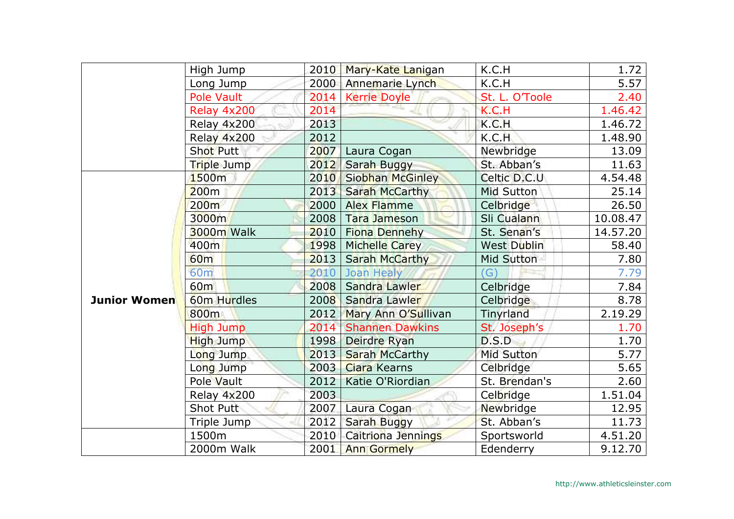|                     | High Jump        | 2010 | Mary-Kate Lanigan       | K.C.H              | 1.72     |
|---------------------|------------------|------|-------------------------|--------------------|----------|
|                     | Long Jump        | 2000 | Annemarie Lynch         | K.C.H              | 5.57     |
|                     | Pole Vault       | 2014 | <b>Kerrie Doyle</b>     | St. L. O'Toole     | 2.40     |
|                     | Relay 4x200      | 2014 |                         | K.C.H              | 1.46.42  |
|                     | Relay 4x200      | 2013 |                         | K.C.H              | 1.46.72  |
|                     | Relay 4x200      | 2012 |                         | K.C.H              | 1.48.90  |
|                     | <b>Shot Putt</b> | 2007 | Laura Cogan             | Newbridge          | 13.09    |
|                     | Triple Jump      | 2012 | Sarah Buggy             | St. Abban's        | 11.63    |
|                     | 1500m            | 2010 | <b>Siobhan McGinley</b> | Celtic D.C.U       | 4.54.48  |
|                     | 200m             | 2013 | <b>Sarah McCarthy</b>   | Mid Sutton         | 25.14    |
|                     | 200 <sub>m</sub> | 2000 | <b>Alex Flamme</b>      | Celbridge          | 26.50    |
|                     | 3000m            | 2008 | <b>Tara Jameson</b>     | Sli Cualann        | 10.08.47 |
|                     | 3000m Walk       | 2010 | <b>Fiona Dennehy</b>    | St. Senan's        | 14.57.20 |
|                     | 400m             | 1998 | <b>Michelle Carey</b>   | <b>West Dublin</b> | 58.40    |
|                     | <b>60m</b>       | 2013 | <b>Sarah McCarthy</b>   | Mid Sutton         | 7.80     |
|                     | 60 <sub>m</sub>  | 2010 | Joan Healy              | G)                 | 7.79     |
|                     | 60 <sub>m</sub>  | 2008 | Sandra Lawler           | Celbridge          | 7.84     |
| <b>Junior Women</b> | 60m Hurdles      | 2008 | Sandra Lawler           | Celbridge          | 8.78     |
|                     | 800m             | 2012 | Mary Ann O'Sullivan     | Tinyrland          | 2.19.29  |
|                     | <b>High Jump</b> | 2014 | <b>Shannen Dawkins</b>  | St. Joseph's       | 1.70     |
|                     | <b>High Jump</b> | 1998 | Deirdre Ryan            | D.S.D              | 1.70     |
|                     | Long Jump        | 2013 | <b>Sarah McCarthy</b>   | <b>Mid Sutton</b>  | 5.77     |
|                     | Long Jump        | 2003 | <b>Ciara Kearns</b>     | Celbridge          | 5.65     |
|                     | Pole Vault       | 2012 | Katie O'Riordian        | St. Brendan's      | 2.60     |
|                     | Relay 4x200      | 2003 |                         | Celbridge          | 1.51.04  |
|                     | Shot Putt        | 2007 | Laura Cogan             | Newbridge          | 12.95    |
|                     | Triple Jump      | 2012 | Sarah Buggy             | St. Abban's        | 11.73    |
|                     | 1500m            | 2010 | Caitriona Jennings      | Sportsworld        | 4.51.20  |
|                     | 2000m Walk       | 2001 | <b>Ann Gormely</b>      | Edenderry          | 9.12.70  |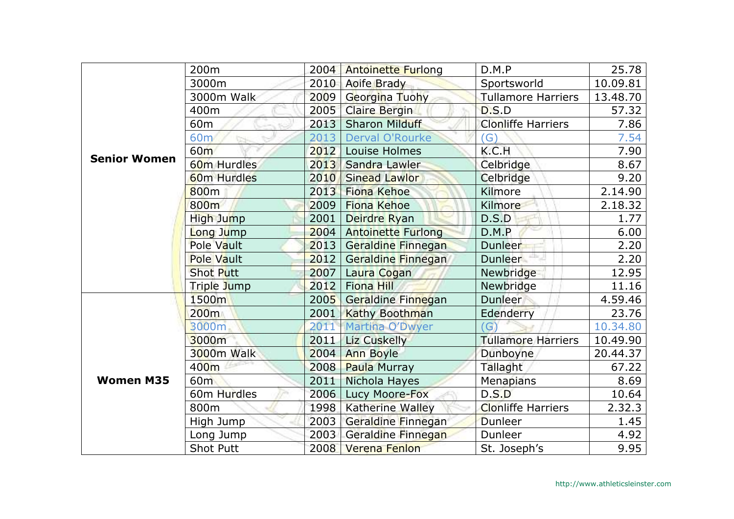|                     | 200m               | 2004 | <b>Antoinette Furlong</b> | D.M.P                     | 25.78    |
|---------------------|--------------------|------|---------------------------|---------------------------|----------|
|                     | 3000m              | 2010 | <b>Aoife Brady</b>        | Sportsworld               | 10.09.81 |
|                     | 3000m Walk         | 2009 | Georgina Tuohy            | <b>Tullamore Harriers</b> | 13.48.70 |
|                     | 400m               | 2005 | <b>Claire Bergin</b>      | D.S.D                     | 57.32    |
|                     | 60 <sub>m</sub>    | 2013 | <b>Sharon Milduff</b>     | <b>Clonliffe Harriers</b> | 7.86     |
|                     | 60 <sub>m</sub>    | 2013 | Derval O'Rourke           | $\mathsf{(G)}$            | 7.54     |
|                     | 60 <sub>m</sub>    | 2012 | Louise Holmes             | K.C.H                     | 7.90     |
| <b>Senior Women</b> | 60m Hurdles        | 2013 | Sandra Lawler             | Celbridge                 | 8.67     |
|                     | <b>60m Hurdles</b> | 2010 | <b>Sinead Lawlor</b>      | Celbridge                 | 9.20     |
|                     | 800 <sub>m</sub>   | 2013 | <b>Fiona Kehoe</b>        | Kilmore                   | 2.14.90  |
|                     | 800m               | 2009 | <b>Fiona Kehoe</b>        | Kilmore                   | 2.18.32  |
|                     | High Jump          | 2001 | Deirdre Ryan              | D.S.D                     | 1.77     |
|                     | Long Jump          | 2004 | <b>Antoinette Furlong</b> | D.M.P                     | 6.00     |
|                     | Pole Vault         | 2013 | Geraldine Finnegan        | <b>Dunleer</b>            | 2.20     |
|                     | <b>Pole Vault</b>  | 2012 | Geraldine Finnegan        | Dunleer <b>Fig.</b>       | 2.20     |
|                     | <b>Shot Putt</b>   | 2007 | Laura Cogan               | Newbridge                 | 12.95    |
|                     | Triple Jump        | 2012 | Fiona Hill                | Newbridge                 | 11.16    |
|                     | 1500m              | 2005 | Geraldine Finnegan        | Dunleer                   | 4.59.46  |
|                     | 200m               | 2001 | <b>Kathy Boothman</b>     | Edenderry                 | 23.76    |
|                     | 3000m              | 2011 | Martina O'Dwyer           | G)                        | 10.34.80 |
|                     | 3000m              | 2011 | <b>Liz Cuskelly</b>       | <b>Tullamore Harriers</b> | 10.49.90 |
|                     | 3000m Walk         | 2004 | <b>Ann Boyle</b>          | Dunboyne                  | 20.44.37 |
|                     | 400m               | 2008 | Paula Murray              | Tallaght                  | 67.22    |
| <b>Women M35</b>    | 60 <sub>m</sub>    | 2011 | Nichola Hayes             | <b>Menapians</b>          | 8.69     |
|                     | 60m Hurdles        | 2006 | Lucy Moore-Fox            | D.S.D                     | 10.64    |
|                     | 800m               | 1998 | <b>Katherine Walley</b>   | <b>Clonliffe Harriers</b> | 2.32.3   |
|                     | High Jump          | 2003 | Geraldine Finnegan        | Dunleer                   | 1.45     |
|                     | Long Jump          | 2003 | Geraldine Finnegan        | Dunleer                   | 4.92     |
|                     | <b>Shot Putt</b>   | 2008 | <b>Verena Fenlon</b>      | St. Joseph's              | 9.95     |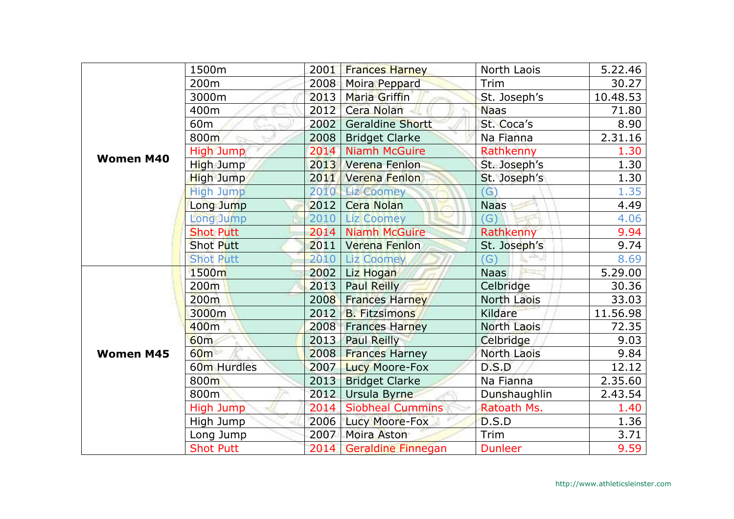|                  | 1500m                   | 2001 | <b>Frances Harney</b>     | North Laois               | 5.22.46  |
|------------------|-------------------------|------|---------------------------|---------------------------|----------|
|                  | 200 <sub>m</sub>        | 2008 | <b>Moira Peppard</b>      | Trim                      | 30.27    |
|                  | 3000m                   | 2013 | Maria Griffin             | St. Joseph's              | 10.48.53 |
|                  | 400m                    | 2012 | Cera Nolan                | <b>Naas</b>               | 71.80    |
|                  | 60 <sub>m</sub>         | 2002 | <b>Geraldine Shortt</b>   | St. Coca's                | 8.90     |
|                  | 800m                    | 2008 | <b>Bridget Clarke</b>     | Na Fianna                 | 2.31.16  |
| <b>Women M40</b> | <b>High Jump</b>        | 2014 | <b>Niamh McGuire</b>      | Rathkenny                 | 1.30     |
|                  | High Jump               | 2013 | Verena Fenlon             | St. Joseph's              | 1.30     |
|                  | <b>High Jump</b>        | 2011 | Verena Fenlon             | St. Joseph's              | 1.30     |
|                  | <b>High Jump</b>        |      | 2010 Liz Coomey           | (G)                       | 1.35     |
|                  | Long Jump               | 2012 | <b>Cera Nolan</b>         | <b>Naas</b>               | 4.49     |
|                  | Long Jump               | 2010 | <b>Liz Coomey</b>         | $\overline{G}$            | 4.06     |
|                  | <b>Shot Putt</b>        | 2014 | <b>Niamh McGuire</b>      | Rathkenny                 | 9.94     |
|                  | <b>Shot Putt</b>        | 2011 | <b>Verena Fenlon</b>      | St. Joseph's              | 9.74     |
|                  | <b>Shot Putt</b>        | 2010 | <b>Liz Coomey</b>         | atta: JI<br>$\mathcal{G}$ | 8.69     |
|                  | 1500m                   | 2002 | Liz Hogan                 | <b>Naas</b>               | 5.29.00  |
|                  | 200m                    | 2013 | <b>Paul Reilly</b>        | Celbridge                 | 30.36    |
|                  | 200 <sub>m</sub>        | 2008 | <b>Frances Harney</b>     | North Laois               | 33.03    |
|                  | 3000m                   | 2012 | <b>B.</b> Fitzsimons      | Kildare                   | 11.56.98 |
|                  | 400m                    | 2008 | <b>Frances Harney</b>     | North Laois               | 72.35    |
|                  | <b>60m</b>              | 2013 | <b>Paul Reilly</b>        | Celbridge                 | 9.03     |
| <b>Women M45</b> | 60 <sub>m</sub>         | 2008 | <b>Frances Harney</b>     | North Laois               | 9.84     |
|                  | 60 <sub>m</sub> Hurdles | 2007 | <b>Lucy Moore-Fox</b>     | D.S.D                     | 12.12    |
|                  | 800m                    | 2013 | <b>Bridget Clarke</b>     | Na Fianna                 | 2.35.60  |
|                  | 800m                    | 2012 | Ursula Byrne              | Dunshaughlin              | 2.43.54  |
|                  | High Jump               | 2014 | <b>Siobheal Cummins</b>   | Ratoath Ms.               | 1.40     |
|                  | High Jump               | 2006 | Lucy Moore-Fox            | D.S.D                     | 1.36     |
|                  | Long Jump               | 2007 | Moira Aston               | Trim                      | 3.71     |
|                  | <b>Shot Putt</b>        | 2014 | <b>Geraldine Finnegan</b> | <b>Dunleer</b>            | 9.59     |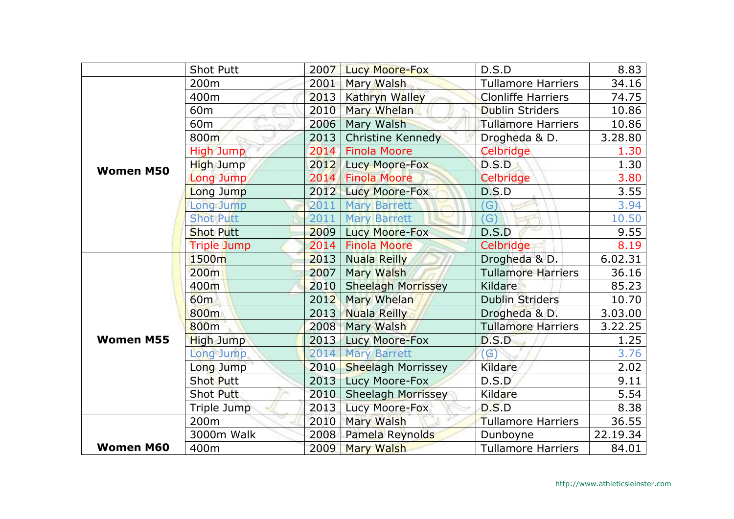|                                      | <b>Shot Putt</b>   | 2007 | <b>Lucy Moore-Fox</b>     | D.S.D                     | 8.83     |
|--------------------------------------|--------------------|------|---------------------------|---------------------------|----------|
|                                      | 200 <sub>m</sub>   | 2001 | Mary Walsh                | <b>Tullamore Harriers</b> | 34.16    |
|                                      | 400m               | 2013 | Kathryn Walley            | <b>Clonliffe Harriers</b> | 74.75    |
|                                      | 60 <sub>m</sub>    | 2010 | Mary Whelan               | <b>Dublin Striders</b>    | 10.86    |
|                                      | 60 <sub>m</sub>    | 2006 | <b>Mary Walsh</b>         | <b>Tullamore Harriers</b> | 10.86    |
|                                      | 800m               | 2013 | <b>Christine Kennedy</b>  | Drogheda & D.             | 3.28.80  |
|                                      | High Jump          | 2014 | <b>Finola Moore</b>       | Celbridge                 | 1.30     |
|                                      | High Jump          | 2012 | Lucy Moore-Fox            | D.S.D                     | 1.30     |
|                                      | Long Jump          | 2014 | <b>Finola Moore</b>       | Celbridge                 | 3.80     |
|                                      | Long Jump          | 2012 | Lucy Moore-Fox            | D.S.D                     | 3.55     |
|                                      | Long Jump          | 2011 | <b>Mary Barrett</b>       | $\mathcal{G}$             | 3.94     |
|                                      | <b>Shot Putt</b>   | 2011 | <b>Mary Barrett</b>       | $\mathcal{G}$             | 10.50    |
|                                      | <b>Shot Putt</b>   | 2009 | <b>Lucy Moore-Fox</b>     | D.S.D                     | 9.55     |
|                                      | <b>Triple Jump</b> | 2014 | <b>Finola Moore</b>       | Celbridge                 | 8.19     |
| <b>Women M50</b><br><b>Women M55</b> | 1500m              | 2013 | <b>Nuala Reilly</b>       | Drogheda & D.             | 6.02.31  |
|                                      | 200 <sub>m</sub>   | 2007 | Mary Walsh                | <b>Tullamore Harriers</b> | 36.16    |
|                                      | 400m               | 2010 | <b>Sheelagh Morrissey</b> | <b>Kildare</b>            | 85.23    |
|                                      | 60 <sub>m</sub>    | 2012 | Mary Whelan               | <b>Dublin Striders</b>    | 10.70    |
|                                      | 800m               | 2013 | <b>Nuala Reilly</b>       | Drogheda & D.             | 3.03.00  |
|                                      | 800 <sub>m</sub>   | 2008 | Mary Walsh                | <b>Tullamore Harriers</b> | 3.22.25  |
|                                      | <b>High Jump</b>   | 2013 | Lucy Moore-Fox            | D.S.D                     | 1.25     |
|                                      | Long Jump          | 2014 | <b>Mary Barrett</b>       | $\left( G\right)$         | 3.76     |
|                                      | Long Jump          | 2010 | <b>Sheelagh Morrissey</b> | Kildare                   | 2.02     |
|                                      | Shot Putt          | 2013 | Lucy Moore-Fox            | D.S.D                     | 9.11     |
|                                      | Shot Putt          | 2010 | <b>Sheelagh Morrissey</b> | Kildare                   | 5.54     |
|                                      | Triple Jump        | 2013 | Lucy Moore-Fox            | D.S.D                     | 8.38     |
|                                      | 200 <sub>m</sub>   | 2010 | Mary Walsh                | <b>Tullamore Harriers</b> | 36.55    |
|                                      | 3000m Walk         | 2008 | Pamela Reynolds           | Dunboyne                  | 22.19.34 |
| <b>Women M60</b>                     | 400m               | 2009 | <b>Mary Walsh</b>         | <b>Tullamore Harriers</b> | 84.01    |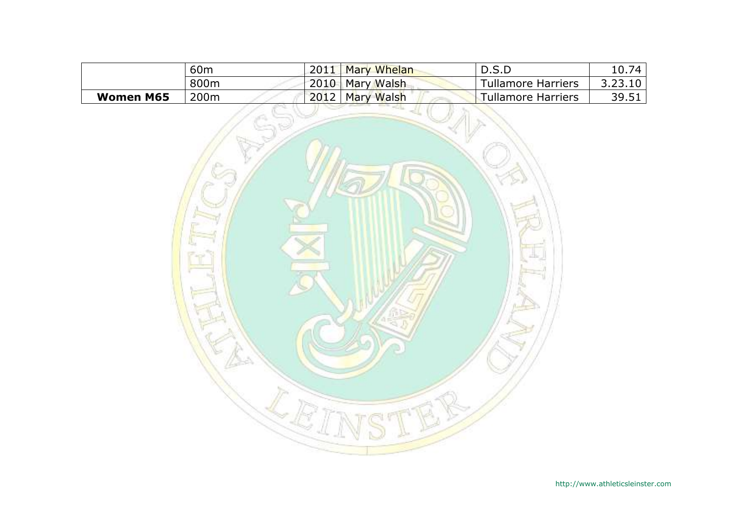|                  | 60 <sub>m</sub> | 2011 | <b>Mary Whelan</b> | D.S.D                     | 10.74   |
|------------------|-----------------|------|--------------------|---------------------------|---------|
|                  | 800m            |      | 2010 Mary Walsh    | <b>Tullamore Harriers</b> | 3.23.10 |
| <b>Women M65</b> | 200m            |      | 2012 Mary Walsh    | Tullamore Harriers        | 39.51   |

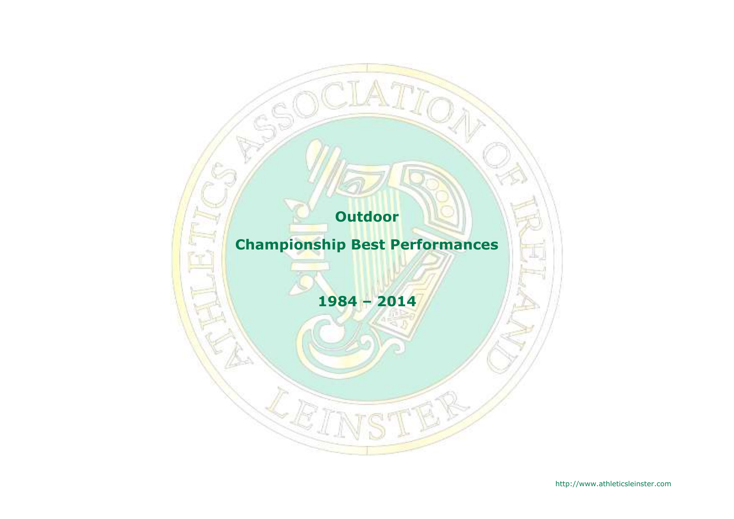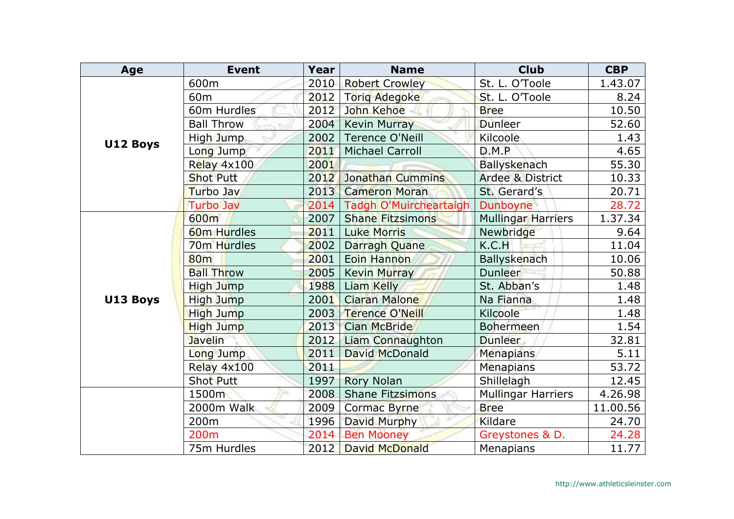| Age      | <b>Event</b>            | Year | <b>Name</b>             | <b>Club</b>                 | <b>CBP</b> |
|----------|-------------------------|------|-------------------------|-----------------------------|------------|
|          | 600m                    | 2010 | <b>Robert Crowley</b>   | St. L. O'Toole              | 1.43.07    |
|          | 60 <sub>m</sub>         | 2012 | <b>Torig Adegoke</b>    | St. L. O'Toole              | 8.24       |
|          | 60m Hurdles             | 2012 | John Kehoe              | <b>Bree</b>                 | 10.50      |
|          | <b>Ball Throw</b>       | 2004 | <b>Kevin Murray</b>     | <b>Dunleer</b>              | 52.60      |
| U12 Boys | High Jump               | 2002 | <b>Terence O'Neill</b>  | <b>Kilcoole</b>             | 1.43       |
|          | Long Jump               | 2011 | <b>Michael Carroll</b>  | D.M.P                       | 4.65       |
|          | Relay 4x100             | 2001 |                         | Ballyskenach                | 55.30      |
|          | <b>Shot Putt</b>        | 2012 | Jonathan Cummins        | <b>Ardee &amp; District</b> | 10.33      |
|          | Turbo Jav               | 2013 | <b>Cameron Moran</b>    | St. Gerard's                | 20.71      |
|          | <b>Turbo Jav</b>        | 2014 | Tadgh O'Muircheartaigh  | Dunboyne                    | 28.72      |
|          | 600m                    | 2007 | <b>Shane Fitzsimons</b> | <b>Mullingar Harriers</b>   | 1.37.34    |
|          | 60 <sub>m</sub> Hurdles | 2011 | <b>Luke Morris</b>      | Newbridge                   | 9.64       |
|          | 70 <sub>m</sub> Hurdles | 2002 | Darragh Quane           | K.C.H                       | 11.04      |
|          | <b>80m</b>              | 2001 | Eoin Hannon             | <b>Ballyskenach</b>         | 10.06      |
|          | <b>Ball Throw</b>       | 2005 | <b>Kevin Murray</b>     | Dunleer                     | 50.88      |
|          | High Jump               | 1988 | Liam Kelly              | St. Abban's                 | 1.48       |
| U13 Boys | High Jump               | 2001 | <b>Ciaran Malone</b>    | Na Fianna                   | 1.48       |
|          | <b>High Jump</b>        | 2003 | Terence O'Neill         | Kilcoole                    | 1.48       |
|          | <b>High Jump</b>        | 2013 | <b>Cian McBride</b>     | <b>Bohermeen</b>            | 1.54       |
|          | <b>Javelin</b>          | 2012 | Liam Connaughton        | <b>Dunleer</b>              | 32.81      |
|          | Long Jump               | 2011 | David McDonald          | Menapians                   | 5.11       |
|          | Relay 4x100             | 2011 |                         | <b>Menapians</b>            | 53.72      |
|          | Shot Putt               | 1997 | <b>Rory Nolan</b>       | Shillelagh                  | 12.45      |
|          | 1500m                   | 2008 | <b>Shane Fitzsimons</b> | <b>Mullingar Harriers</b>   | 4.26.98    |
|          | 2000m Walk              | 2009 | <b>Cormac Byrne</b>     | <b>Bree</b>                 | 11.00.56   |
|          | 200 <sub>m</sub>        | 1996 | David Murphy            | Kildare                     | 24.70      |
|          | 200 <sub>m</sub>        | 2014 | <b>Ben Mooney</b>       | Greystones & D.             | 24.28      |
|          | 75m Hurdles             | 2012 | <b>David McDonald</b>   | Menapians                   | 11.77      |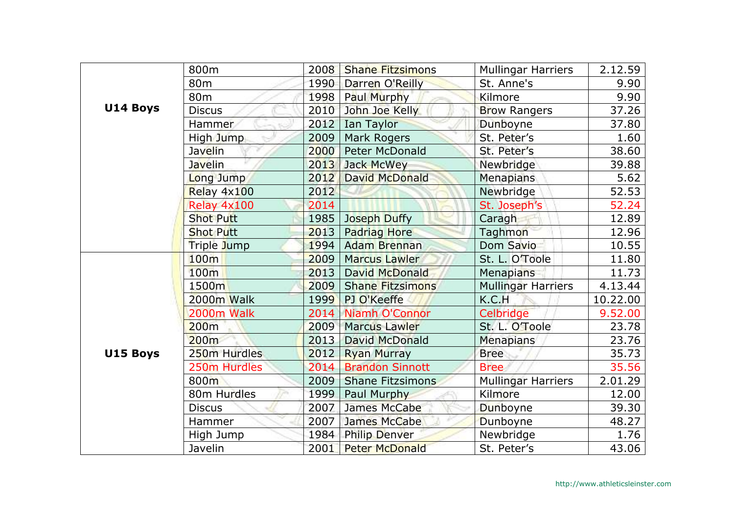|          | 800m              | 2008 | <b>Shane Fitzsimons</b> | <b>Mullingar Harriers</b> | 2.12.59  |
|----------|-------------------|------|-------------------------|---------------------------|----------|
|          | 80 <sub>m</sub>   | 1990 | Darren O'Reilly         | St. Anne's                | 9.90     |
|          | 80 <sub>m</sub>   | 1998 | Paul Murphy             | Kilmore                   | 9.90     |
| U14 Boys | <b>Discus</b>     | 2010 | John Joe Kelly          | <b>Brow Rangers</b>       | 37.26    |
|          | Hammer            | 2012 | Ian Taylor              | Dunboyne                  | 37.80    |
|          | High Jump         | 2009 | Mark Rogers             | St. Peter's               | 1.60     |
|          | Javelin           | 2000 | <b>Peter McDonald</b>   | St. Peter's               | 38.60    |
|          | Javelin           | 2013 | Jack McWey              | Newbridge                 | 39.88    |
|          | Long Jump         | 2012 | <b>David McDonald</b>   | <b>Menapians</b>          | 5.62     |
|          | Relay 4x100       | 2012 |                         | Newbridge                 | 52.53    |
|          | Relay 4x100       | 2014 |                         | St. Joseph's              | 52.24    |
|          | <b>Shot Putt</b>  | 1985 | Joseph Duffy            | Caragh                    | 12.89    |
|          | <b>Shot Putt</b>  | 2013 | <b>Padriag Hore</b>     | Taghmon                   | 12.96    |
|          | Triple Jump       | 1994 | <b>Adam Brennan</b>     | Dom Savio                 | 10.55    |
|          | 100m              | 2009 | <b>Marcus Lawler</b>    | St. L. O'Toole            | 11.80    |
|          | 100m              | 2013 | David McDonald          | Menapians                 | 11.73    |
|          | 1500 <sub>m</sub> | 2009 | <b>Shane Fitzsimons</b> | <b>Mullingar Harriers</b> | 4.13.44  |
|          | 2000m Walk        | 1999 | PJ O'Keeffe             | K.C.H                     | 10.22.00 |
|          | 2000m Walk        | 2014 | Niamh O'Connor          | Celbridge                 | 9.52.00  |
|          | 200m              | 2009 | <b>Marcus Lawler</b>    | St. L. O'Toole            | 23.78    |
|          | 200m              | 2013 | David McDonald          | <b>Menapians</b>          | 23.76    |
| U15 Boys | 250m Hurdles      | 2012 | <b>Ryan Murray</b>      | <b>Bree</b>               | 35.73    |
|          | 250m Hurdles      | 2014 | <b>Brandon Sinnott</b>  | <b>Bree</b>               | 35.56    |
|          | 800m              | 2009 | <b>Shane Fitzsimons</b> | <b>Mullingar Harriers</b> | 2.01.29  |
|          | 80m Hurdles       | 1999 | Paul Murphy             | Kilmore                   | 12.00    |
|          | <b>Discus</b>     | 2007 | James McCabe            | Dunboyne                  | 39.30    |
|          | Hammer            | 2007 | James McCabe            | Dunboyne                  | 48.27    |
|          | High Jump         | 1984 | <b>Philip Denver</b>    | Newbridge                 | 1.76     |
|          | Javelin           | 2001 | <b>Peter McDonald</b>   | St. Peter's               | 43.06    |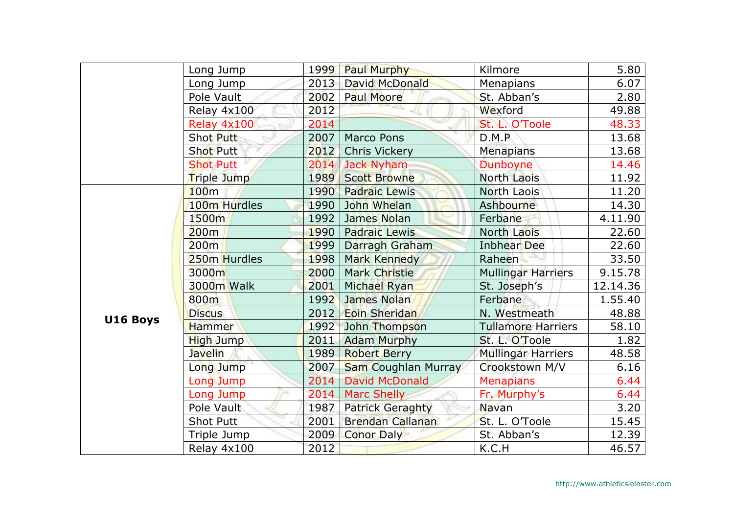|          | Long Jump          | 1999 | <b>Paul Murphy</b>         | Kilmore                   | 5.80     |
|----------|--------------------|------|----------------------------|---------------------------|----------|
|          | Long Jump          | 2013 | David McDonald             | <b>Menapians</b>          | 6.07     |
|          | Pole Vault         | 2002 | Paul Moore                 | St. Abban's               | 2.80     |
|          | Relay 4x100        | 2012 |                            | Wexford                   | 49.88    |
|          | Relay 4x100        | 2014 |                            | St. L. O'Toole            | 48.33    |
|          | Shot Putt          | 2007 | <b>Marco Pons</b>          | D.M.P                     | 13.68    |
|          | <b>Shot Putt</b>   | 2012 | <b>Chris Vickery</b>       | <b>Menapians</b>          | 13.68    |
|          | <b>Shot Putt</b>   |      | 2014 Jack Nyham            | Dunboyne                  | 14.46    |
|          | <b>Triple Jump</b> | 1989 | <b>Scott Browne</b>        | <b>North Laois</b>        | 11.92    |
|          | 100m               | 1990 | <b>Padraic Lewis</b>       | North Laois               | 11.20    |
|          | 100m Hurdles       | 1990 | John Whelan                | Ashbourne                 | 14.30    |
|          | 1500m              | 1992 | James Nolan                | Ferbane                   | 4.11.90  |
|          | 200m               | 1990 | <b>Padraic Lewis</b>       | North Laois               | 22.60    |
|          | 200m               | 1999 | Darragh Graham             | <b>Inbhear Dee</b>        | 22.60    |
|          | 250m Hurdles       | 1998 | Mark Kennedy               | Raheen                    | 33.50    |
|          | 3000m              | 2000 | <b>Mark Christie</b>       | <b>Mullingar Harriers</b> | 9.15.78  |
|          | 3000m Walk         | 2001 | Michael Ryan               | St. Joseph's              | 12.14.36 |
|          | 800m               | 1992 | James Nolan                | Ferbane                   | 1.55.40  |
| U16 Boys | <b>Discus</b>      | 2012 | <b>Eoin Sheridan</b>       | N. Westmeath              | 48.88    |
|          | <b>Hammer</b>      | 1992 | John Thompson              | <b>Tullamore Harriers</b> | 58.10    |
|          | <b>High Jump</b>   | 2011 | <b>Adam Murphy</b>         | St. L. O'Toole            | 1.82     |
|          | <b>Javelin</b>     | 1989 | <b>Robert Berry</b>        | <b>Mullingar Harriers</b> | 48.58    |
|          | Long Jump          | 2007 | <b>Sam Coughlan Murray</b> | Crookstown M/V            | 6.16     |
|          | Long Jump          | 2014 | <b>David McDonald</b>      | <b>Menapians</b>          | 6.44     |
|          | Long Jump          | 2014 | <b>Marc Shelly</b>         | Fr. Murphy's              | 6.44     |
|          | Pole Vault         | 1987 | <b>Patrick Geraghty</b>    | <b>Navan</b>              | 3.20     |
|          | <b>Shot Putt</b>   | 2001 | Brendan Callanan           | St. L. O'Toole            | 15.45    |
|          | Triple Jump        | 2009 | <b>Conor Daly</b>          | St. Abban's               | 12.39    |
|          | Relay 4x100        | 2012 |                            | K.C.H                     | 46.57    |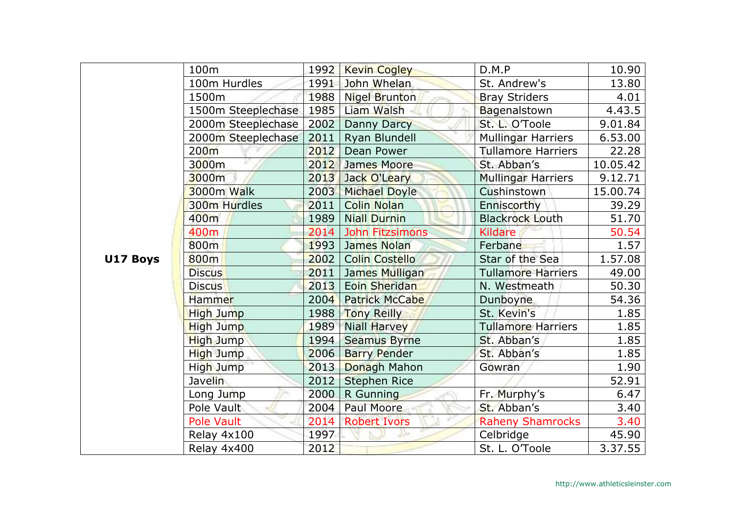|          | 100m               |      | 1992   Kevin Cogley    | D.M.P                     | 10.90    |
|----------|--------------------|------|------------------------|---------------------------|----------|
|          | 100m Hurdles       | 1991 | John Whelan            | St. Andrew's              | 13.80    |
|          | 1500m              | 1988 | Nigel Brunton          | <b>Bray Striders</b>      | 4.01     |
|          | 1500m Steeplechase | 1985 | Liam Walsh             | Bagenalstown              | 4.43.5   |
|          | 2000m Steeplechase | 2002 | <b>Danny Darcy</b>     | St. L. O'Toole            | 9.01.84  |
|          | 2000m Steeplechase | 2011 | Ryan Blundell          | <b>Mullingar Harriers</b> | 6.53.00  |
|          | 200 <sub>m</sub>   | 2012 | Dean Power             | <b>Tullamore Harriers</b> | 22.28    |
|          | 3000m              |      | 2012 James Moore       | St. Abban's               | 10.05.42 |
|          | 3000m              | 2013 | Jack O'Leary           | <b>Mullingar Harriers</b> | 9.12.71  |
|          | 3000m Walk         | 2003 | Michael Doyle          | Cushinstown               | 15.00.74 |
|          | 300m Hurdles       | 2011 | <b>Colin Nolan</b>     | Enniscorthy               | 39.29    |
|          | 400m               | 1989 | <b>Niall Durnin</b>    | <b>Blackrock Louth</b>    | 51.70    |
|          | 400m               | 2014 | <b>John Fitzsimons</b> | <b>Kildare</b>            | 50.54    |
|          | 800m               | 1993 | James Nolan            | Ferbane                   | 1.57     |
| U17 Boys | 800m               | 2002 | <b>Colin Costello</b>  | Star of the Sea           | 1.57.08  |
|          | <b>Discus</b>      | 2011 | James Mulligan         | <b>Tullamore Harriers</b> | 49.00    |
|          | <b>Discus</b>      | 2013 | Eoin Sheridan          | N. Westmeath              | 50.30    |
|          | Hammer             | 2004 | <b>Patrick McCabe</b>  | Dunboyne                  | 54.36    |
|          | <b>High Jump</b>   |      | 1988 Tony Reilly       | St. Kevin's               | 1.85     |
|          | <b>High Jump</b>   | 1989 | <b>Niall Harvey</b>    | <b>Tullamore Harriers</b> | 1.85     |
|          | <b>High Jump</b>   | 1994 | <b>Seamus Byrne</b>    | St. Abban's               | 1.85     |
|          | High Jump          | 2006 | <b>Barry Pender</b>    | St. Abban's               | 1.85     |
|          | High Jump          | 2013 | Donagh Mahon           | Gowran                    | 1.90     |
|          | Javelin            | 2012 | <b>Stephen Rice</b>    |                           | 52.91    |
|          | Long Jump          | 2000 | R Gunning              | Fr. Murphy's              | 6.47     |
|          | Pole Vault         | 2004 | Paul Moore             | St. Abban's               | 3.40     |
|          | <b>Pole Vault</b>  | 2014 | <b>Robert Ivors</b>    | <b>Raheny Shamrocks</b>   | 3.40     |
|          | Relay 4x100        | 1997 |                        | Celbridge                 | 45.90    |
|          | Relay 4x400        | 2012 |                        | St. L. O'Toole            | 3.37.55  |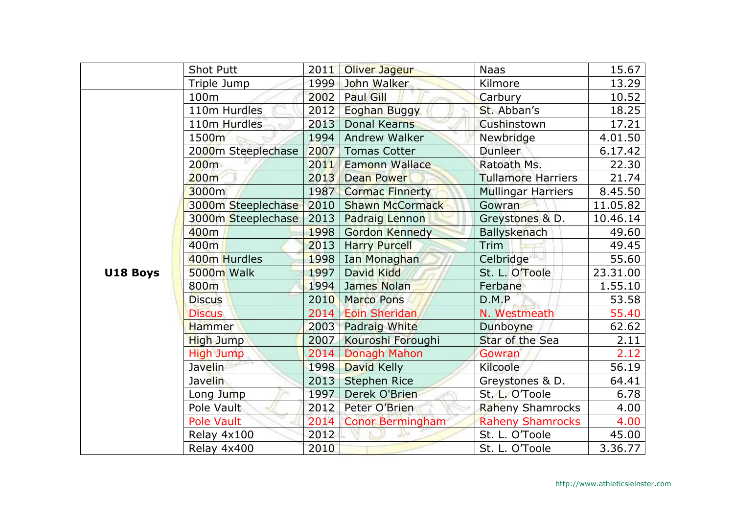|          | <b>Shot Putt</b>   | 2011 | Oliver Jageur           | <b>Naas</b>               | 15.67    |
|----------|--------------------|------|-------------------------|---------------------------|----------|
|          | Triple Jump        | 1999 | John Walker             | Kilmore                   | 13.29    |
|          | 100m               | 2002 | Paul Gill               | Carbury                   | 10.52    |
|          | 110m Hurdles       | 2012 | <b>Eoghan Buggy</b>     | St. Abban's               | 18.25    |
|          | 110m Hurdles       | 2013 | <b>Donal Kearns</b>     | Cushinstown               | 17.21    |
|          | 1500m              | 1994 | Andrew Walker           | Newbridge                 | 4.01.50  |
|          | 2000m Steeplechase | 2007 | <b>Tomas Cotter</b>     | Dunleer                   | 6.17.42  |
|          | 200m               | 2011 | Eamonn Wallace          | Ratoath Ms.               | 22.30    |
|          | 200m               | 2013 | <b>Dean Power</b>       | <b>Tullamore Harriers</b> | 21.74    |
|          | 3000m              | 1987 | <b>Cormac Finnerty</b>  | <b>Mullingar Harriers</b> | 8.45.50  |
|          | 3000m Steeplechase | 2010 | <b>Shawn McCormack</b>  | Gowran                    | 11.05.82 |
|          | 3000m Steeplechase | 2013 | <b>Padraig Lennon</b>   | Greystones & D.           | 10.46.14 |
|          | 400m               | 1998 | <b>Gordon Kennedy</b>   | <b>Ballyskenach</b>       | 49.60    |
|          | 400m               | 2013 | <b>Harry Purcell</b>    | Trim                      | 49.45    |
|          | 400m Hurdles       | 1998 | Ian Monaghan            | Celbridge <sup>-1</sup>   | 55.60    |
| U18 Boys | 5000m Walk         | 1997 | David Kidd              | St. L. O'Toole            | 23.31.00 |
|          | 800m               | 1994 | James Nolan             | Ferbane                   | 1.55.10  |
|          | <b>Discus</b>      | 2010 | <b>Marco Pons</b>       | D.M.P                     | 53.58    |
|          | <b>Discus</b>      |      | 2014 Eoin Sheridan      | N. Westmeath              | 55.40    |
|          | <b>Hammer</b>      | 2003 | Padraig White           | Dunboyne                  | 62.62    |
|          | <b>High Jump</b>   | 2007 | Kouroshi Foroughi       | Star of the Sea           | 2.11     |
|          | <b>High Jump</b>   | 2014 | Donagh Mahon            | Gowran                    | 2.12     |
|          | Javelin            | 1998 | David Kelly             | Kilcoole                  | 56.19    |
|          | <b>Javelin</b>     | 2013 | <b>Stephen Rice</b>     | Greystones & D.           | 64.41    |
|          | Long Jump          | 1997 | Derek O'Brien           | St. L. O'Toole            | 6.78     |
|          | Pole Vault         | 2012 | Peter O'Brien           | <b>Raheny Shamrocks</b>   | 4.00     |
|          | Pole Vault         | 2014 | <b>Conor Bermingham</b> | <b>Raheny Shamrocks</b>   | 4.00     |
|          | Relay 4x100        | 2012 |                         | St. L. O'Toole            | 45.00    |
|          | Relay 4x400        | 2010 |                         | St. L. O'Toole            | 3.36.77  |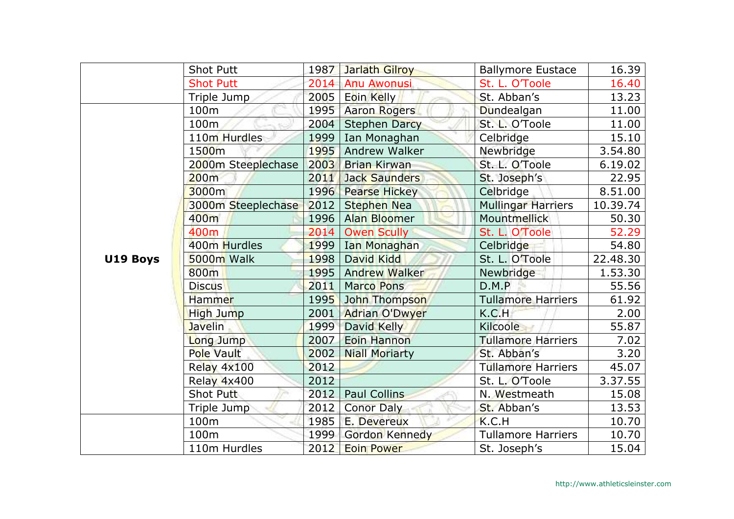|          | <b>Shot Putt</b>   | 1987 | Jarlath Gilroy        | <b>Ballymore Eustace</b>  | 16.39    |
|----------|--------------------|------|-----------------------|---------------------------|----------|
|          | <b>Shot Putt</b>   | 2014 | <b>Anu Awonusi</b>    | St. L. O'Toole            | 16.40    |
|          | Triple Jump        | 2005 | Eoin Kelly            | St. Abban's               | 13.23    |
|          | 100m               | 1995 | <b>Aaron Rogers</b>   | Dundealgan                | 11.00    |
|          | 100m               | 2004 | <b>Stephen Darcy</b>  | St. L. O'Toole            | 11.00    |
|          | 110m Hurdles       | 1999 | Ian Monaghan          | Celbridge                 | 15.10    |
|          | 1500m              | 1995 | Andrew Walker         | Newbridge                 | 3.54.80  |
|          | 2000m Steeplechase | 2003 | <b>Brian Kirwan</b>   | St. L. O'Toole            | 6.19.02  |
|          | 200m               | 2011 | <b>Jack Saunders</b>  | St. Joseph's              | 22.95    |
|          | 3000m              | 1996 | <b>Pearse Hickey</b>  | Celbridge                 | 8.51.00  |
|          | 3000m Steeplechase | 2012 | <b>Stephen Nea</b>    | Mullingar Harriers        | 10.39.74 |
|          | 400m               | 1996 | <b>Alan Bloomer</b>   | Mountmellick              | 50.30    |
|          | 400m               | 2014 | <b>Owen Scully</b>    | St. L. O'Toole            | 52.29    |
|          | 400m Hurdles       | 1999 | Ian Monaghan          | Celbridge                 | 54.80    |
| U19 Boys | 5000m Walk         | 1998 | David Kidd            | St. L. O'Toole            | 22.48.30 |
|          | 800m               | 1995 | <b>Andrew Walker</b>  | Newbridge                 | 1.53.30  |
|          | <b>Discus</b>      | 2011 | <b>Marco Pons</b>     | D.M.P                     | 55.56    |
|          | Hammer             | 1995 | John Thompson         | <b>Tullamore Harriers</b> | 61.92    |
|          | <b>High Jump</b>   | 2001 | <b>Adrian O'Dwyer</b> | K.C.H                     | 2.00     |
|          | <b>Javelin</b>     | 1999 | David Kelly           | <b>Kilcoole</b>           | 55.87    |
|          | Long Jump          | 2007 | Eoin Hannon           | <b>Tullamore Harriers</b> | 7.02     |
|          | Pole Vault         | 2002 | <b>Niall Moriarty</b> | St. Abban's               | 3.20     |
|          | Relay 4x100        | 2012 |                       | <b>Tullamore Harriers</b> | 45.07    |
|          | Relay 4x400        | 2012 |                       | St. L. O'Toole            | 3.37.55  |
|          | Shot Putt          | 2012 | <b>Paul Collins</b>   | N. Westmeath              | 15.08    |
|          | Triple Jump        | 2012 | <b>Conor Daly</b>     | St. Abban's               | 13.53    |
|          | 100m               | 1985 | E. Devereux           | K.C.H                     | 10.70    |
|          | 100m               | 1999 | <b>Gordon Kennedy</b> | <b>Tullamore Harriers</b> | 10.70    |
|          | 110m Hurdles       | 2012 | <b>Eoin Power</b>     | St. Joseph's              | 15.04    |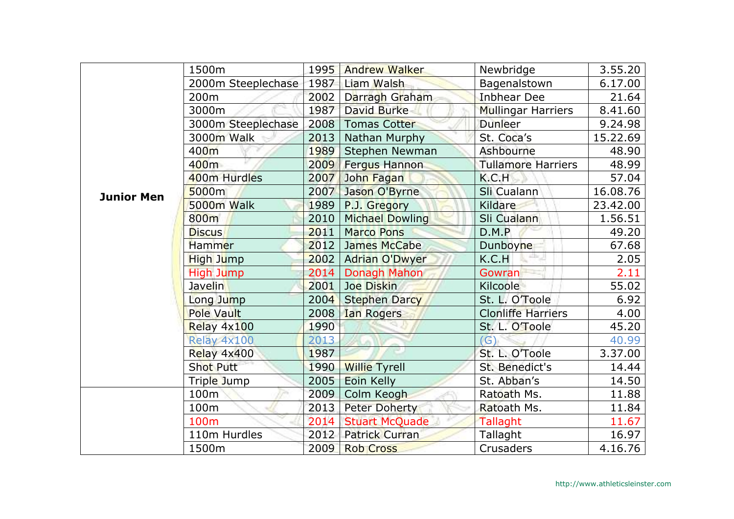|                   | 1500m              | 1995 | <b>Andrew Walker</b>   | Newbridge                 | 3.55.20  |
|-------------------|--------------------|------|------------------------|---------------------------|----------|
|                   | 2000m Steeplechase | 1987 | Liam Walsh             | Bagenalstown              | 6.17.00  |
|                   | 200 <sub>m</sub>   | 2002 | Darragh Graham         | <b>Inbhear Dee</b>        | 21.64    |
|                   | 3000m              | 1987 | <b>David Burke</b>     | <b>Mullingar Harriers</b> | 8.41.60  |
|                   | 3000m Steeplechase | 2008 | <b>Tomas Cotter</b>    | Dunleer                   | 9.24.98  |
|                   | 3000m Walk         | 2013 | Nathan Murphy          | St. Coca's                | 15.22.69 |
|                   | 400m               | 1989 | Stephen Newman         | Ashbourne                 | 48.90    |
|                   | 400m               | 2009 | <b>Fergus Hannon</b>   | <b>Tullamore Harriers</b> | 48.99    |
|                   | 400m Hurdles       | 2007 | John Fagan             | K.C.H                     | 57.04    |
| <b>Junior Men</b> | 5000m              | 2007 | Jason O'Byrne          | Sli Cualann               | 16.08.76 |
|                   | 5000m Walk         | 1989 | P.J. Gregory           | Kildare                   | 23.42.00 |
|                   | 800m               | 2010 | <b>Michael Dowling</b> | Sli Cualann               | 1.56.51  |
|                   | <b>Discus</b>      | 2011 | <b>Marco Pons</b>      | D.M.P                     | 49.20    |
|                   | Hammer             | 2012 | James McCabe           | Dunboyne                  | 67.68    |
|                   | <b>High Jump</b>   | 2002 | <b>Adrian O'Dwyer</b>  | shi,<br>K.C.H             | 2.05     |
|                   | High Jump          | 2014 | Donagh Mahon           | <b>Gowran</b>             | 2.11     |
|                   | <b>Javelin</b>     | 2001 | Joe Diskin             | Kilcoole                  | 55.02    |
|                   | Long Jump          | 2004 | <b>Stephen Darcy</b>   | St. L. O'Toole            | 6.92     |
|                   | Pole Vault         | 2008 | <b>Ian Rogers</b>      | <b>Clonliffe Harriers</b> | 4.00     |
|                   | Relay 4x100        | 1990 |                        | St. L. O'Toole            | 45.20    |
|                   | Relay 4x100        | 2013 |                        | (G)                       | 40.99    |
|                   | Relay 4x400        | 1987 |                        | St. L. O'Toole            | 3.37.00  |
|                   | <b>Shot Putt</b>   | 1990 | <b>Willie Tyrell</b>   | St. Benedict's            | 14.44    |
|                   | Triple Jump        | 2005 | Eoin Kelly             | St. Abban's               | 14.50    |
|                   | 100m               | 2009 | Colm Keogh             | Ratoath Ms.               | 11.88    |
|                   | 100m               | 2013 | <b>Peter Doherty</b>   | Ratoath Ms.               | 11.84    |
|                   | 100 <sub>m</sub>   | 2014 | <b>Stuart McQuade</b>  | Tallaght                  | 11.67    |
|                   | 110m Hurdles       | 2012 | <b>Patrick Curran</b>  | Tallaght                  | 16.97    |
|                   | 1500m              | 2009 | <b>Rob Cross</b>       | Crusaders                 | 4.16.76  |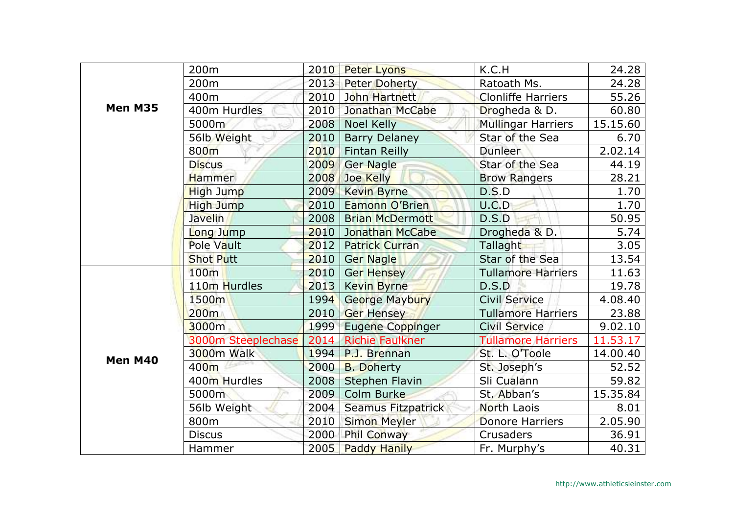|         | 200m               | 2010 | <b>Peter Lyons</b>      | K.C.H                     | 24.28    |
|---------|--------------------|------|-------------------------|---------------------------|----------|
|         | 200 <sub>m</sub>   | 2013 | <b>Peter Doherty</b>    | Ratoath Ms.               | 24.28    |
|         | 400m               | 2010 | John Hartnett           | <b>Clonliffe Harriers</b> | 55.26    |
| Men M35 | 400m Hurdles       | 2010 | Jonathan McCabe         | Drogheda & D.             | 60.80    |
|         | 5000m              | 2008 | <b>Noel Kelly</b>       | Mullingar Harriers        | 15.15.60 |
|         | 56lb Weight        | 2010 | <b>Barry Delaney</b>    | Star of the Sea           | 6.70     |
|         | 800m               | 2010 | <b>Fintan Reilly</b>    | Dunleer                   | 2.02.14  |
|         | <b>Discus</b>      | 2009 | Ger Nagle               | Star of the Sea           | 44.19    |
|         | <b>Hammer</b>      | 2008 | Joe Kelly               | <b>Brow Rangers</b>       | 28.21    |
|         | High Jump          | 2009 | <b>Kevin Byrne</b>      | D.S.D                     | 1.70     |
|         | High Jump          | 2010 | Eamonn O'Brien          | U.C.D                     | 1.70     |
|         | <b>Javelin</b>     | 2008 | <b>Brian McDermott</b>  | D.S.D                     | 50.95    |
|         | Long Jump          | 2010 | <b>Jonathan McCabe</b>  | Drogheda & D.             | 5.74     |
|         | Pole Vault         | 2012 | <b>Patrick Curran</b>   | Tallaght                  | 3.05     |
|         | <b>Shot Putt</b>   | 2010 | <b>Ger Nagle</b>        | Star of the Sea           | 13.54    |
|         | 100m               | 2010 | Ger Hensey              | <b>Tullamore Harriers</b> | 11.63    |
| Men M40 | 110m Hurdles       | 2013 | <b>Kevin Byrne</b>      | D.S.D                     | 19.78    |
|         | 1500m              | 1994 | <b>George Maybury</b>   | <b>Civil Service</b>      | 4.08.40  |
|         | 200 <sub>m</sub>   | 2010 | <b>Ger Hensey</b>       | <b>Tullamore Harriers</b> | 23.88    |
|         | 3000m              | 1999 | <b>Eugene Coppinger</b> | <b>Civil Service</b>      | 9.02.10  |
|         | 3000m Steeplechase | 2014 | <b>Richie Faulkner</b>  | <b>Tullamore Harriers</b> | 11.53.17 |
|         | <b>3000m Walk</b>  | 1994 | P.J. Brennan            | St. L. O'Toole            | 14.00.40 |
|         | 400 <sub>m</sub>   | 2000 | <b>B. Doherty</b>       | St. Joseph's              | 52.52    |
|         | 400m Hurdles       | 2008 | <b>Stephen Flavin</b>   | Sli Cualann               | 59.82    |
|         | 5000m              | 2009 | Colm Burke              | St. Abban's               | 15.35.84 |
|         | 56lb Weight        | 2004 | Seamus Fitzpatrick      | North Laois               | 8.01     |
|         | 800m               | 2010 | <b>Simon Meyler</b>     | Donore Harriers           | 2.05.90  |
|         | <b>Discus</b>      | 2000 | <b>Phil Conway</b>      | <b>Crusaders</b>          | 36.91    |
|         | Hammer             | 2005 | <b>Paddy Hanily</b>     | Fr. Murphy's              | 40.31    |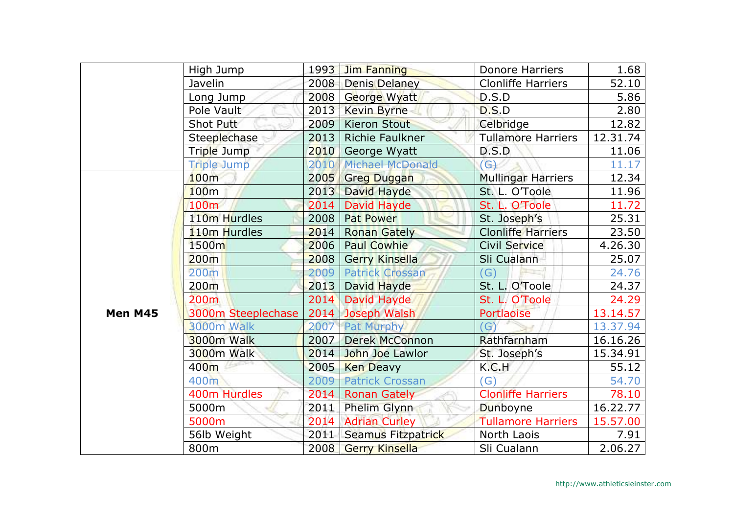|         | High Jump           | 1993 | <b>Jim Fanning</b>      | <b>Donore Harriers</b>    | 1.68     |
|---------|---------------------|------|-------------------------|---------------------------|----------|
|         | Javelin             | 2008 | <b>Denis Delaney</b>    | <b>Clonliffe Harriers</b> | 52.10    |
|         | Long Jump           | 2008 | George Wyatt            | D.S.D                     | 5.86     |
|         | Pole Vault          | 2013 | <b>Kevin Byrne</b>      | D.S.D                     | 2.80     |
|         | Shot Putt           | 2009 | <b>Kieron Stout</b>     | Celbridge                 | 12.82    |
|         | <b>Steeplechase</b> | 2013 | Richie Faulkner         | <b>Tullamore Harriers</b> | 12.31.74 |
|         | Triple Jump         | 2010 | George Wyatt            | D.S.D                     | 11.06    |
|         | <b>Triple Jump</b>  | 2010 | <b>Michael McDonald</b> | G)                        | 11.17    |
|         | 100m                | 2005 | <b>Greg Duggan</b>      | <b>Mullingar Harriers</b> | 12.34    |
|         | 100 <sub>m</sub>    | 2013 | David Hayde             | St. L. O'Toole            | 11.96    |
|         | 100 <sub>m</sub>    | 2014 | David Hayde             | St. L. O'Toole            | 11.72    |
|         | 110m Hurdles        | 2008 | Pat Power               | St. Joseph's              | 25.31    |
|         | 110m Hurdles        | 2014 | <b>Ronan Gately</b>     | <b>Clonliffe Harriers</b> | 23.50    |
|         | 1500m               | 2006 | <b>Paul Cowhie</b>      | Civil Service             | 4.26.30  |
|         | 200m                | 2008 | <b>Gerry Kinsella</b>   | Sli Cualann               | 25.07    |
|         | 200m                | 2009 | <b>Patrick Crossan</b>  | 'G`                       | 24.76    |
|         | 200 <sub>m</sub>    | 2013 | David Hayde             | St. L. O'Toole            | 24.37    |
|         | 200 <sub>m</sub>    | 2014 | David Hayde             | St. L. O'Toole            | 24.29    |
| Men M45 | 3000m Steeplechase  |      | 2014 Joseph Walsh       | <b>Portlaoise</b>         | 13.14.57 |
|         | 3000m Walk          | 2007 | Pat Murphy              | G                         | 13.37.94 |
|         | 3000m Walk          | 2007 | <b>Derek McConnon</b>   | Rathfarnham               | 16.16.26 |
|         | <b>3000m Walk</b>   | 2014 | John Joe Lawlor         | St. Joseph's              | 15.34.91 |
|         | 400m                | 2005 | <b>Ken Deavy</b>        | K.C.H                     | 55.12    |
|         | 400m                | 2009 | <b>Patrick Crossan</b>  | G'                        | 54.70    |
|         | 400m Hurdles        | 2014 | <b>Ronan Gately</b>     | <b>Clonliffe Harriers</b> | 78.10    |
|         | 5000m               | 2011 | Phelim Glynn            | Dunboyne                  | 16.22.77 |
|         | 5000m               | 2014 | <b>Adrian Curley</b>    | <b>Tullamore Harriers</b> | 15.57.00 |
|         | 56lb Weight         | 2011 | Seamus Fitzpatrick      | North Laois               | 7.91     |
|         | 800m                | 2008 | <b>Gerry Kinsella</b>   | Sli Cualann               | 2.06.27  |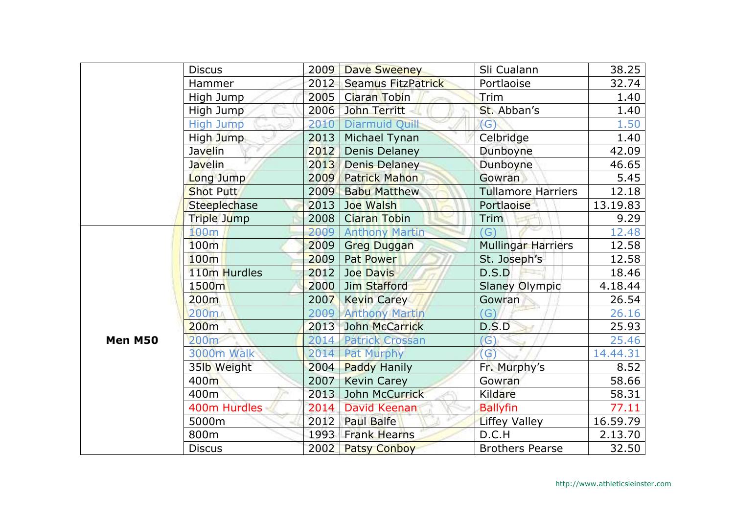|         | <b>Discus</b>       | 2009 | <b>Dave Sweeney</b>       | Sli Cualann               | 38.25    |
|---------|---------------------|------|---------------------------|---------------------------|----------|
|         | Hammer              | 2012 | <b>Seamus FitzPatrick</b> | Portlaoise                | 32.74    |
|         | High Jump           | 2005 | <b>Ciaran Tobin</b>       | Trim                      | 1.40     |
|         | High Jump           | 2006 | John Territt              | St. Abban's               | 1.40     |
|         | <b>High Jump</b>    | 2010 | <b>Diarmuid Quill</b>     | (G)                       | 1.50     |
|         | High Jump           | 2013 | Michael Tynan             | Celbridge                 | 1.40     |
|         | <b>Javelin</b>      | 2012 | Denis Delaney             | Dunboyne                  | 42.09    |
|         | <b>Javelin</b>      | 2013 | <b>Denis Delaney</b>      | Dunboyne                  | 46.65    |
|         | Long Jump           | 2009 | <b>Patrick Mahon</b>      | Gowran                    | 5.45     |
|         | <b>Shot Putt</b>    | 2009 | <b>Babu Matthew</b>       | <b>Tullamore Harriers</b> | 12.18    |
|         | <b>Steeplechase</b> | 2013 | Joe Walsh                 | Portlaoise                | 13.19.83 |
|         | Triple Jump         | 2008 | <b>Ciaran Tobin</b>       | Trim                      | 9.29     |
|         | 100m                | 2009 | <b>Anthony Martin</b>     | $\mathsf{G}$              | 12.48    |
|         | 100m                | 2009 | <b>Greg Duggan</b>        | <b>Mullingar Harriers</b> | 12.58    |
|         | 100m                | 2009 | <b>Pat Power</b>          | St. Joseph's              | 12.58    |
|         | 110m Hurdles        | 2012 | <b>Joe Davis</b>          | D.S.D                     | 18.46    |
|         | 1500 <sub>m</sub>   | 2000 | Jim Stafford              | <b>Slaney Olympic</b>     | 4.18.44  |
|         | 200m                | 2007 | <b>Kevin Carey</b>        | Gowran                    | 26.54    |
|         | 200m                |      | 2009 Anthony Martin       | (G)                       | 26.16    |
|         | 200m                | 2013 | John McCarrick            | D.S.D                     | 25.93    |
| Men M50 | 200 <sub>m</sub>    | 2014 | <b>Patrick Crossan</b>    | (G)                       | 25.46    |
|         | <b>3000m Walk</b>   |      | 2014 Pat Murphy           | $\mathcal{G}$             | 14.44.31 |
|         | 35lb Weight         | 2004 | <b>Paddy Hanily</b>       | Fr. Murphy's              | 8.52     |
|         | 400m                | 2007 | <b>Kevin Carey</b>        | Gowran                    | 58.66    |
|         | 400m                | 2013 | John McCurrick            | Kildare                   | 58.31    |
|         | 400m Hurdles        | 2014 | David Keenan              | <b>Ballyfin</b>           | 77.11    |
|         | 5000m               | 2012 | <b>Paul Balfe</b>         | <b>Liffey Valley</b>      | 16.59.79 |
|         | 800m                | 1993 | <b>Frank Hearns</b>       | D.C.H                     | 2.13.70  |
|         | <b>Discus</b>       | 2002 | <b>Patsy Conboy</b>       | <b>Brothers Pearse</b>    | 32.50    |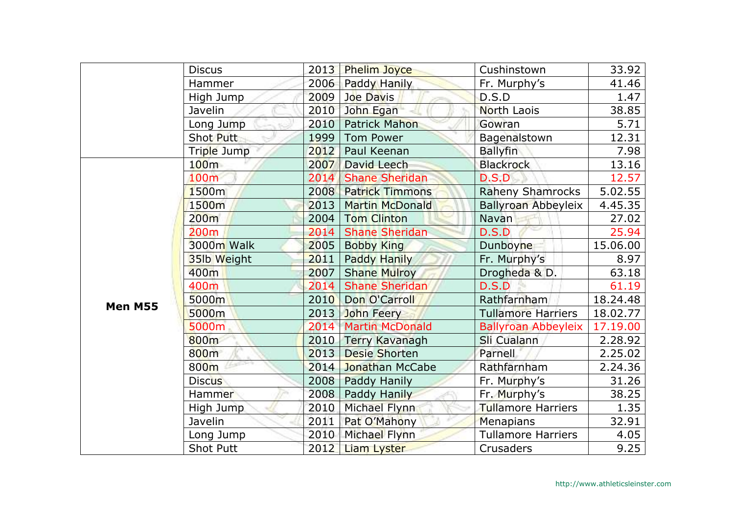|         | <b>Discus</b>    | 2013 | <b>Phelim Joyce</b>    | Cushinstown                | 33.92    |
|---------|------------------|------|------------------------|----------------------------|----------|
|         | Hammer           | 2006 | Paddy Hanily           | Fr. Murphy's               | 41.46    |
|         | High Jump        | 2009 | <b>Joe Davis</b>       | D.S.D                      | 1.47     |
|         | Javelin          | 2010 | John Egan              | <b>North Laois</b>         | 38.85    |
|         | Long Jump        | 2010 | <b>Patrick Mahon</b>   | Gowran                     | 5.71     |
|         | Shot Putt        | 1999 | <b>Tom Power</b>       | Bagenalstown               | 12.31    |
|         | Triple Jump      | 2012 | Paul Keenan            | <b>Ballyfin</b>            | 7.98     |
|         | 100 <sub>m</sub> | 2007 | David Leech            | <b>Blackrock</b>           | 13.16    |
|         | 100m             | 2014 | <b>Shane Sheridan</b>  | D.S.D                      | 12.57    |
|         | 1500m            | 2008 | <b>Patrick Timmons</b> | <b>Raheny Shamrocks</b>    | 5.02.55  |
|         | 1500m            | 2013 | <b>Martin McDonald</b> | Ballyroan Abbeyleix        | 4.45.35  |
|         | 200m             | 2004 | <b>Tom Clinton</b>     | Navan                      | 27.02    |
|         | 200 <sub>m</sub> | 2014 | <b>Shane Sheridan</b>  | D.S.D                      | 25.94    |
|         | 3000m Walk       | 2005 | <b>Bobby King</b>      | Dunboyne                   | 15.06.00 |
|         | 35lb Weight      | 2011 | Paddy Hanily           | Fr. Murphy's               | 8.97     |
|         | 400m             | 2007 | <b>Shane Mulroy</b>    | Drogheda & D.              | 63.18    |
|         | 400m             | 2014 | <b>Shane Sheridan</b>  | D.S.D                      | 61.19    |
| Men M55 | 5000m            | 2010 | Don O'Carroll          | Rathfarnham                | 18.24.48 |
|         | 5000m            | 2013 | John Feery             | <b>Tullamore Harriers</b>  | 18.02.77 |
|         | 5000m            | 2014 | <b>Martin McDonald</b> | <b>Ballyroan Abbeyleix</b> | 17.19.00 |
|         | 800m             | 2010 | <b>Terry Kavanagh</b>  | Sli Cualann                | 2.28.92  |
|         | 800m             | 2013 | <b>Desie Shorten</b>   | Parnell                    | 2.25.02  |
|         | 800m             | 2014 | Jonathan McCabe        | Rathfarnham                | 2.24.36  |
|         | <b>Discus</b>    | 2008 | Paddy Hanily           | Fr. Murphy's               | 31.26    |
|         | <b>Hammer</b>    | 2008 | Paddy Hanily           | Fr. Murphy's               | 38.25    |
|         | High Jump        | 2010 | Michael Flynn          | <b>Tullamore Harriers</b>  | 1.35     |
|         | Javelin          | 2011 | Pat O'Mahony           | Menapians                  | 32.91    |
|         | Long Jump        | 2010 | Michael Flynn          | <b>Tullamore Harriers</b>  | 4.05     |
|         | <b>Shot Putt</b> | 2012 | <b>Liam Lyster</b>     | Crusaders                  | 9.25     |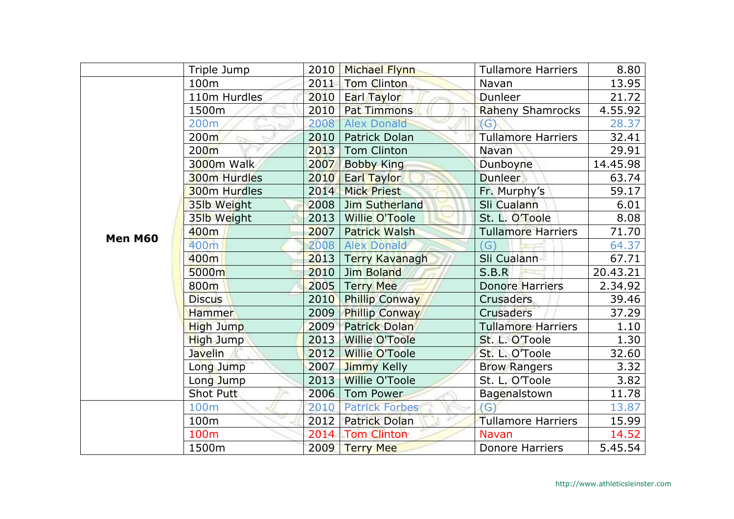|         | Triple Jump      | 2010 | Michael Flynn         | <b>Tullamore Harriers</b> | 8.80     |
|---------|------------------|------|-----------------------|---------------------------|----------|
|         | 100m             | 2011 | <b>Tom Clinton</b>    | Navan                     | 13.95    |
|         | 110m Hurdles     | 2010 | Earl Taylor           | Dunleer                   | 21.72    |
|         | 1500m            | 2010 | <b>Pat Timmons</b>    | <b>Raheny Shamrocks</b>   | 4.55.92  |
|         | 200m             | 2008 | <b>Alex Donald</b>    | (G)                       | 28.37    |
|         | 200 <sub>m</sub> | 2010 | Patrick Dolan         | <b>Tullamore Harriers</b> | 32.41    |
|         | 200 <sub>m</sub> | 2013 | <b>Tom Clinton</b>    | Navan                     | 29.91    |
|         | 3000m Walk       | 2007 | <b>Bobby King</b>     | Dunboyne                  | 14.45.98 |
|         | 300m Hurdles     | 2010 | Earl Taylor           | <b>Dunleer</b>            | 63.74    |
|         | 300m Hurdles     | 2014 | <b>Mick Priest</b>    | Fr. Murphy's              | 59.17    |
|         | 35lb Weight      | 2008 | Jim Sutherland        | Sli Cualann               | 6.01     |
|         | 35lb Weight      | 2013 | <b>Willie O'Toole</b> | St. L. O'Toole            | 8.08     |
| Men M60 | 400m             | 2007 | <b>Patrick Walsh</b>  | <b>Tullamore Harriers</b> | 71.70    |
|         | 400m             | 2008 | <b>Alex Donald</b>    | $\Gamma(G)$               | 64.37    |
|         | 400m             | 2013 | <b>Terry Kavanagh</b> | Sli Cualann               | 67.71    |
|         | 5000m            | 2010 | <b>Jim Boland</b>     | S.B.R                     | 20.43.21 |
|         | 800m             | 2005 | <b>Terry Mee</b>      | <b>Donore Harriers</b>    | 2.34.92  |
|         | <b>Discus</b>    | 2010 | <b>Phillip Conway</b> | <b>Crusaders</b>          | 39.46    |
|         | <b>Hammer</b>    | 2009 | <b>Phillip Conway</b> | Crusaders                 | 37.29    |
|         | High Jump        | 2009 | <b>Patrick Dolan</b>  | <b>Tullamore Harriers</b> | 1.10     |
|         | <b>High Jump</b> | 2013 | <b>Willie O'Toole</b> | St. L. O'Toole            | 1.30     |
|         | <b>Javelin</b>   | 2012 | <b>Willie O'Toole</b> | St. L. O'Toole            | 32.60    |
|         | Long Jump        | 2007 | Jimmy Kelly           | <b>Brow Rangers</b>       | 3.32     |
|         | Long Jump        | 2013 | <b>Willie O'Toole</b> | St. L. O'Toole            | 3.82     |
|         | Shot Putt        | 2006 | <b>Tom Power</b>      | Bagenalstown              | 11.78    |
|         | 100m             | 2010 | <b>Patrick Forbes</b> | (G)                       | 13.87    |
|         | 100m             | 2012 | <b>Patrick Dolan</b>  | Tullamore Harriers        | 15.99    |
|         | 100m             | 2014 | <b>Tom Clinton</b>    | <b>Navan</b>              | 14.52    |
|         | 1500m            | 2009 | <b>Terry Mee</b>      | <b>Donore Harriers</b>    | 5.45.54  |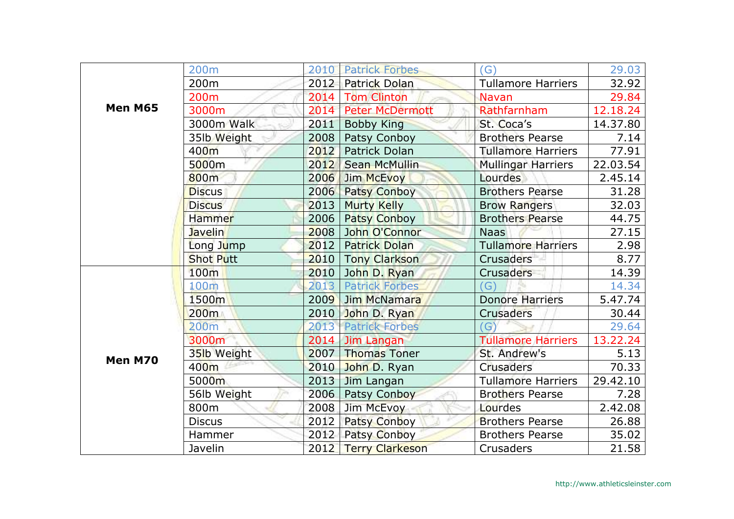|         | 200m             | 2010 | <b>Patrick Forbes</b>  | (G)                       | 29.03    |
|---------|------------------|------|------------------------|---------------------------|----------|
|         | 200 <sub>m</sub> | 2012 | <b>Patrick Dolan</b>   | <b>Tullamore Harriers</b> | 32.92    |
|         | 200 <sub>m</sub> | 2014 | <b>Tom Clinton</b>     | Navan                     | 29.84    |
| Men M65 | 3000m            | 2014 | <b>Peter McDermott</b> | Rathfarnham               | 12.18.24 |
|         | 3000m Walk       | 2011 | <b>Bobby King</b>      | St. Coca's                | 14.37.80 |
|         | 35lb Weight      | 2008 | Patsy Conboy           | <b>Brothers Pearse</b>    | 7.14     |
|         | 400 <sub>m</sub> | 2012 | Patrick Dolan          | <b>Tullamore Harriers</b> | 77.91    |
|         | 5000m            | 2012 | <b>Sean McMullin</b>   | <b>Mullingar Harriers</b> | 22.03.54 |
|         | 800m             | 2006 | Jim McEvoy             | <b>Lourdes</b>            | 2.45.14  |
|         | <b>Discus</b>    | 2006 | <b>Patsy Conboy</b>    | <b>Brothers Pearse</b>    | 31.28    |
|         | <b>Discus</b>    | 2013 | <b>Murty Kelly</b>     | <b>Brow Rangers</b>       | 32.03    |
|         | Hammer           | 2006 | <b>Patsy Conboy</b>    | <b>Brothers Pearse</b>    | 44.75    |
|         | <b>Javelin</b>   | 2008 | John O'Connor          | <b>Naas</b>               | 27.15    |
|         | Long Jump        | 2012 | <b>Patrick Dolan</b>   | Tullamore Harriers        | 2.98     |
|         | <b>Shot Putt</b> | 2010 | <b>Tony Clarkson</b>   | <b>Crusaders</b>          | 8.77     |
|         | 100m             | 2010 | John D. Ryan           | <b>Crusaders</b>          | 14.39    |
| Men M70 | 100m             | 2013 | <b>Patrick Forbes</b>  | (G)                       | 14.34    |
|         | 1500m            | 2009 | <b>Jim McNamara</b>    | <b>Donore Harriers</b>    | 5.47.74  |
|         | 200m             | 2010 | John D. Ryan           | <b>Crusaders</b>          | 30.44    |
|         | 200 <sub>m</sub> | 2013 | <b>Patrick Forbes</b>  | (G)                       | 29.64    |
|         | 3000m            | 2014 | Jim Langan             | <b>Tullamore Harriers</b> | 13.22.24 |
|         | 35lb Weight      | 2007 | <b>Thomas Toner</b>    | St. Andrew's              | 5.13     |
|         | 400m             | 2010 | John D. Ryan           | <b>Crusaders</b>          | 70.33    |
|         | 5000m            | 2013 | Jim Langan             | <b>Tullamore Harriers</b> | 29.42.10 |
|         | 56lb Weight      | 2006 | Patsy Conboy           | <b>Brothers Pearse</b>    | 7.28     |
|         | 800m             | 2008 | Jim McEvoy             | Lourdes                   | 2.42.08  |
|         | <b>Discus</b>    | 2012 | <b>Patsy Conboy</b>    | <b>Brothers Pearse</b>    | 26.88    |
|         | Hammer           | 2012 | Patsy Conboy           | <b>Brothers Pearse</b>    | 35.02    |
|         | Javelin          | 2012 | <b>Terry Clarkeson</b> | Crusaders                 | 21.58    |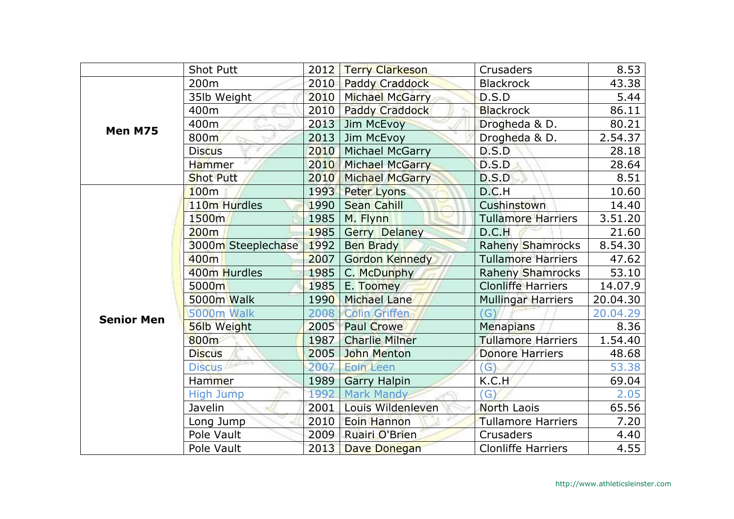|                   | <b>Shot Putt</b>         | 2012 | <b>Terry Clarkeson</b> | Crusaders                 | 8.53     |
|-------------------|--------------------------|------|------------------------|---------------------------|----------|
|                   | 200m                     | 2010 | <b>Paddy Craddock</b>  | <b>Blackrock</b>          | 43.38    |
|                   | 35lb Weight              | 2010 | Michael McGarry        | D.S.D                     | 5.44     |
|                   | 400m                     | 2010 | <b>Paddy Craddock</b>  | <b>Blackrock</b>          | 86.11    |
| Men M75           | 400m                     | 2013 | Jim McEvoy             | Drogheda & D.             | 80.21    |
|                   | 800m                     | 2013 | Jim McEvoy             | Drogheda & D.             | 2.54.37  |
|                   | <b>Discus</b>            | 2010 | <b>Michael McGarry</b> | D.S.D                     | 28.18    |
|                   | Hammer                   | 2010 | Michael McGarry        | D.S.D                     | 28.64    |
|                   | <b>Shot Putt</b>         | 2010 | Michael McGarry        | D.S.D                     | 8.51     |
|                   | 100m                     | 1993 | <b>Peter Lyons</b>     | D.C.H                     | 10.60    |
|                   | 110 <sub>m</sub> Hurdles | 1990 | <b>Sean Cahill</b>     | Cushinstown               | 14.40    |
|                   | 1500m                    | 1985 | M. Flynn               | <b>Tullamore Harriers</b> | 3.51.20  |
|                   | 200m                     | 1985 | <b>Gerry Delaney</b>   | D.C.H                     | 21.60    |
|                   | 3000m Steeplechase       | 1992 | <b>Ben Brady</b>       | <b>Raheny Shamrocks</b>   | 8.54.30  |
|                   | 400m                     | 2007 | <b>Gordon Kennedy</b>  | Tullamore Harriers        | 47.62    |
|                   | 400m Hurdles             | 1985 | C. McDunphy            | <b>Raheny Shamrocks</b>   | 53.10    |
|                   | 5000m                    | 1985 | E. Toomey              | <b>Clonliffe Harriers</b> | 14.07.9  |
|                   | 5000m Walk               | 1990 | <b>Michael Lane</b>    | <b>Mullingar Harriers</b> | 20.04.30 |
| <b>Senior Men</b> | 5000m Walk               | 2008 | <b>Colin Griffen</b>   | $\mathcal{G}$             | 20.04.29 |
|                   | 56lb Weight              | 2005 | <b>Paul Crowe</b>      | <b>Menapians</b>          | 8.36     |
|                   | 800m                     | 1987 | <b>Charlie Milner</b>  | <b>Tullamore Harriers</b> | 1.54.40  |
|                   | <b>Discus</b>            | 2005 | <b>John Menton</b>     | <b>Donore Harriers</b>    | 48.68    |
|                   | <b>Discus</b>            | 2007 | <b>Eoin Leen</b>       | $\mathsf{(G)}$            | 53.38    |
|                   | Hammer                   | 1989 | <b>Garry Halpin</b>    | K.C.H                     | 69.04    |
|                   | <b>High Jump</b>         | 1992 | <b>Mark Mandy</b>      | G)                        | 2.05     |
|                   | Javelin                  | 2001 | Louis Wildenleven      | North Laois               | 65.56    |
|                   | Long Jump                | 2010 | Eoin Hannon            | Tullamore Harriers        | 7.20     |
|                   | Pole Vault               | 2009 | Ruairi O'Brien         | Crusaders                 | 4.40     |
|                   | Pole Vault               | 2013 | <b>Dave Donegan</b>    | <b>Clonliffe Harriers</b> | 4.55     |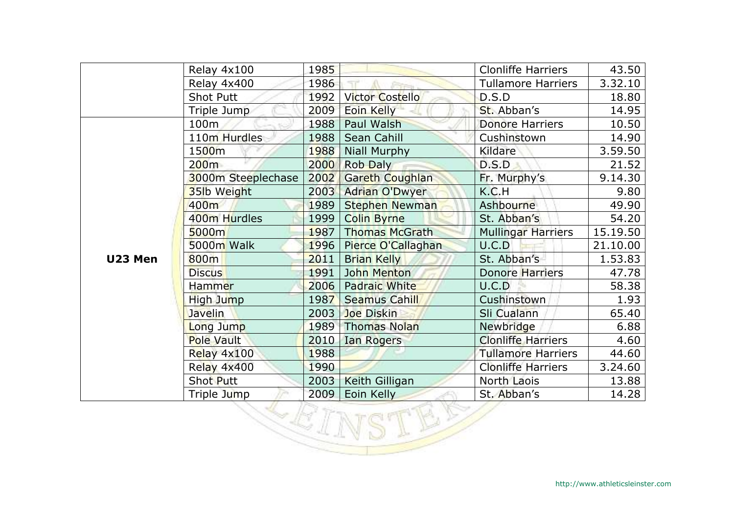|         | Relay 4x100        | 1985 |                        | <b>Clonliffe Harriers</b> | 43.50    |  |  |
|---------|--------------------|------|------------------------|---------------------------|----------|--|--|
|         | Relay 4x400        | 1986 |                        | <b>Tullamore Harriers</b> | 3.32.10  |  |  |
|         | <b>Shot Putt</b>   | 1992 | <b>Victor Costello</b> | D.S.D                     | 18.80    |  |  |
|         | Triple Jump        | 2009 | Eoin Kelly             | St. Abban's               | 14.95    |  |  |
|         | 100m               | 1988 | Paul Walsh             | <b>Donore Harriers</b>    | 10.50    |  |  |
|         | 110m Hurdles       | 1988 | Sean Cahill            | Cushinstown               | 14.90    |  |  |
|         | 1500m              | 1988 | <b>Niall Murphy</b>    | Kildare                   | 3.59.50  |  |  |
|         | 200m               | 2000 | <b>Rob Daly</b>        | D.S.D                     | 21.52    |  |  |
|         | 3000m Steeplechase | 2002 | <b>Gareth Coughlan</b> | Fr. Murphy's              | 9.14.30  |  |  |
|         | 35lb Weight        | 2003 | <b>Adrian O'Dwyer</b>  | K.C.H                     | 9.80     |  |  |
|         | 400m               | 1989 | <b>Stephen Newman</b>  | Ashbourne                 | 49.90    |  |  |
|         | 400m Hurdles       | 1999 | <b>Colin Byrne</b>     | St. Abban's               | 54.20    |  |  |
|         | 5000m              | 1987 | <b>Thomas McGrath</b>  | <b>Mullingar Harriers</b> | 15.19.50 |  |  |
|         | 5000m Walk         | 1996 | Pierce O'Callaghan     | U.C.D                     | 21.10.00 |  |  |
| U23 Men | 800m               | 2011 | <b>Brian Kelly</b>     | St. Abban's               | 1.53.83  |  |  |
|         | <b>Discus</b>      | 1991 | John Menton            | <b>Donore Harriers</b>    | 47.78    |  |  |
|         | Hammer             | 2006 | Padraic White          | U.C.D                     | 58.38    |  |  |
|         | High Jump          | 1987 | <b>Seamus Cahill</b>   | Cushinstown               | 1.93     |  |  |
|         | <b>Javelin</b>     | 2003 | <b>Joe Diskin</b>      | Sli Cualann               | 65.40    |  |  |
|         | Long Jump          | 1989 | <b>Thomas Nolan</b>    | Newbridge                 | 6.88     |  |  |
|         | <b>Pole Vault</b>  | 2010 | <b>Ian Rogers</b>      | <b>Clonliffe Harriers</b> | 4.60     |  |  |
|         | Relay 4x100        | 1988 |                        | <b>Tullamore Harriers</b> | 44.60    |  |  |
|         | Relay 4x400        | 1990 |                        | <b>Clonliffe Harriers</b> | 3.24.60  |  |  |
|         | Shot Putt          | 2003 | Keith Gilligan         | North Laois               | 13.88    |  |  |
|         | Triple Jump        | 2009 | Eoin Kelly             | St. Abban's               | 14.28    |  |  |
| VICI    |                    |      |                        |                           |          |  |  |

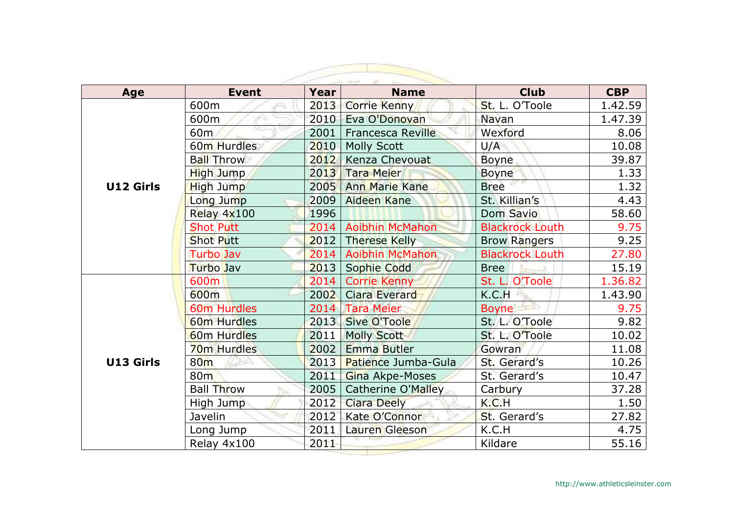| Age              | <b>Event</b>               | Year | <b>Name</b>              | <b>Club</b>            | <b>CBP</b> |
|------------------|----------------------------|------|--------------------------|------------------------|------------|
|                  | 600m                       | 2013 | <b>Corrie Kenny</b>      | St. L. O'Toole         | 1.42.59    |
|                  | 600m                       | 2010 | Eva O'Donovan            | <b>Navan</b>           | 1.47.39    |
|                  | 60 <sub>m</sub>            | 2001 | <b>Francesca Reville</b> | Wexford                | 8.06       |
|                  | 60 <sub>m</sub> Hurdles    | 2010 | <b>Molly Scott</b>       | U/A                    | 10.08      |
|                  | <b>Ball Throw</b>          | 2012 | Kenza Chevouat           | <b>Boyne</b>           | 39.87      |
|                  | High Jump                  | 2013 | <b>Tara Meier</b>        | <b>Boyne</b>           | 1.33       |
| <b>U12 Girls</b> | High Jump                  | 2005 | <b>Ann Marie Kane</b>    | <b>Bree</b>            | 1.32       |
|                  | Long Jump                  | 2009 | <b>Aideen Kane</b>       | St. Killian's          | 4.43       |
|                  | Relay 4x100                | 1996 |                          | Dom Savio              | 58.60      |
|                  | <b>Shot Putt</b>           | 2014 | <b>Aoibhin McMahon</b>   | <b>Blackrock Louth</b> | 9.75       |
|                  | <b>Shot Putt</b>           | 2012 | <b>Therese Kelly</b>     | <b>Brow Rangers</b>    | 9.25       |
|                  | <b>Turbo Jav</b>           | 2014 | <b>Aoibhin McMahon</b>   | <b>Blackrock Louth</b> | 27.80      |
|                  | <b>Turbo</b> Jav           | 2013 | <b>Sophie Codd</b>       | <b>Bree</b>            | 15.19      |
|                  | 600m                       | 2014 | <b>Corrie Kenny</b>      | St. L. O'Toole         | 1.36.82    |
|                  | 600m                       | 2002 | <b>Ciara Everard</b>     | K.C.H                  | 1.43.90    |
|                  | 60m Hurdles                | 2014 | <b>Tara Meier</b>        | <b>Boyne</b>           | 9.75       |
|                  | 60m Hurdles                | 2013 | <b>Sive O'Toole</b>      | St. L. O'Toole         | 9.82       |
|                  | <b>60m Hurdles</b>         | 2011 | <b>Molly Scott</b>       | St. L. O'Toole         | 10.02      |
|                  | <b>70m Hurdles</b>         | 2002 | <b>Emma Butler</b>       | Gowran                 | 11.08      |
| U13 Girls        | 80 <sub>m</sub><br>$\mu =$ | 2013 | Patience Jumba-Gula      | St. Gerard's           | 10.26      |
|                  | 80 <sub>m</sub>            | 2011 | Gina Akpe-Moses          | St. Gerard's           | 10.47      |
|                  | <b>Ball Throw</b>          | 2005 | Catherine O'Malley       | Carbury                | 37.28      |
|                  | High Jump                  | 2012 | <b>Ciara Deely</b>       | K.C.H                  | 1.50       |
|                  | Javelin                    | 2012 | Kate O'Connor            | St. Gerard's           | 27.82      |
|                  | Long Jump                  | 2011 | Lauren Gleeson           | K.C.H                  | 4.75       |
|                  | Relay 4x100                | 2011 |                          | Kildare                | 55.16      |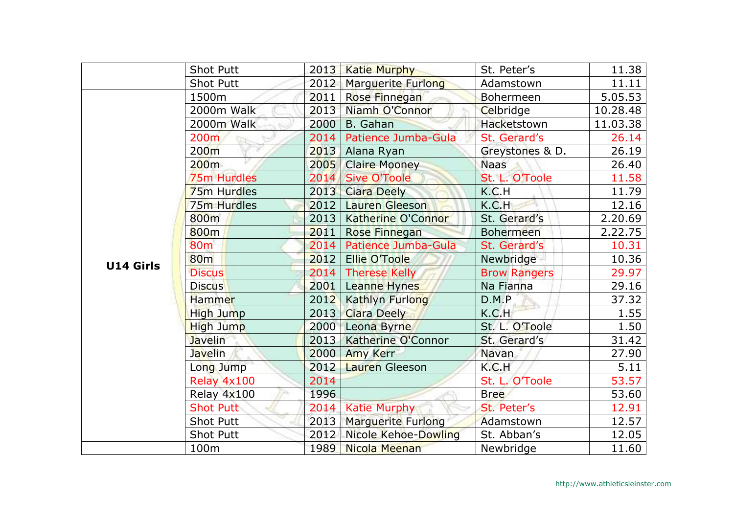|           | <b>Shot Putt</b> | 2013 | <b>Katie Murphy</b>       | St. Peter's         | 11.38    |
|-----------|------------------|------|---------------------------|---------------------|----------|
|           | <b>Shot Putt</b> | 2012 | Marguerite Furlong        | Adamstown           | 11.11    |
|           | 1500m            | 2011 | Rose Finnegan             | Bohermeen           | 5.05.53  |
|           | 2000m Walk       | 2013 | Niamh O'Connor            | Celbridge           | 10.28.48 |
|           | 2000m Walk       | 2000 | B. Gahan                  | Hacketstown         | 11.03.38 |
|           | 200 <sub>m</sub> | 2014 | Patience Jumba-Gula       | St. Gerard's        | 26.14    |
|           | 200 <sub>m</sub> | 2013 | Alana Ryan                | Greystones & D.     | 26.19    |
|           | 200 <sub>m</sub> | 2005 | <b>Claire Mooney</b>      | <b>Naas</b>         | 26.40    |
|           | 75m Hurdles      | 2014 | <b>Sive O'Toole</b>       | St. L. O'Toole      | 11.58    |
|           | 75m Hurdles      | 2013 | <b>Ciara Deely</b>        | K.C.H               | 11.79    |
|           | 75m Hurdles      | 2012 | Lauren Gleeson            | K.C.H               | 12.16    |
|           | 800m             | 2013 | Katherine O'Connor        | St. Gerard's        | 2.20.69  |
|           | 800m             | 2011 | Rose Finnegan             | <b>Bohermeen</b>    | 2.22.75  |
|           | 80 <sub>m</sub>  | 2014 | Patience Jumba-Gula       | St. Gerard's        | 10.31    |
| U14 Girls | <b>80m</b>       | 2012 | <b>Ellie O'Toole</b>      | Newbridge           | 10.36    |
|           | <b>Discus</b>    | 2014 | <b>Therese Kelly</b>      | <b>Brow Rangers</b> | 29.97    |
|           | <b>Discus</b>    | 2001 | Leanne Hynes              | Na Fianna           | 29.16    |
|           | <b>Hammer</b>    | 2012 | <b>Kathlyn Furlong</b>    | D.M.P               | 37.32    |
|           | High Jump        | 2013 | <b>Ciara Deely</b>        | K.C.H               | 1.55     |
|           | High Jump        | 2000 | Leona Byrne               | St. L. O'Toole      | 1.50     |
|           | <b>Javelin</b>   | 2013 | Katherine O'Connor        | St. Gerard's        | 31.42    |
|           | <b>Javelin</b>   | 2000 | <b>Amy Kerr</b>           | Navan               | 27.90    |
|           | Long Jump        | 2012 | Lauren Gleeson            | K.C.H               | 5.11     |
|           | Relay 4x100      | 2014 |                           | St. L. O'Toole      | 53.57    |
|           | Relay 4x100      | 1996 |                           | <b>Bree</b>         | 53.60    |
|           | <b>Shot Putt</b> | 2014 | <b>Katie Murphy</b>       | St. Peter's         | 12.91    |
|           | <b>Shot Putt</b> | 2013 | <b>Marguerite Furlong</b> | Adamstown           | 12.57    |
|           | <b>Shot Putt</b> | 2012 | Nicole Kehoe-Dowling      | St. Abban's         | 12.05    |
|           | 100m             | 1989 | Nicola Meenan             | Newbridge           | 11.60    |
|           |                  |      |                           |                     |          |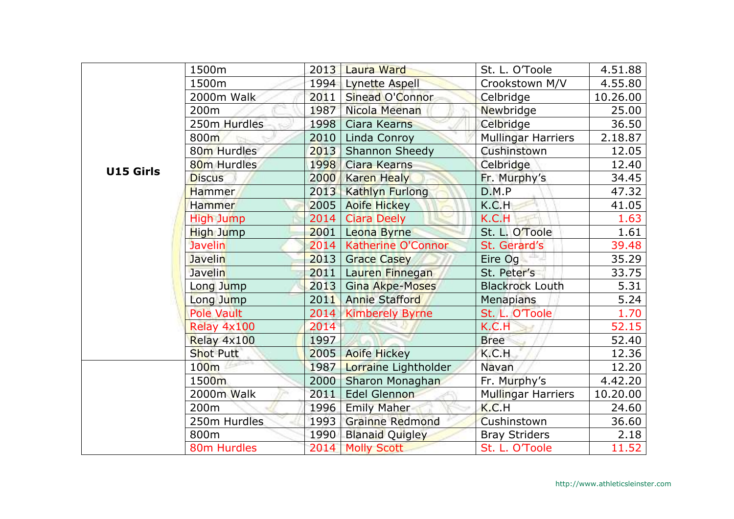|                  | 1500m                   |      | 2013 Laura Ward        | St. L. O'Toole            | 4.51.88  |
|------------------|-------------------------|------|------------------------|---------------------------|----------|
|                  | 1500m                   | 1994 | Lynette Aspell         | Crookstown M/V            | 4.55.80  |
|                  | 2000m Walk              | 2011 | Sinead O'Connor        | Celbridge                 | 10.26.00 |
|                  | 200 <sub>m</sub>        | 1987 | Nicola Meenan          | Newbridge                 | 25.00    |
|                  | 250m Hurdles            | 1998 | <b>Ciara Kearns</b>    | Celbridge                 | 36.50    |
|                  | 800m                    | 2010 | Linda Conroy           | <b>Mullingar Harriers</b> | 2.18.87  |
|                  | 80m Hurdles             | 2013 | <b>Shannon Sheedy</b>  | Cushinstown               | 12.05    |
| <b>U15 Girls</b> | 80 <sub>m</sub> Hurdles | 1998 | Ciara Kearns           | Celbridge                 | 12.40    |
|                  | <b>Discus</b>           | 2000 | <b>Karen Healy</b>     | Fr. Murphy's              | 34.45    |
|                  | Hammer                  | 2013 | <b>Kathlyn Furlong</b> | D.M.P                     | 47.32    |
|                  | <b>Hammer</b>           | 2005 | <b>Aoife Hickey</b>    | K.C.H                     | 41.05    |
|                  | <b>High Jump</b>        | 2014 | <b>Ciara Deely</b>     | K.C.H                     | 1.63     |
|                  | High Jump               | 2001 | Leona Byrne            | St. L. O'Toole            | 1.61     |
|                  | <b>Javelin</b>          | 2014 | Katherine O'Connor     | St. Gerard's              | 39.48    |
|                  | <b>Javelin</b>          | 2013 | <b>Grace Casey</b>     | Eire $Og$ $-$             | 35.29    |
|                  | <b>Javelin</b>          | 2011 | Lauren Finnegan        | St. Peter's               | 33.75    |
|                  | Long Jump               | 2013 | Gina Akpe-Moses        | <b>Blackrock Louth</b>    | 5.31     |
|                  | Long Jump               | 2011 | <b>Annie Stafford</b>  | <b>Menapians</b>          | 5.24     |
|                  | <b>Pole Vault</b>       |      | 2014 Kimberely Byrne   | St. L. O'Toole            | 1.70     |
|                  | Relay 4x100             | 2014 |                        | K.C.H                     | 52.15    |
|                  | Relay 4x100             | 1997 |                        | <b>Bree</b>               | 52.40    |
|                  | <b>Shot Putt</b>        | 2005 | <b>Aoife Hickey</b>    | K.C.H                     | 12.36    |
|                  | 100m                    | 1987 | Lorraine Lightholder   | Navan                     | 12.20    |
|                  | 1500m                   | 2000 | Sharon Monaghan        | Fr. Murphy's              | 4.42.20  |
|                  | 2000m Walk              | 2011 | Edel Glennon           | <b>Mullingar Harriers</b> | 10.20.00 |
|                  | 200 <sub>m</sub>        | 1996 | <b>Emily Maher</b>     | K.C.H                     | 24.60    |
|                  | 250m Hurdles            | 1993 | <b>Grainne Redmond</b> | Cushinstown               | 36.60    |
|                  | 800m                    | 1990 | <b>Blanaid Quigley</b> | <b>Bray Striders</b>      | 2.18     |
|                  | 80m Hurdles             | 2014 | <b>Molly Scott</b>     | St. L. O'Toole            | 11.52    |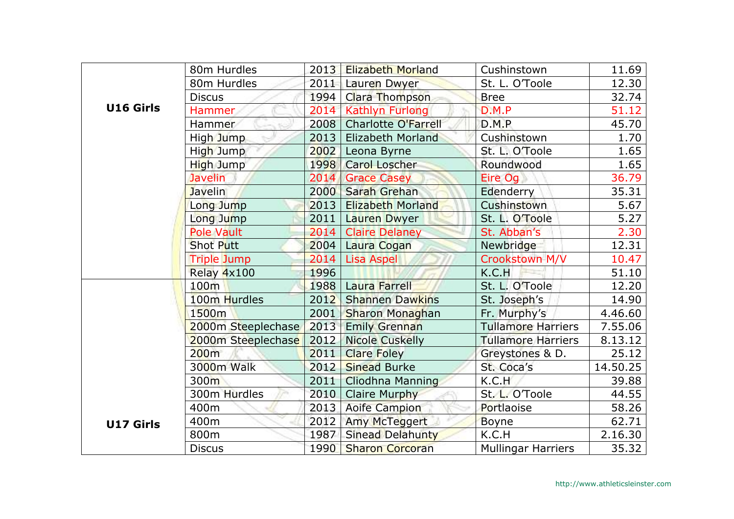|                  | 80m Hurdles        | 2013 | <b>Elizabeth Morland</b>   | Cushinstown               | 11.69             |
|------------------|--------------------|------|----------------------------|---------------------------|-------------------|
|                  | 80m Hurdles        | 2011 | Lauren Dwyer               | St. L. O'Toole            | 12.30             |
|                  | <b>Discus</b>      | 1994 | Clara Thompson             | <b>Bree</b>               | 32.74             |
| U16 Girls        | <b>Hammer</b>      | 2014 | <b>Kathlyn Furlong</b>     | D.M.P                     | 51.12             |
|                  | Hammer             | 2008 | <b>Charlotte O'Farrell</b> | D.M.P                     | 45.70             |
|                  | High Jump          | 2013 | Elizabeth Morland          | Cushinstown               | 1.70              |
|                  | High Jump          | 2002 | Leona Byrne                | St. L. O'Toole            | 1.65              |
|                  | High Jump          | 1998 | <b>Carol Loscher</b>       | Roundwood                 | 1.65              |
|                  | <b>Javelin</b>     | 2014 | <b>Grace Casey</b>         | Eire Og                   | 36.79             |
|                  | <b>Javelin</b>     | 2000 | Sarah Grehan               | Edenderry                 | 35.31             |
|                  | Long Jump          | 2013 | <b>Elizabeth Morland</b>   | Cushinstown               | 5.67              |
|                  | Long Jump          | 2011 | <b>Lauren Dwyer</b>        | St. L. O'Toole            | $\overline{5.27}$ |
|                  | Pole Vault         | 2014 | <b>Claire Delaney</b>      | St. Abban's               | 2.30              |
|                  | Shot Putt          | 2004 | Laura Cogan                | Newbridge                 | 12.31             |
|                  | <b>Triple Jump</b> | 2014 | <b>Lisa Aspel</b>          | Crookstown M/V            | 10.47             |
|                  | Relay 4x100        | 1996 |                            | K.C.H                     | 51.10             |
|                  | 100m               | 1988 | Laura Farrell              | St. L. O'Toole            | 12.20             |
|                  | 100m Hurdles       | 2012 | <b>Shannen Dawkins</b>     | St. Joseph's              | 14.90             |
|                  | 1500m              | 2001 | Sharon Monaghan            | Fr. Murphy's              | 4.46.60           |
|                  | 2000m Steeplechase | 2013 | <b>Emily Grennan</b>       | <b>Tullamore Harriers</b> | 7.55.06           |
|                  | 2000m Steeplechase | 2012 | <b>Nicole Cuskelly</b>     | <b>Tullamore Harriers</b> | 8.13.12           |
|                  | 200m               | 2011 | <b>Clare Foley</b>         | Greystones & D.           | 25.12             |
|                  | 3000m Walk         | 2012 | <b>Sinead Burke</b>        | St. Coca's                | 14.50.25          |
|                  | 300m               | 2011 | <b>Cliodhna Manning</b>    | K.C.H                     | 39.88             |
|                  | 300m Hurdles       | 2010 | <b>Claire Murphy</b>       | St. L. O'Toole            | 44.55             |
|                  | 400m               | 2013 | <b>Aoife Campion</b>       | Portlaoise                | 58.26             |
| <b>U17 Girls</b> | 400m               | 2012 | <b>Amy McTeggert</b>       | <b>Boyne</b>              | 62.71             |
|                  | 800m               | 1987 | <b>Sinead Delahunty</b>    | K.C.H                     | 2.16.30           |
|                  | <b>Discus</b>      | 1990 | <b>Sharon Corcoran</b>     | <b>Mullingar Harriers</b> | 35.32             |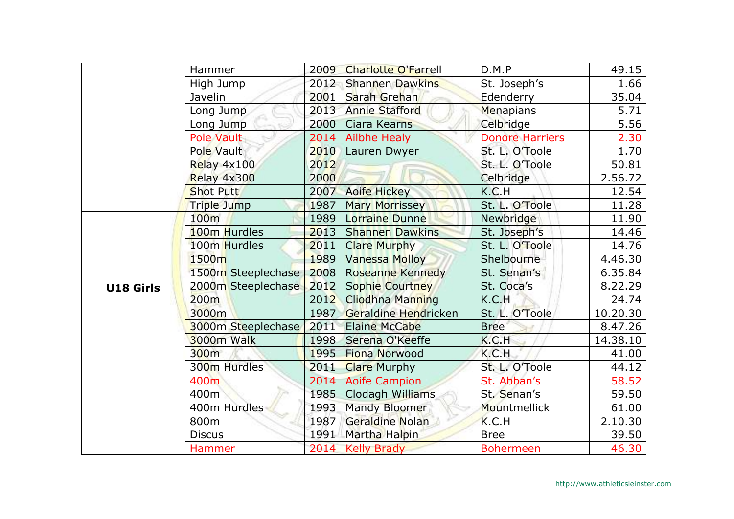|           | Hammer             | 2009 | <b>Charlotte O'Farrell</b> | D.M.P                  | 49.15    |
|-----------|--------------------|------|----------------------------|------------------------|----------|
|           | High Jump          | 2012 | <b>Shannen Dawkins</b>     | St. Joseph's           | 1.66     |
|           | Javelin            | 2001 | Sarah Grehan               | Edenderry              | 35.04    |
|           | Long Jump          | 2013 | <b>Annie Stafford</b>      | Menapians              | 5.71     |
|           | Long Jump          | 2000 | <b>Ciara Kearns</b>        | Celbridge              | 5.56     |
|           | <b>Pole Vault</b>  | 2014 | <b>Ailbhe Healy</b>        | <b>Donore Harriers</b> | 2.30     |
|           | Pole Vault         | 2010 | Lauren Dwyer               | St. L. O'Toole         | 1.70     |
|           | Relay 4x100        | 2012 |                            | St. L. O'Toole         | 50.81    |
|           | Relay 4x300        | 2000 |                            | Celbridge              | 2.56.72  |
|           | <b>Shot Putt</b>   | 2007 | <b>Aoife Hickey</b>        | K.C.H                  | 12.54    |
|           | Triple Jump        | 1987 | <b>Mary Morrissey</b>      | St. L. O'Toole         | 11.28    |
|           | 100m               |      | 1989   Lorraine Dunne      | Newbridge              | 11.90    |
|           | 100m Hurdles       | 2013 | <b>Shannen Dawkins</b>     | St. Joseph's           | 14.46    |
|           | 100m Hurdles       | 2011 | <b>Clare Murphy</b>        | St. L. O'Toole         | 14.76    |
|           | 1500m              | 1989 | <b>Vanessa Molloy</b>      | Shelbourne             | 4.46.30  |
|           | 1500m Steeplechase | 2008 | <b>Roseanne Kennedy</b>    | St. Senan's            | 6.35.84  |
| U18 Girls | 2000m Steeplechase | 2012 | <b>Sophie Courtney</b>     | St. Coca's             | 8.22.29  |
|           | 200 <sub>m</sub>   | 2012 | <b>Cliodhna Manning</b>    | K.C.H                  | 24.74    |
|           | 3000m              |      | 1987 Geraldine Hendricken  | St. L. O'Toole         | 10.20.30 |
|           | 3000m Steeplechase | 2011 | <b>Elaine McCabe</b>       | <b>Bree</b>            | 8.47.26  |
|           | 3000m Walk         | 1998 | Serena O'Keeffe            | K.C.H                  | 14.38.10 |
|           | 300m               | 1995 | <b>Fiona Norwood</b>       | K.C.H                  | 41.00    |
|           | 300m Hurdles       | 2011 | <b>Clare Murphy</b>        | St. L. O'Toole         | 44.12    |
|           | 400m               |      | 2014 Aoife Campion         | St. Abban's            | 58.52    |
|           | 400m               | 1985 | Clodagh Williams           | St. Senan's            | 59.50    |
|           | 400m Hurdles       | 1993 | Mandy Bloomer              | Mountmellick           | 61.00    |
|           | 800m               | 1987 | Geraldine Nolan            | K.C.H                  | 2.10.30  |
|           | <b>Discus</b>      | 1991 | Martha Halpin              | <b>Bree</b>            | 39.50    |
|           | Hammer             |      | 2014   Kelly Brady         | <b>Bohermeen</b>       | 46.30    |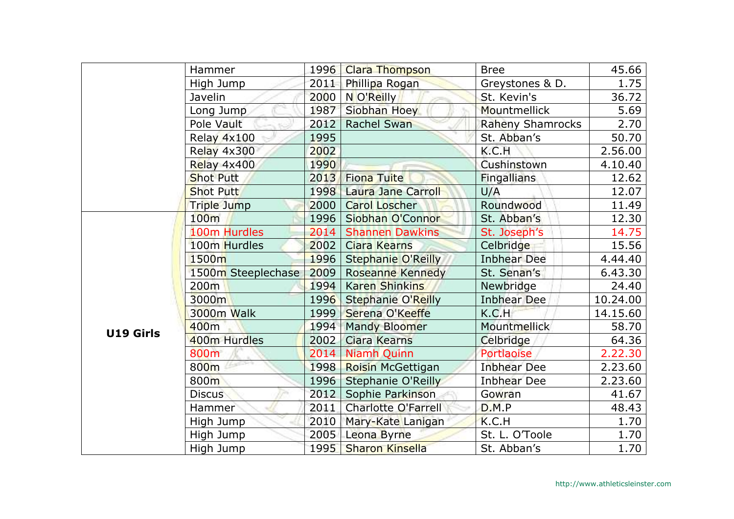|           | Hammer             | 1996 | <b>Clara Thompson</b>      | <b>Bree</b>             | 45.66    |
|-----------|--------------------|------|----------------------------|-------------------------|----------|
|           | High Jump          | 2011 | Phillipa Rogan             | Greystones & D.         | 1.75     |
|           | Javelin            | 2000 | N O'Reilly                 | St. Kevin's             | 36.72    |
|           | Long Jump          | 1987 | Siobhan Hoey               | Mountmellick            | 5.69     |
|           | Pole Vault         | 2012 | <b>Rachel Swan</b>         | <b>Raheny Shamrocks</b> | 2.70     |
|           | Relay 4x100        | 1995 |                            | St. Abban's             | 50.70    |
|           | Relay 4x300        | 2002 |                            | K.C.H                   | 2.56.00  |
|           | Relay 4x400        | 1990 |                            | Cushinstown             | 4.10.40  |
|           | <b>Shot Putt</b>   | 2013 | <b>Fiona Tuite</b>         | Fingallians             | 12.62    |
|           | <b>Shot Putt</b>   | 1998 | Laura Jane Carroll         | U/A                     | 12.07    |
|           | <b>Triple Jump</b> | 2000 | <b>Carol Loscher</b>       | Roundwood               | 11.49    |
|           | 100m               | 1996 | Siobhan O'Connor           | St. Abban's             | 12.30    |
|           | 100m Hurdles       | 2014 | <b>Shannen Dawkins</b>     | St. Joseph's            | 14.75    |
|           | 100m Hurdles       | 2002 | <b>Ciara Kearns</b>        | Celbridge               | 15.56    |
|           | 1500m              | 1996 | <b>Stephanie O'Reilly</b>  | <b>Inbhear Dee</b>      | 4.44.40  |
|           | 1500m Steeplechase | 2009 | <b>Roseanne Kennedy</b>    | St. Senan's             | 6.43.30  |
|           | 200m               | 1994 | <b>Karen Shinkins</b>      | Newbridge               | 24.40    |
|           | 3000m              | 1996 | <b>Stephanie O'Reilly</b>  | <b>Inbhear Dee</b>      | 10.24.00 |
|           | 3000m Walk         | 1999 | Serena O'Keeffe            | K.C.H                   | 14.15.60 |
| U19 Girls | 400m               | 1994 | <b>Mandy Bloomer</b>       | <b>Mountmellick</b>     | 58.70    |
|           | 400m Hurdles       | 2002 | Ciara Kearns               | Celbridge               | 64.36    |
|           | 800m               | 2014 | <b>Niamh Quinn</b>         | Portlaoise              | 2.22.30  |
|           | 800m               | 1998 | Roisin McGettigan          | <b>Inbhear Dee</b>      | 2.23.60  |
|           | 800m               | 1996 | Stephanie O'Reilly         | <b>Inbhear Dee</b>      | 2.23.60  |
|           | <b>Discus</b>      | 2012 | Sophie Parkinson           | Gowran                  | 41.67    |
|           | <b>Hammer</b>      | 2011 | <b>Charlotte O'Farrell</b> | D.M.P                   | 48.43    |
|           | High Jump          | 2010 | Mary-Kate Lanigan          | K.C.H                   | 1.70     |
|           | High Jump          | 2005 | Leona Byrne                | St. L. O'Toole          | 1.70     |
|           | High Jump          | 1995 | <b>Sharon Kinsella</b>     | St. Abban's             | 1.70     |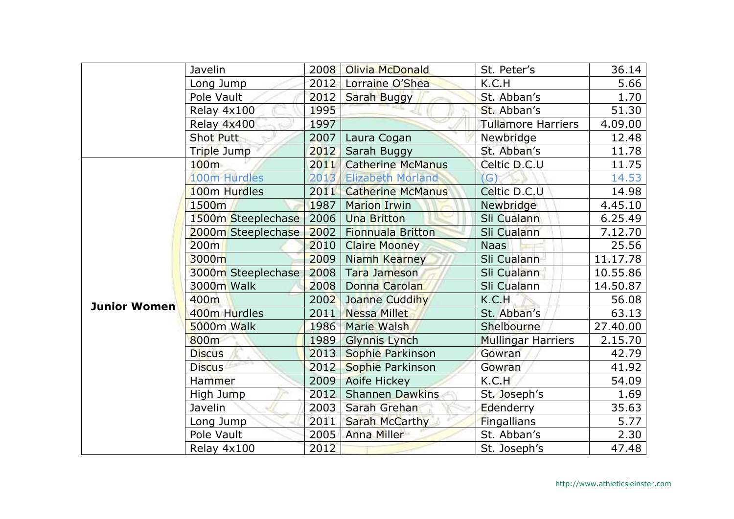|                     | Javelin            | 2008 | Olivia McDonald          | St. Peter's               | 36.14    |
|---------------------|--------------------|------|--------------------------|---------------------------|----------|
|                     | Long Jump          | 2012 | Lorraine O'Shea          | K.C.H                     | 5.66     |
|                     | Pole Vault         | 2012 | Sarah Buggy              | St. Abban's               | 1.70     |
|                     | Relay 4x100        | 1995 |                          | St. Abban's               | 51.30    |
|                     | Relay 4x400        | 1997 |                          | <b>Tullamore Harriers</b> | 4.09.00  |
|                     | <b>Shot Putt</b>   | 2007 | Laura Cogan              | Newbridge                 | 12.48    |
|                     | Triple Jump        | 2012 | Sarah Buggy              | St. Abban's               | 11.78    |
|                     | 100 <sub>m</sub>   | 2011 | <b>Catherine McManus</b> | Celtic D.C.U              | 11.75    |
|                     | 100m Hurdles       | 2013 | <b>Elizabeth Morland</b> | (G)                       | 14.53    |
|                     | 100m Hurdles       | 2011 | <b>Catherine McManus</b> | Celtic D.C.U              | 14.98    |
|                     | 1500m              | 1987 | <b>Marion Irwin</b>      | Newbridge                 | 4.45.10  |
|                     | 1500m Steeplechase | 2006 | <b>Una Britton</b>       | Sli Cualann               | 6.25.49  |
|                     | 2000m Steeplechase | 2002 | <b>Fionnuala Britton</b> | Sli Cualann               | 7.12.70  |
|                     | 200m               | 2010 | <b>Claire Mooney</b>     | <b>Naas</b>               | 25.56    |
|                     | 3000m              | 2009 | Niamh Kearney            | Sli Cualann               | 11.17.78 |
|                     | 3000m Steeplechase | 2008 | <b>Tara Jameson</b>      | Sli Cualann               | 10.55.86 |
|                     | 3000m Walk         | 2008 | Donna Carolan            | Sli Cualann               | 14.50.87 |
| <b>Junior Women</b> | 400m               | 2002 | Joanne Cuddihy           | K.C.H                     | 56.08    |
|                     | 400m Hurdles       |      | 2011 Nessa Millet        | St. Abban's               | 63.13    |
|                     | 5000m Walk         | 1986 | Marie Walsh              | Shelbourne                | 27.40.00 |
|                     | 800m               | 1989 | <b>Glynnis Lynch</b>     | <b>Mullingar Harriers</b> | 2.15.70  |
|                     | <b>Discus</b>      | 2013 | Sophie Parkinson         | Gowran                    | 42.79    |
|                     | <b>Discus</b>      | 2012 | Sophie Parkinson         | Gowran                    | 41.92    |
|                     | Hammer             | 2009 | <b>Aoife Hickey</b>      | K.C.H                     | 54.09    |
|                     | High Jump          | 2012 | <b>Shannen Dawkins</b>   | St. Joseph's              | 1.69     |
|                     | Javelin            | 2003 | Sarah Grehan             | Edenderry                 | 35.63    |
|                     | Long Jump          | 2011 | <b>Sarah McCarthy</b>    | Fingallians               | 5.77     |
|                     | Pole Vault         | 2005 | <b>Anna Miller</b>       | St. Abban's               | 2.30     |
|                     | Relay 4x100        | 2012 |                          | St. Joseph's              | 47.48    |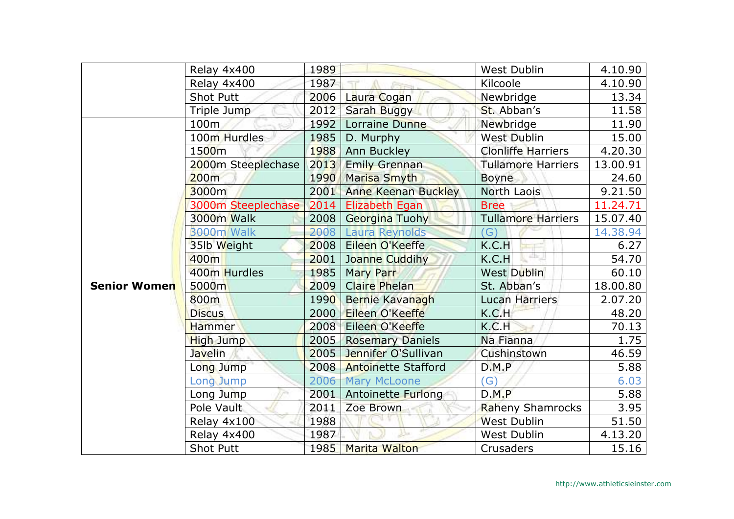|                     | Relay 4x400        | 1989 |                            | <b>West Dublin</b>        | 4.10.90  |
|---------------------|--------------------|------|----------------------------|---------------------------|----------|
|                     | Relay 4x400        | 1987 |                            | Kilcoole                  | 4.10.90  |
|                     | <b>Shot Putt</b>   | 2006 | Laura Cogan                | Newbridge                 | 13.34    |
|                     | Triple Jump        | 2012 | <b>Sarah Buggy</b>         | St. Abban's               | 11.58    |
|                     | 100m               | 1992 | Lorraine Dunne             | Newbridge                 | 11.90    |
|                     | 100m Hurdles       | 1985 | D. Murphy                  | <b>West Dublin</b>        | 15.00    |
|                     | 1500m              | 1988 | Ann Buckley                | <b>Clonliffe Harriers</b> | 4.20.30  |
|                     | 2000m Steeplechase | 2013 | <b>Emily Grennan</b>       | Tullamore Harriers        | 13.00.91 |
|                     | 200m               | 1990 | Marisa Smyth               | <b>Boyne</b>              | 24.60    |
|                     | 3000m              | 2001 | <b>Anne Keenan Buckley</b> | North Laois               | 9.21.50  |
|                     | 3000m Steeplechase | 2014 | <b>Elizabeth Egan</b>      | <b>Bree</b>               | 11.24.71 |
|                     | 3000m Walk         | 2008 | <b>Georgina Tuohy</b>      | <b>Tullamore Harriers</b> | 15.07.40 |
|                     | 3000m Walk         | 2008 | Laura Reynolds             | $\mathsf{G}$              | 14.38.94 |
|                     | 35lb Weight        | 2008 | Eileen O'Keeffe            | K.C.H                     | 6.27     |
|                     | 400m               | 2001 | Joanne Cuddihy             | 부기<br>K.C.H               | 54.70    |
|                     | 400m Hurdles       | 1985 | <b>Mary Parr</b>           | <b>West Dublin</b>        | 60.10    |
| <b>Senior Women</b> | 5000m              | 2009 | <b>Claire Phelan</b>       | St. Abban's               | 18.00.80 |
|                     | 800m               | 1990 | Bernie Kavanagh            | <b>Lucan Harriers</b>     | 2.07.20  |
|                     | <b>Discus</b>      | 2000 | Eileen O'Keeffe            | K.C.H                     | 48.20    |
|                     | <b>Hammer</b>      | 2008 | Eileen O'Keeffe            | K.C.H                     | 70.13    |
|                     | <b>High Jump</b>   | 2005 | <b>Rosemary Daniels</b>    | Na Fianna                 | 1.75     |
|                     | Javelin            | 2005 | Jennifer O'Sullivan        | Cushinstown               | 46.59    |
|                     | Long Jump          | 2008 | <b>Antoinette Stafford</b> | D.M.P                     | 5.88     |
|                     | Long Jump          | 2006 | <b>Mary McLoone</b>        | $\mathcal{G}$             | 6.03     |
|                     | Long Jump          | 2001 | <b>Antoinette Furlong</b>  | D.M.P                     | 5.88     |
|                     | Pole Vault         | 2011 | Zoe Brown                  | <b>Raheny Shamrocks</b>   | 3.95     |
|                     | Relay 4x100        | 1988 |                            | <b>West Dublin</b>        | 51.50    |
|                     | Relay 4x400        | 1987 |                            | <b>West Dublin</b>        | 4.13.20  |
|                     | <b>Shot Putt</b>   | 1985 | <b>Marita Walton</b>       | <b>Crusaders</b>          | 15.16    |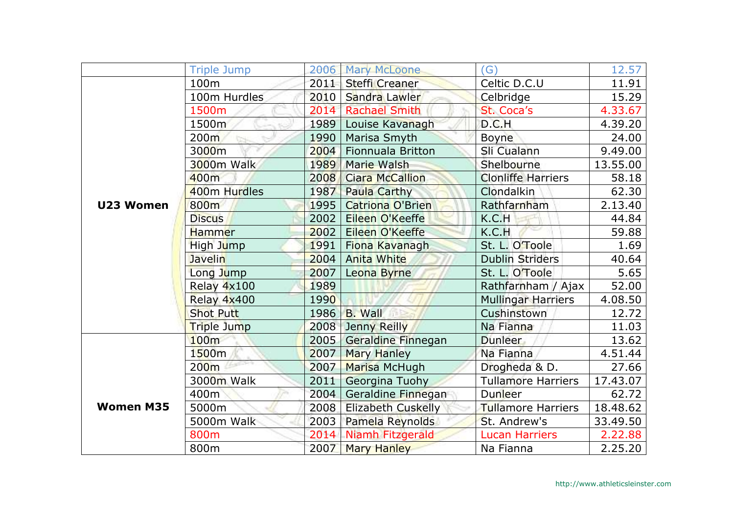|                  | <b>Triple Jump</b> | 2006 | <b>Mary McLoone</b>       | (G)                       | 12.57    |
|------------------|--------------------|------|---------------------------|---------------------------|----------|
|                  | 100 <sub>m</sub>   | 2011 | <b>Steffi Creaner</b>     | Celtic D.C.U              | 11.91    |
|                  | 100m Hurdles       | 2010 | Sandra Lawler             | Celbridge                 | 15.29    |
|                  | 1500m              | 2014 | <b>Rachael Smith</b>      | St. Coca's                | 4.33.67  |
|                  | 1500m              | 1989 | Louise Kavanagh           | D.C.H                     | 4.39.20  |
|                  | 200 <sub>m</sub>   | 1990 | Marisa Smyth              | <b>Boyne</b>              | 24.00    |
|                  | 3000m              | 2004 | Fionnuala Britton         | Sli Cualann               | 9.49.00  |
|                  | 3000m Walk         | 1989 | Marie Walsh               | Shelbourne                | 13.55.00 |
|                  | 400m               | 2008 | <b>Ciara McCallion</b>    | <b>Clonliffe Harriers</b> | 58.18    |
|                  | 400m Hurdles       | 1987 | Paula Carthy              | Clondalkin                | 62.30    |
| U23 Women        | 800m               | 1995 | <b>Catriona O'Brien</b>   | Rathfarnham               | 2.13.40  |
|                  | <b>Discus</b>      | 2002 | Eileen O'Keeffe           | K.C.H                     | 44.84    |
|                  | <b>Hammer</b>      | 2002 | Eileen O'Keeffe           | K.C.H                     | 59.88    |
|                  | High Jump          | 1991 | Fiona Kavanagh            | St. L. O'Toole            | 1.69     |
|                  | <b>Javelin</b>     | 2004 | <b>Anita White</b>        | <b>Dublin Striders</b>    | 40.64    |
|                  | Long Jump          | 2007 | Leona Byrne               | St. L. O'Toole            | 5.65     |
|                  | Relay 4x100        | 1989 |                           | Rathfarnham / Ajax        | 52.00    |
|                  | Relay 4x400        | 1990 |                           | <b>Mullingar Harriers</b> | 4.08.50  |
|                  | <b>Shot Putt</b>   | 1986 | <b>B.</b> Wall            | Cushinstown               | 12.72    |
|                  | Triple Jump        | 2008 | Jenny Reilly              | Na Fianna                 | 11.03    |
|                  | 100 <sub>m</sub>   | 2005 | Geraldine Finnegan        | <b>Dunleer</b>            | 13.62    |
|                  | 1500 <sub>m</sub>  | 2007 | <b>Mary Hanley</b>        | Na Fianna                 | 4.51.44  |
|                  | 200 <sub>m</sub>   | 2007 | Marisa McHugh             | Drogheda & D.             | 27.66    |
|                  | 3000m Walk         | 2011 | Georgina Tuohy            | <b>Tullamore Harriers</b> | 17.43.07 |
|                  | 400m               | 2004 | Geraldine Finnegan        | Dunleer                   | 62.72    |
| <b>Women M35</b> | 5000m              | 2008 | <b>Elizabeth Cuskelly</b> | <b>Tullamore Harriers</b> | 18.48.62 |
|                  | 5000m Walk         | 2003 | Pamela Reynolds           | St. Andrew's              | 33.49.50 |
|                  | 800m               | 2014 | Niamh Fitzgerald          | <b>Lucan Harriers</b>     | 2.22.88  |
|                  | 800m               | 2007 | <b>Mary Hanley</b>        | Na Fianna                 | 2.25.20  |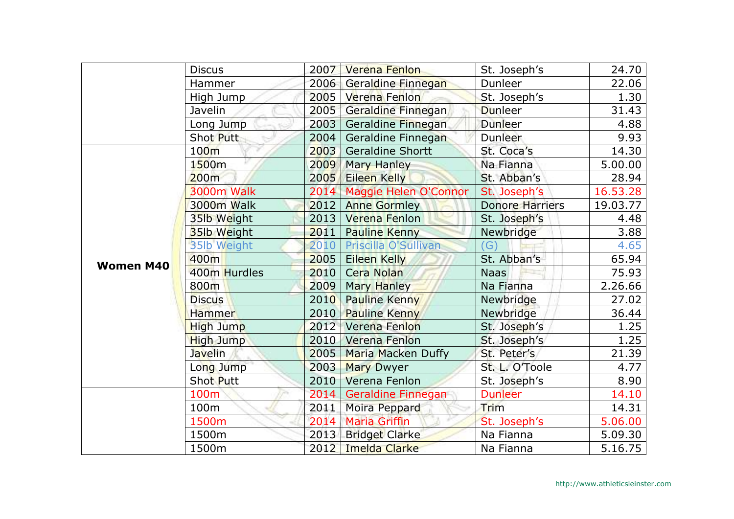|                  | <b>Discus</b>     | 2007 | <b>Verena Fenlon</b>      | St. Joseph's           | 24.70    |
|------------------|-------------------|------|---------------------------|------------------------|----------|
|                  | Hammer            | 2006 | Geraldine Finnegan        | Dunleer                | 22.06    |
|                  | High Jump         | 2005 | Verena Fenlon             | St. Joseph's           | 1.30     |
|                  | Javelin           | 2005 | Geraldine Finnegan        | <b>Dunleer</b>         | 31.43    |
|                  | Long Jump         | 2003 | Geraldine Finnegan        | <b>Dunleer</b>         | 4.88     |
|                  | Shot Putt         | 2004 | Geraldine Finnegan        | <b>Dunleer</b>         | 9.93     |
|                  | 100 <sub>m</sub>  | 2003 | <b>Geraldine Shortt</b>   | St. Coca's             | 14.30    |
|                  | 1500m             | 2009 | <b>Mary Hanley</b>        | Na Fianna              | 5.00.00  |
|                  | 200m              | 2005 | <b>Eileen Kelly</b>       | St. Abban's            | 28.94    |
|                  | <b>3000m Walk</b> | 2014 | Maggie Helen O'Connor     | St. Joseph's           | 16.53.28 |
|                  | 3000m Walk        | 2012 | <b>Anne Gormley</b>       | <b>Donore Harriers</b> | 19.03.77 |
|                  | 35lb Weight       | 2013 | Verena Fenlon             | St. Joseph's           | 4.48     |
|                  | 35lb Weight       | 2011 | <b>Pauline Kenny</b>      | Newbridge              | 3.88     |
|                  | 35lb Weight       | 2010 | Priscilla O'Sullivan      | (G)                    | 4.65     |
| <b>Women M40</b> | 400m              | 2005 | Eileen Kelly              | St. Abban's            | 65.94    |
|                  | 400m Hurdles      | 2010 | <b>Cera Nolan</b>         | <b>Naas</b>            | 75.93    |
|                  | 800m              | 2009 | Mary Hanley               | Na Fianna              | 2.26.66  |
|                  | <b>Discus</b>     | 2010 | <b>Pauline Kenny</b>      | Newbridge              | 27.02    |
|                  | <b>Hammer</b>     | 2010 | <b>Pauline Kenny</b>      | Newbridge              | 36.44    |
|                  | High Jump         | 2012 | Verena Fenlon             | St. Joseph's           | 1.25     |
|                  | <b>High Jump</b>  | 2010 | Verena Fenlon             | St. Joseph's           | 1.25     |
|                  | <b>Javelin</b>    | 2005 | <b>Maria Macken Duffy</b> | St. Peter's            | 21.39    |
|                  | Long Jump         | 2003 | <b>Mary Dwyer</b>         | St. L. O'Toole         | 4.77     |
|                  | Shot Putt         | 2010 | Verena Fenlon             | St. Joseph's           | 8.90     |
|                  | 100m              | 2014 | Geraldine Finnegan        | <b>Dunleer</b>         | 14.10    |
|                  | 100m              | 2011 | Moira Peppard             | Trim                   | 14.31    |
|                  | 1500m             | 2014 | <b>Maria Griffin</b>      | St. Joseph's           | 5.06.00  |
|                  | 1500m             | 2013 | <b>Bridget Clarke</b>     | Na Fianna              | 5.09.30  |
|                  | 1500m             | 2012 | Imelda Clarke             | Na Fianna              | 5.16.75  |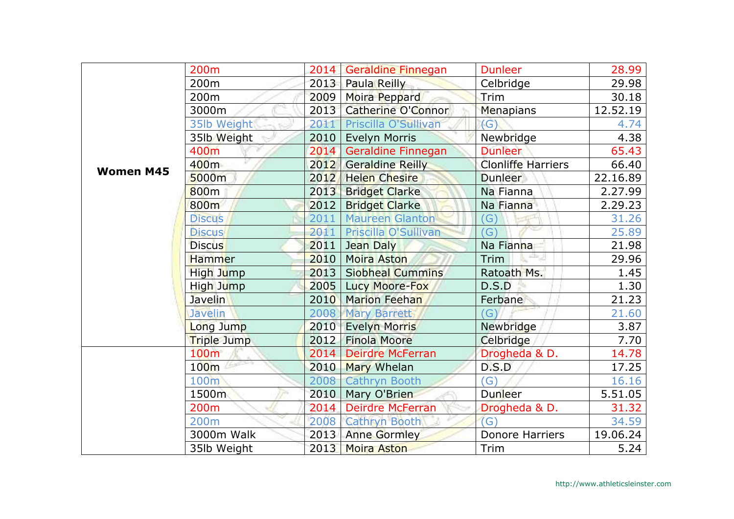|                  | 200 <sub>m</sub>   | 2014 | Geraldine Finnegan        | <b>Dunleer</b>            | 28.99    |
|------------------|--------------------|------|---------------------------|---------------------------|----------|
|                  | 200 <sub>m</sub>   | 2013 | <b>Paula Reilly</b>       | Celbridge                 | 29.98    |
|                  | 200m               | 2009 | Moira Peppard             | Trim                      | 30.18    |
|                  | 3000m              | 2013 | <b>Catherine O'Connor</b> | Menapians                 | 12.52.19 |
|                  | 35lb Weight        | 2011 | Priscilla O'Sullivan      | (G)                       | 4.74     |
|                  | 35lb Weight        | 2010 | <b>Evelyn Morris</b>      | Newbridge                 | 4.38     |
|                  | 400m               | 2014 | Geraldine Finnegan        | <b>Dunleer</b>            | 65.43    |
| <b>Women M45</b> | 400 <sub>m</sub>   | 2012 | <b>Geraldine Reilly</b>   | <b>Clonliffe Harriers</b> | 66.40    |
|                  | 5000m              | 2012 | <b>Helen Chesire</b>      | <b>Dunleer</b>            | 22.16.89 |
|                  | 800 <sub>m</sub>   | 2013 | <b>Bridget Clarke</b>     | Na Fianna                 | 2.27.99  |
|                  | 800m               | 2012 | <b>Bridget Clarke</b>     | Na Fianna                 | 2.29.23  |
|                  | <b>Discus</b>      | 2011 | <b>Maureen Glanton</b>    | (G)                       | 31.26    |
|                  | <b>Discus</b>      | 2011 | Priscilla O'Sullivan      | G)                        | 25.89    |
|                  | <b>Discus</b>      | 2011 | Jean Daly                 | Na Fianna                 | 21.98    |
|                  | Hammer             | 2010 | <b>Moira Aston</b>        | ÷<br>Trim                 | 29.96    |
|                  | High Jump          | 2013 | <b>Siobheal Cummins</b>   | Ratoath Ms.               | 1.45     |
|                  | High Jump          | 2005 | Lucy Moore-Fox            | D.S.D                     | 1.30     |
|                  | Javelin            | 2010 | <b>Marion Feehan</b>      | Ferbane                   | 21.23    |
|                  | Javelin            | 2008 | <b>Mary Barrett</b>       | $\mathcal{G}$             | 21.60    |
|                  | Long Jump          | 2010 | <b>Evelyn Morris</b>      | Newbridge                 | 3.87     |
|                  | <b>Triple Jump</b> | 2012 | <b>Finola Moore</b>       | Celbridge                 | 7.70     |
|                  | 100 <sub>m</sub>   | 2014 | <b>Deirdre McFerran</b>   | Drogheda & D.             | 14.78    |
|                  | 100m               | 2010 | Mary Whelan               | D.S.D                     | 17.25    |
|                  | 100m               | 2008 | <b>Cathryn Booth</b>      | $\mathcal{G}$             | 16.16    |
|                  | 1500m              | 2010 | Mary O'Brien              | Dunleer                   | 5.51.05  |
|                  | 200 <sub>m</sub>   | 2014 | <b>Deirdre McFerran</b>   | Drogheda & D.             | 31.32    |
|                  | 200 <sub>m</sub>   | 2008 | <b>Cathryn Booth</b>      | $\overline{G}$            | 34.59    |
|                  | 3000m Walk         | 2013 | <b>Anne Gormley</b>       | <b>Donore Harriers</b>    | 19.06.24 |
|                  | 35lb Weight        | 2013 | <b>Moira Aston</b>        | Trim                      | 5.24     |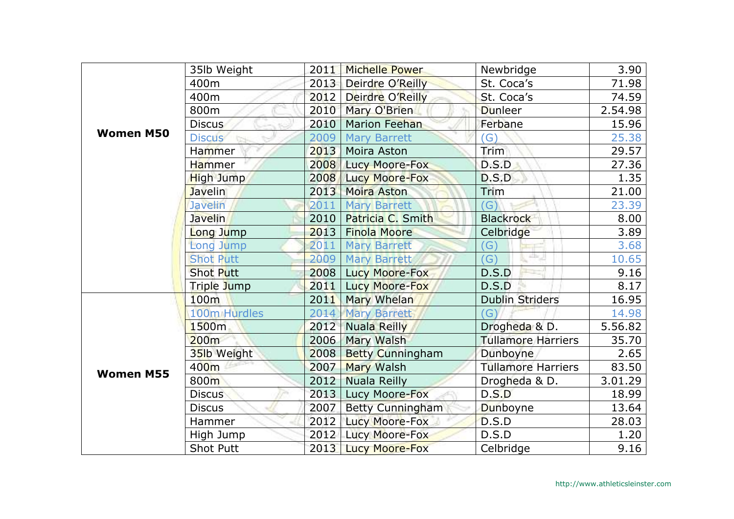|                  | 35lb Weight      | 2011 | <b>Michelle Power</b>   | Newbridge                                             | 3.90    |
|------------------|------------------|------|-------------------------|-------------------------------------------------------|---------|
|                  | 400m             | 2013 | Deirdre O'Reilly        | St. Coca's                                            | 71.98   |
|                  | 400m             | 2012 | Deirdre O'Reilly        | St. Coca's                                            | 74.59   |
|                  | 800m             | 2010 | Mary O'Brien            | <b>Dunleer</b>                                        | 2.54.98 |
|                  | <b>Discus</b>    | 2010 | <b>Marion Feehan</b>    | Ferbane                                               | 15.96   |
| <b>Women M50</b> | <b>Discus</b>    | 2009 | <b>Mary Barrett</b>     | $\mathcal{G}$                                         | 25.38   |
|                  | <b>Hammer</b>    | 2013 | Moira Aston             | Trim                                                  | 29.57   |
|                  | Hammer           | 2008 | Lucy Moore-Fox          | D.S.D                                                 | 27.36   |
|                  | <b>High Jump</b> | 2008 | <b>Lucy Moore-Fox</b>   | D.S.D                                                 | 1.35    |
|                  | <b>Javelin</b>   | 2013 | Moira Aston             | Trim                                                  | 21.00   |
|                  | <b>Javelin</b>   | 2011 | <b>Mary Barrett</b>     | $\mathcal{G}$                                         | 23.39   |
|                  | <b>Javelin</b>   | 2010 | Patricia C. Smith       | <b>Blackrock</b>                                      | 8.00    |
|                  | Long Jump        | 2013 | <b>Finola Moore</b>     | Celbridge                                             | 3.89    |
|                  | Long Jump        | 2011 | <b>Mary Barrett</b>     | $\mathcal{G}$                                         | 3.68    |
|                  | <b>Shot Putt</b> | 2009 | <b>Mary Barrett</b>     | $\frac{1}{2} \ln \frac{1}{\sqrt{2}}$<br>$\mathcal{G}$ | 10.65   |
|                  | <b>Shot Putt</b> | 2008 | Lucy Moore-Fox          | D.S.D                                                 | 9.16    |
|                  | Triple Jump      | 2011 | Lucy Moore-Fox          | D.S.D                                                 | 8.17    |
|                  | 100 <sub>m</sub> | 2011 | <b>Mary Whelan</b>      | <b>Dublin Striders</b>                                | 16.95   |
| <b>Women M55</b> | 100m Hurdles     | 2014 | <b>Mary Barrett</b>     | (G)                                                   | 14.98   |
|                  | 1500m            | 2012 | <b>Nuala Reilly</b>     | Drogheda & D.                                         | 5.56.82 |
|                  | 200m             | 2006 | Mary Walsh              | <b>Tullamore Harriers</b>                             | 35.70   |
|                  | 35lb Weight      | 2008 | <b>Betty Cunningham</b> | Dunboyne                                              | 2.65    |
|                  | 400m             | 2007 | <b>Mary Walsh</b>       | <b>Tullamore Harriers</b>                             | 83.50   |
|                  | 800m             | 2012 | <b>Nuala Reilly</b>     | Drogheda & D.                                         | 3.01.29 |
|                  | <b>Discus</b>    | 2013 | Lucy Moore-Fox          | D.S.D                                                 | 18.99   |
|                  | <b>Discus</b>    | 2007 | <b>Betty Cunningham</b> | Dunboyne                                              | 13.64   |
|                  | Hammer           | 2012 | Lucy Moore-Fox          | D.S.D                                                 | 28.03   |
|                  | High Jump        | 2012 | <b>Lucy Moore-Fox</b>   | D.S.D                                                 | 1.20    |
|                  | <b>Shot Putt</b> | 2013 | <b>Lucy Moore-Fox</b>   | Celbridge                                             | 9.16    |